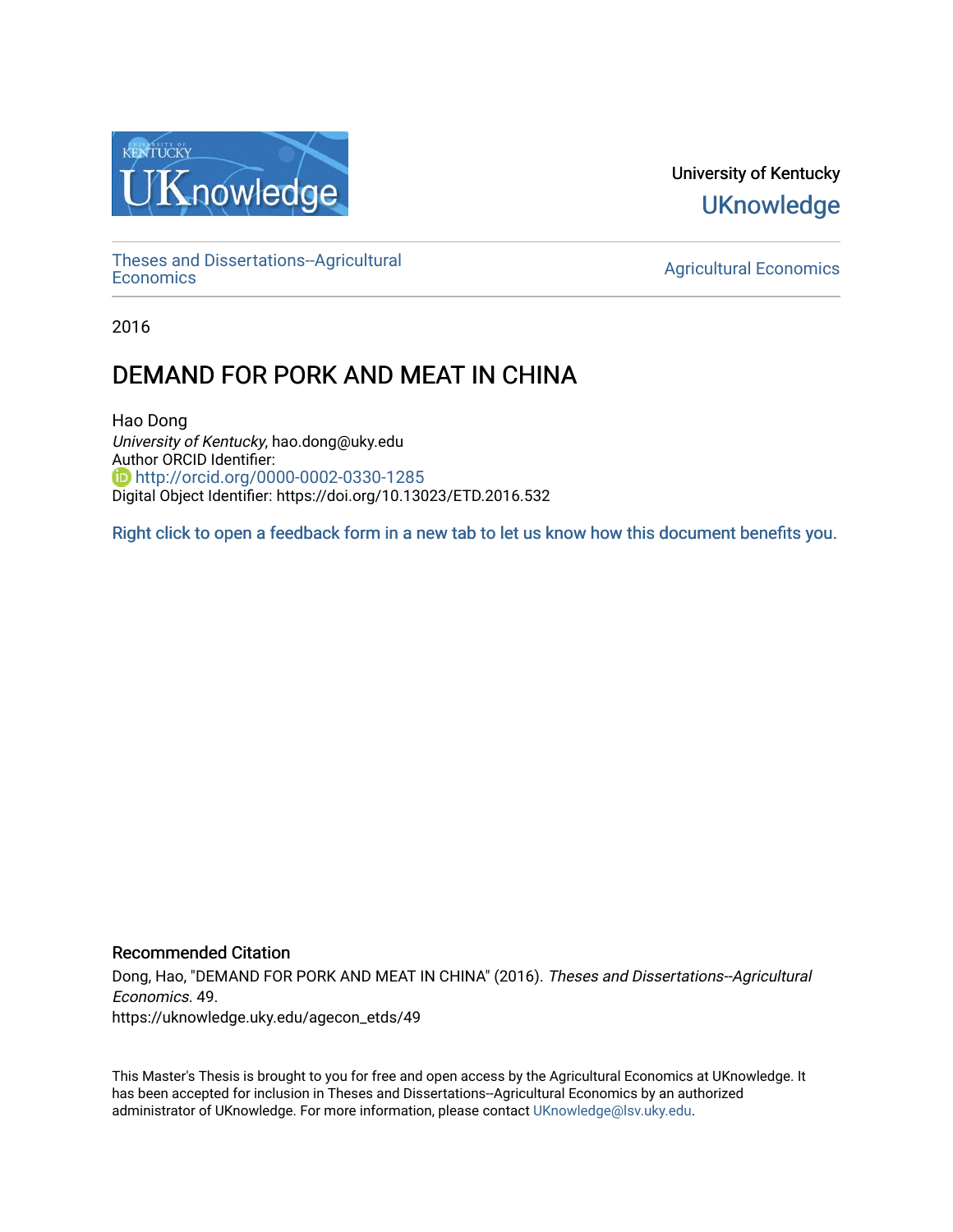

University of Kentucky **UKnowledge** 

[Theses and Dissertations--Agricultural](https://uknowledge.uky.edu/agecon_etds)

[Economics](https://uknowledge.uky.edu/agecon_etds) [Agricultural Economics](https://uknowledge.uky.edu/agecon) 

2016

# DEMAND FOR PORK AND MEAT IN CHINA

Hao Dong University of Kentucky, hao.dong@uky.edu Author ORCID Identifier: <http://orcid.org/0000-0002-0330-1285> Digital Object Identifier: https://doi.org/10.13023/ETD.2016.532

[Right click to open a feedback form in a new tab to let us know how this document benefits you.](https://uky.az1.qualtrics.com/jfe/form/SV_9mq8fx2GnONRfz7)

#### Recommended Citation

Dong, Hao, "DEMAND FOR PORK AND MEAT IN CHINA" (2016). Theses and Dissertations--Agricultural Economics. 49. https://uknowledge.uky.edu/agecon\_etds/49

This Master's Thesis is brought to you for free and open access by the Agricultural Economics at UKnowledge. It has been accepted for inclusion in Theses and Dissertations--Agricultural Economics by an authorized administrator of UKnowledge. For more information, please contact [UKnowledge@lsv.uky.edu](mailto:UKnowledge@lsv.uky.edu).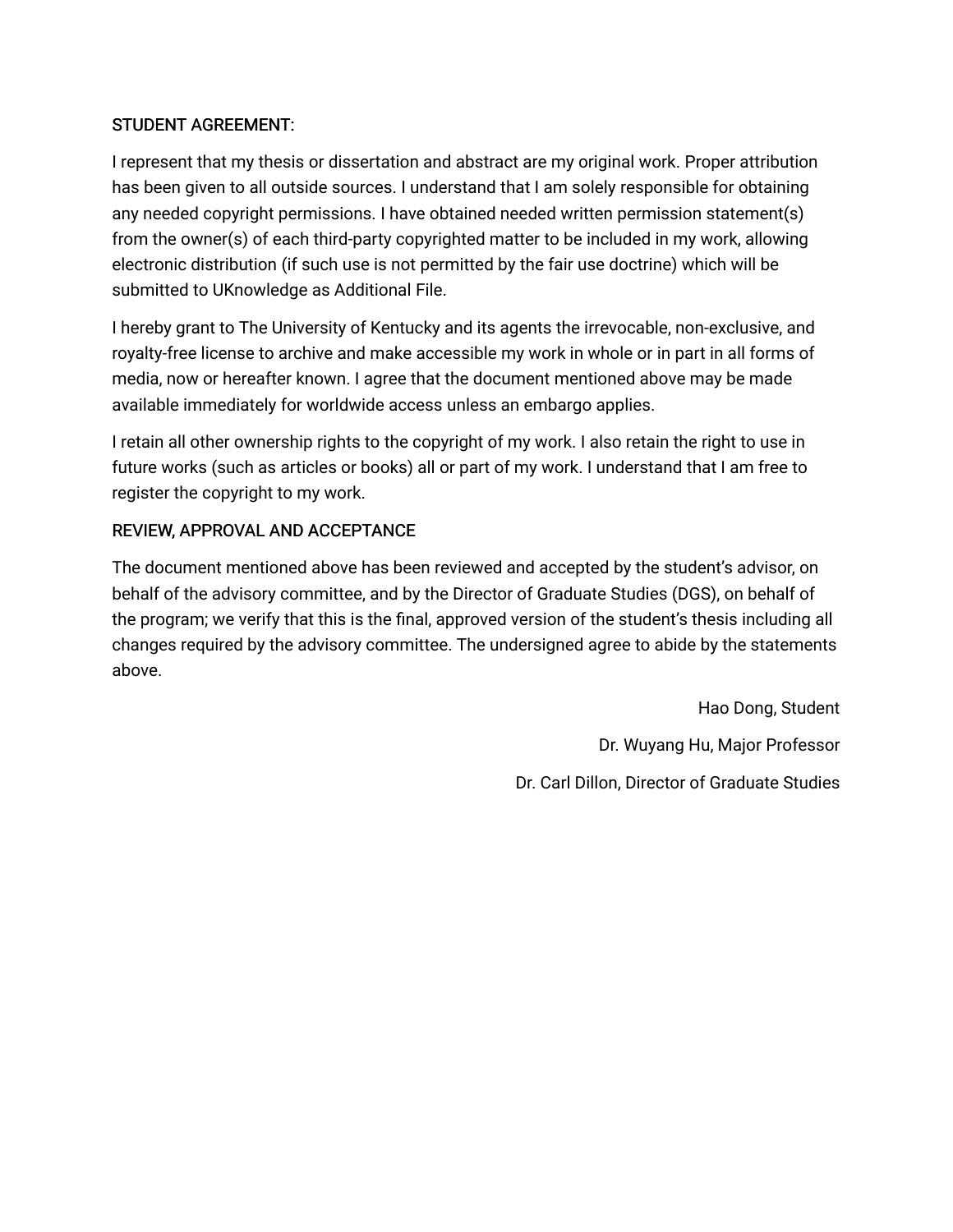# STUDENT AGREEMENT:

I represent that my thesis or dissertation and abstract are my original work. Proper attribution has been given to all outside sources. I understand that I am solely responsible for obtaining any needed copyright permissions. I have obtained needed written permission statement(s) from the owner(s) of each third-party copyrighted matter to be included in my work, allowing electronic distribution (if such use is not permitted by the fair use doctrine) which will be submitted to UKnowledge as Additional File.

I hereby grant to The University of Kentucky and its agents the irrevocable, non-exclusive, and royalty-free license to archive and make accessible my work in whole or in part in all forms of media, now or hereafter known. I agree that the document mentioned above may be made available immediately for worldwide access unless an embargo applies.

I retain all other ownership rights to the copyright of my work. I also retain the right to use in future works (such as articles or books) all or part of my work. I understand that I am free to register the copyright to my work.

# REVIEW, APPROVAL AND ACCEPTANCE

The document mentioned above has been reviewed and accepted by the student's advisor, on behalf of the advisory committee, and by the Director of Graduate Studies (DGS), on behalf of the program; we verify that this is the final, approved version of the student's thesis including all changes required by the advisory committee. The undersigned agree to abide by the statements above.

> Hao Dong, Student Dr. Wuyang Hu, Major Professor Dr. Carl Dillon, Director of Graduate Studies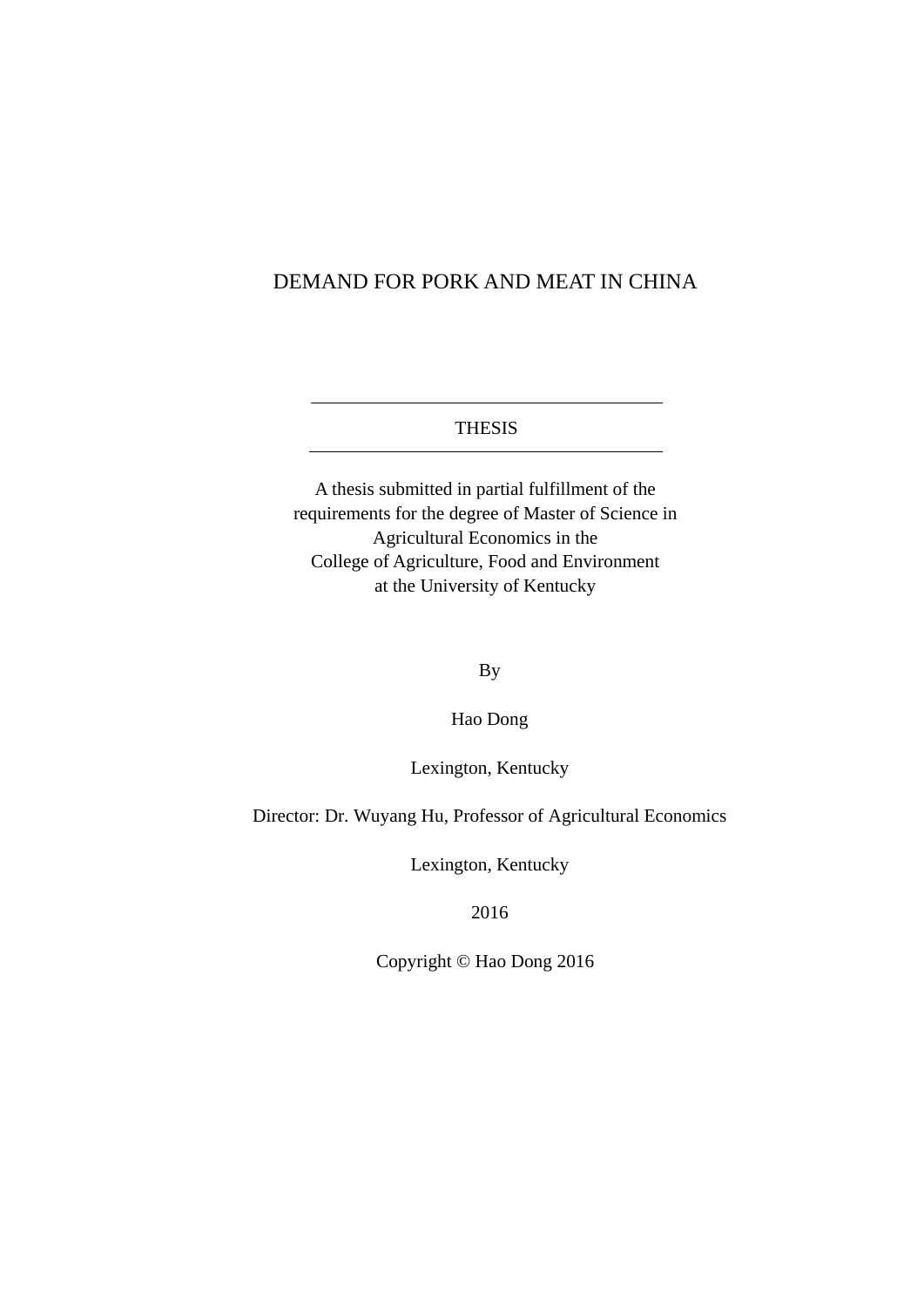# DEMAND FOR PORK AND MEAT IN CHINA

## THESIS

A thesis submitted in partial fulfillment of the requirements for the degree of Master of Science in Agricultural Economics in the College of Agriculture, Food and Environment at the University of Kentucky

By

Hao Dong

Lexington, Kentucky

Director: Dr. Wuyang Hu, Professor of Agricultural Economics

Lexington, Kentucky

2016

Copyright © Hao Dong 2016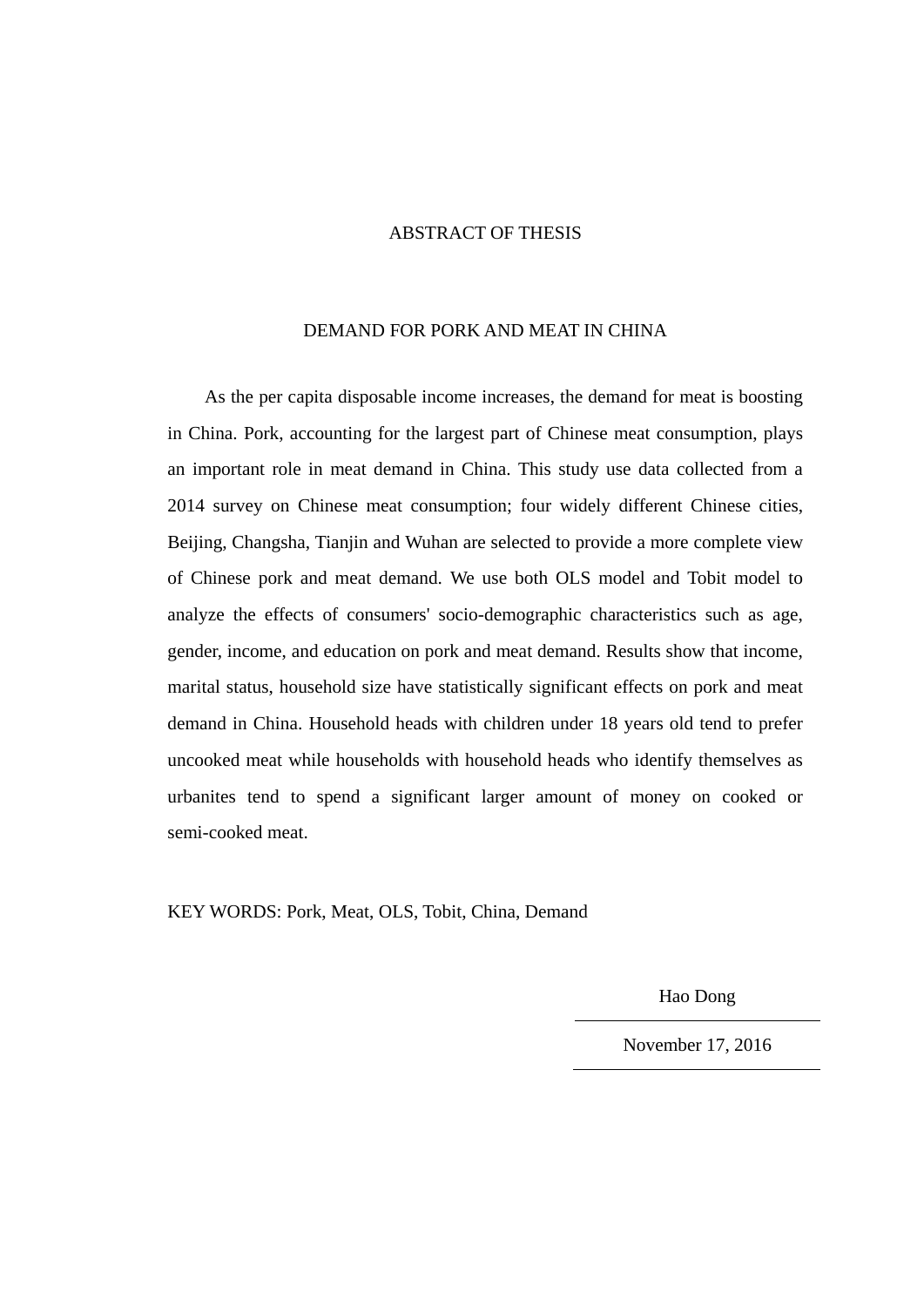# ABSTRACT OF THESIS

#### DEMAND FOR PORK AND MEAT IN CHINA

As the per capita disposable income increases, the demand for meat is boosting in China. Pork, accounting for the largest part of Chinese meat consumption, plays an important role in meat demand in China. This study use data collected from a 2014 survey on Chinese meat consumption; four widely different Chinese cities, Beijing, Changsha, Tianjin and Wuhan are selected to provide a more complete view of Chinese pork and meat demand. We use both OLS model and Tobit model to analyze the effects of consumers' socio-demographic characteristics such as age, gender, income, and education on pork and meat demand. Results show that income, marital status, household size have statistically significant effects on pork and meat demand in China. Household heads with children under 18 years old tend to prefer uncooked meat while households with household heads who identify themselves as urbanites tend to spend a significant larger amount of money on cooked or semi-cooked meat.

<span id="page-3-0"></span>KEY WORDS: Pork, Meat, OLS, Tobit, China, Demand

Hao Dong

November 17, 2016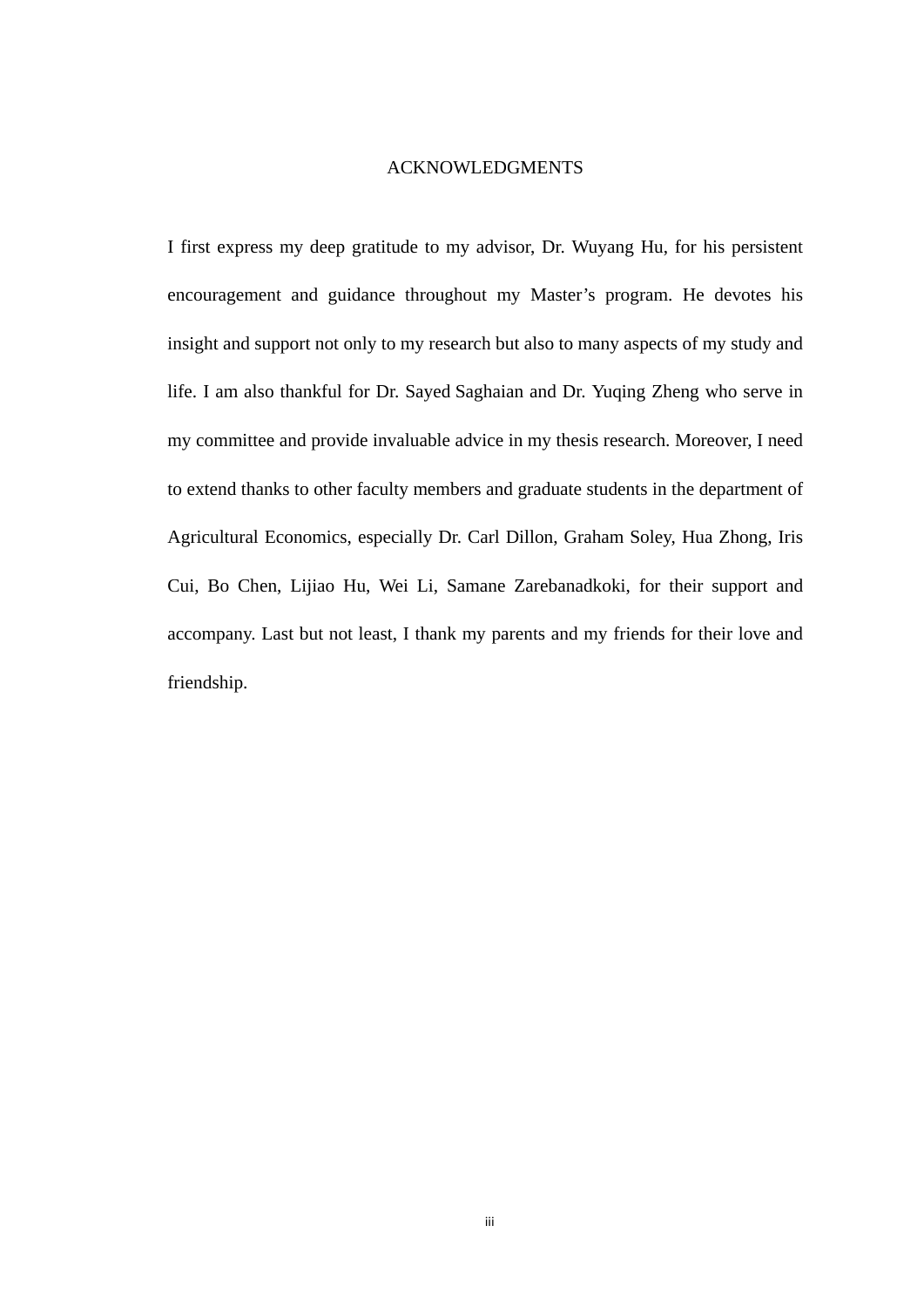#### ACKNOWLEDGMENTS

I first express my deep gratitude to my advisor, Dr. Wuyang Hu, for his persistent encouragement and guidance throughout my Master's program. He devotes his insight and support not only to my research but also to many aspects of my study and life. I am also thankful for Dr. Sayed Saghaian and Dr. Yuqing Zheng who serve in my committee and provide invaluable advice in my thesis research. Moreover, I need to extend thanks to other faculty members and graduate students in the department of Agricultural Economics, especially Dr. Carl Dillon, Graham Soley, Hua Zhong, Iris Cui, Bo Chen, Lijiao Hu, Wei Li, Samane Zarebanadkoki, for their support and accompany. Last but not least, I thank my parents and my friends for their love and friendship.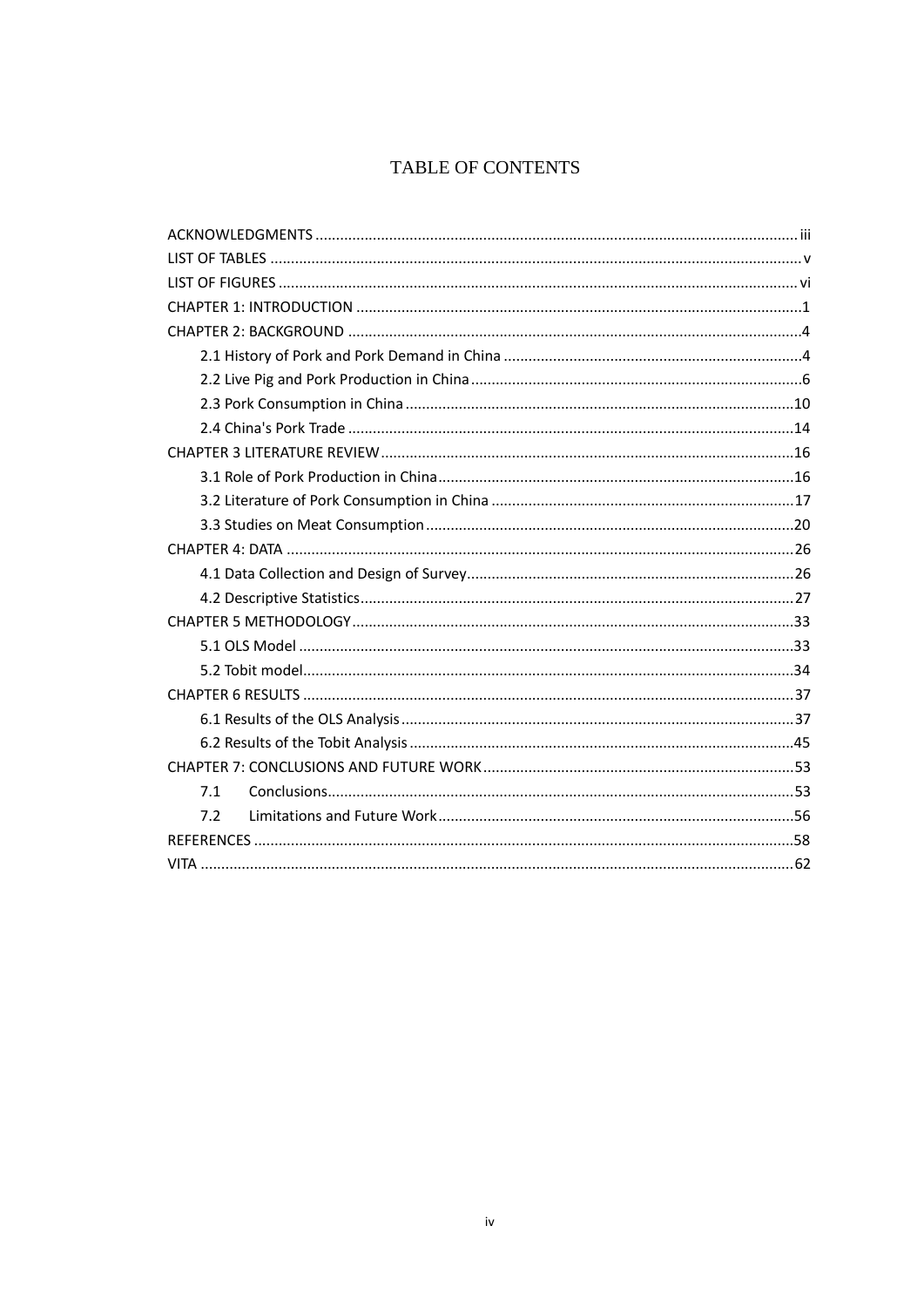# TABLE OF CONTENTS

<span id="page-5-0"></span>

| 7.1 |  |
|-----|--|
| 7.2 |  |
|     |  |
|     |  |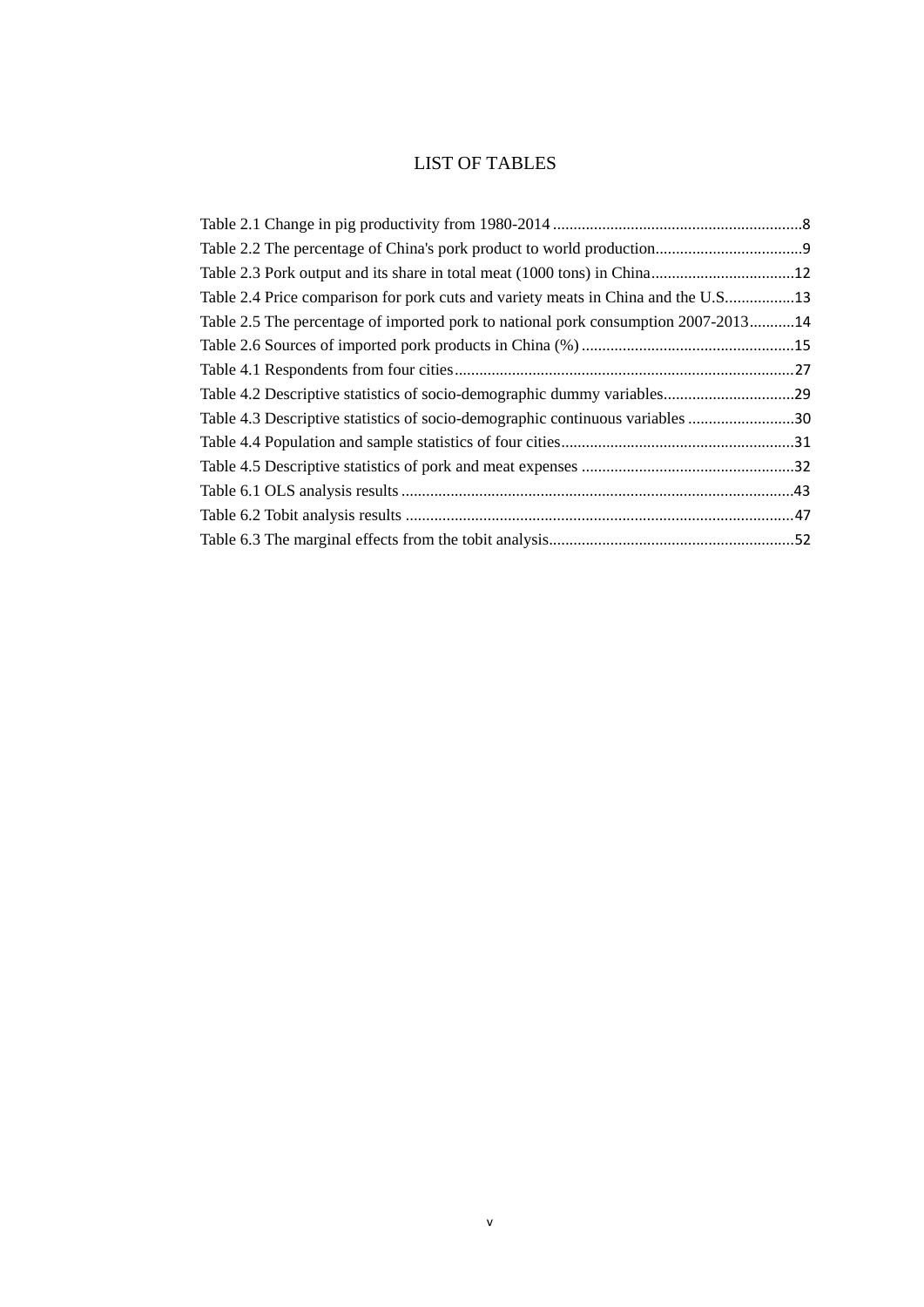# LIST OF TABLES

<span id="page-6-0"></span>

| Table 2.4 Price comparison for pork cuts and variety meats in China and the U.S13  |  |
|------------------------------------------------------------------------------------|--|
| Table 2.5 The percentage of imported pork to national pork consumption 2007-201314 |  |
|                                                                                    |  |
|                                                                                    |  |
|                                                                                    |  |
| Table 4.3 Descriptive statistics of socio-demographic continuous variables 30      |  |
|                                                                                    |  |
|                                                                                    |  |
|                                                                                    |  |
|                                                                                    |  |
|                                                                                    |  |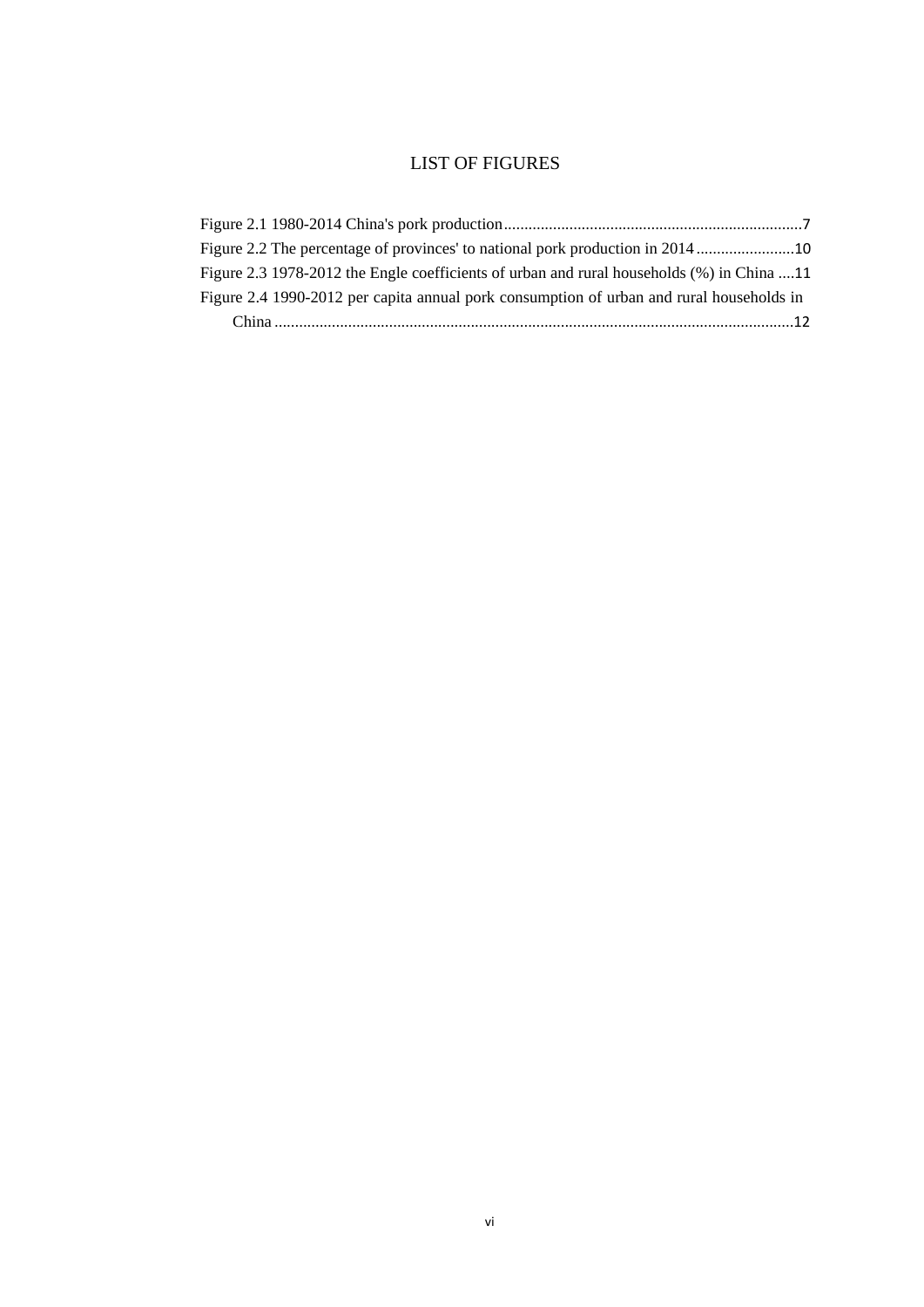# LIST OF FIGURES

| Figure 2.2 The percentage of provinces' to national pork production in 201410             |  |
|-------------------------------------------------------------------------------------------|--|
| Figure 2.3 1978-2012 the Engle coefficients of urban and rural households (%) in China 11 |  |
| Figure 2.4 1990-2012 per capita annual pork consumption of urban and rural households in  |  |
|                                                                                           |  |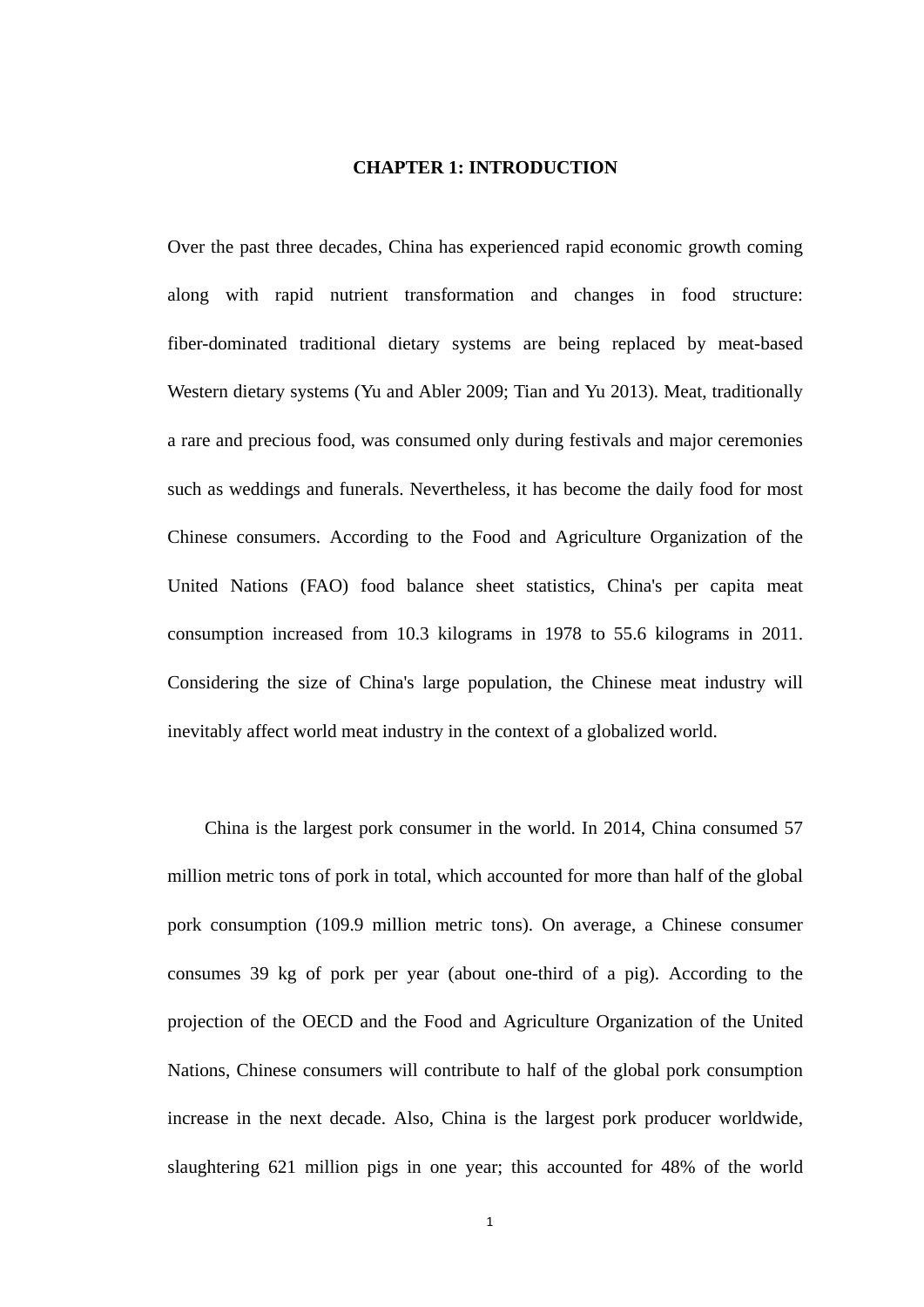### **CHAPTER 1: INTRODUCTION**

<span id="page-8-0"></span>Over the past three decades, China has experienced rapid economic growth coming along with rapid nutrient transformation and changes in food structure: fiber-dominated traditional dietary systems are being replaced by meat-based Western dietary systems (Yu and Abler 2009; Tian and Yu 2013). Meat, traditionally a rare and precious food, was consumed only during festivals and major ceremonies such as weddings and funerals. Nevertheless, it has become the daily food for most Chinese consumers. According to the Food and Agriculture Organization of the United Nations (FAO) food balance sheet statistics, China's per capita meat consumption increased from 10.3 kilograms in 1978 to 55.6 kilograms in 2011. Considering the size of China's large population, the Chinese meat industry will inevitably affect world meat industry in the context of a globalized world.

China is the largest pork consumer in the world. In 2014, China consumed 57 million metric tons of pork in total, which accounted for more than half of the global pork consumption (109.9 million metric tons). On average, a Chinese consumer consumes 39 kg of pork per year (about one-third of a pig). According to the projection of the OECD and the Food and Agriculture Organization of the United Nations, Chinese consumers will contribute to half of the global pork consumption increase in the next decade. Also, China is the largest pork producer worldwide, slaughtering 621 million pigs in one year; this accounted for 48% of the world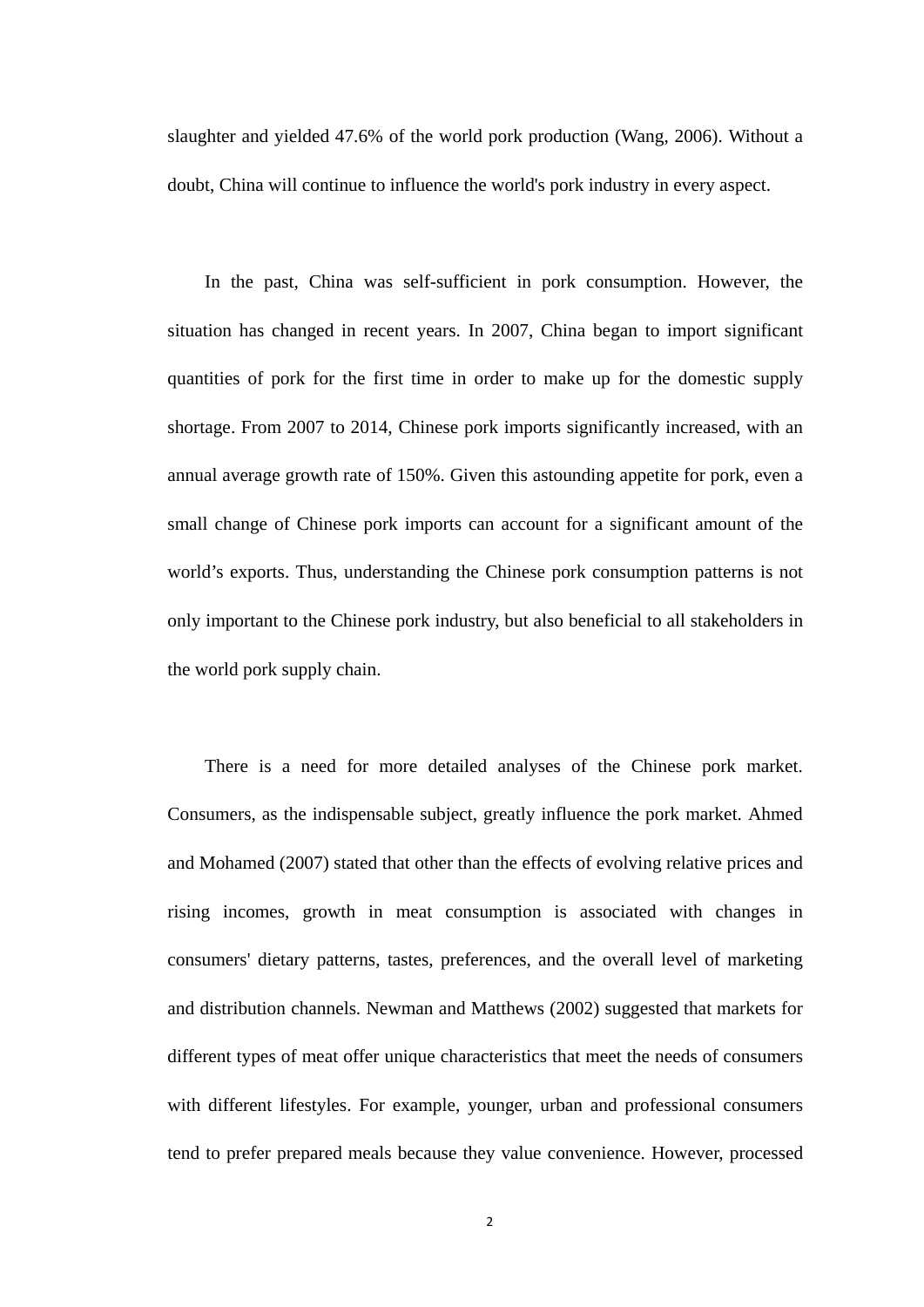slaughter and yielded 47.6% of the world pork production (Wang, 2006). Without a doubt, China will continue to influence the world's pork industry in every aspect.

In the past, China was self-sufficient in pork consumption. However, the situation has changed in recent years. In 2007, China began to import significant quantities of pork for the first time in order to make up for the domestic supply shortage. From 2007 to 2014, Chinese pork imports significantly increased, with an annual average growth rate of 150%. Given this astounding appetite for pork, even a small change of Chinese pork imports can account for a significant amount of the world's exports. Thus, understanding the Chinese pork consumption patterns is not only important to the Chinese pork industry, but also beneficial to all stakeholders in the world pork supply chain.

There is a need for more detailed analyses of the Chinese pork market. Consumers, as the indispensable subject, greatly influence the pork market. Ahmed and Mohamed (2007) stated that other than the effects of evolving relative prices and rising incomes, growth in meat consumption is associated with changes in consumers' dietary patterns, tastes, preferences, and the overall level of marketing and distribution channels. Newman and Matthews (2002) suggested that markets for different types of meat offer unique characteristics that meet the needs of consumers with different lifestyles. For example, younger, urban and professional consumers tend to prefer prepared meals because they value convenience. However, processed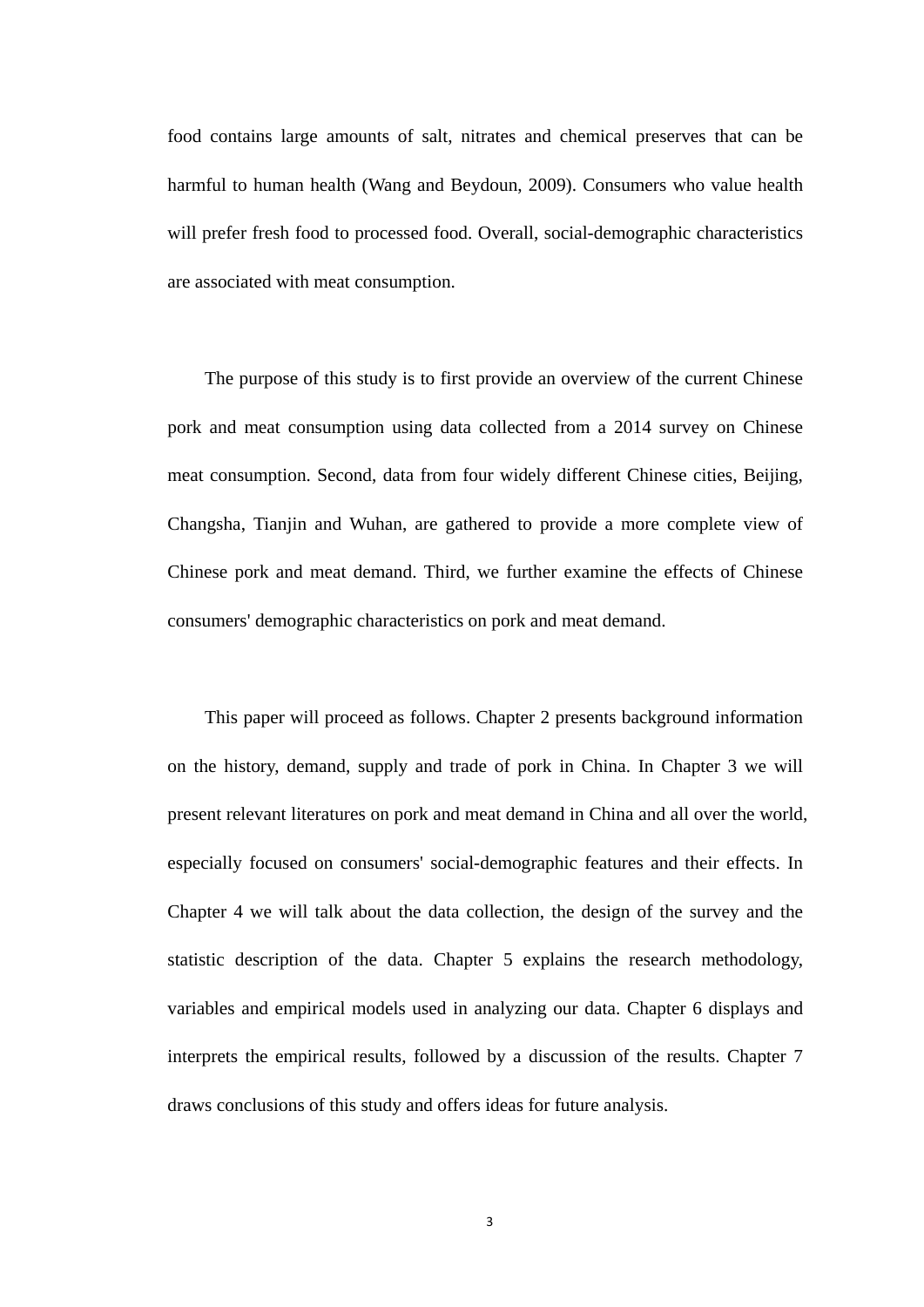food contains large amounts of salt, nitrates and chemical preserves that can be harmful to human health (Wang and Beydoun, 2009). Consumers who value health will prefer fresh food to processed food. Overall, social-demographic characteristics are associated with meat consumption.

The purpose of this study is to first provide an overview of the current Chinese pork and meat consumption using data collected from a 2014 survey on Chinese meat consumption. Second, data from four widely different Chinese cities, Beijing, Changsha, Tianjin and Wuhan, are gathered to provide a more complete view of Chinese pork and meat demand. Third, we further examine the effects of Chinese consumers' demographic characteristics on pork and meat demand.

This paper will proceed as follows. Chapter 2 presents background information on the history, demand, supply and trade of pork in China. In Chapter 3 we will present relevant literatures on pork and meat demand in China and all over the world, especially focused on consumers' social-demographic features and their effects. In Chapter 4 we will talk about the data collection, the design of the survey and the statistic description of the data. Chapter 5 explains the research methodology, variables and empirical models used in analyzing our data. Chapter 6 displays and interprets the empirical results, followed by a discussion of the results. Chapter 7 draws conclusions of this study and offers ideas for future analysis.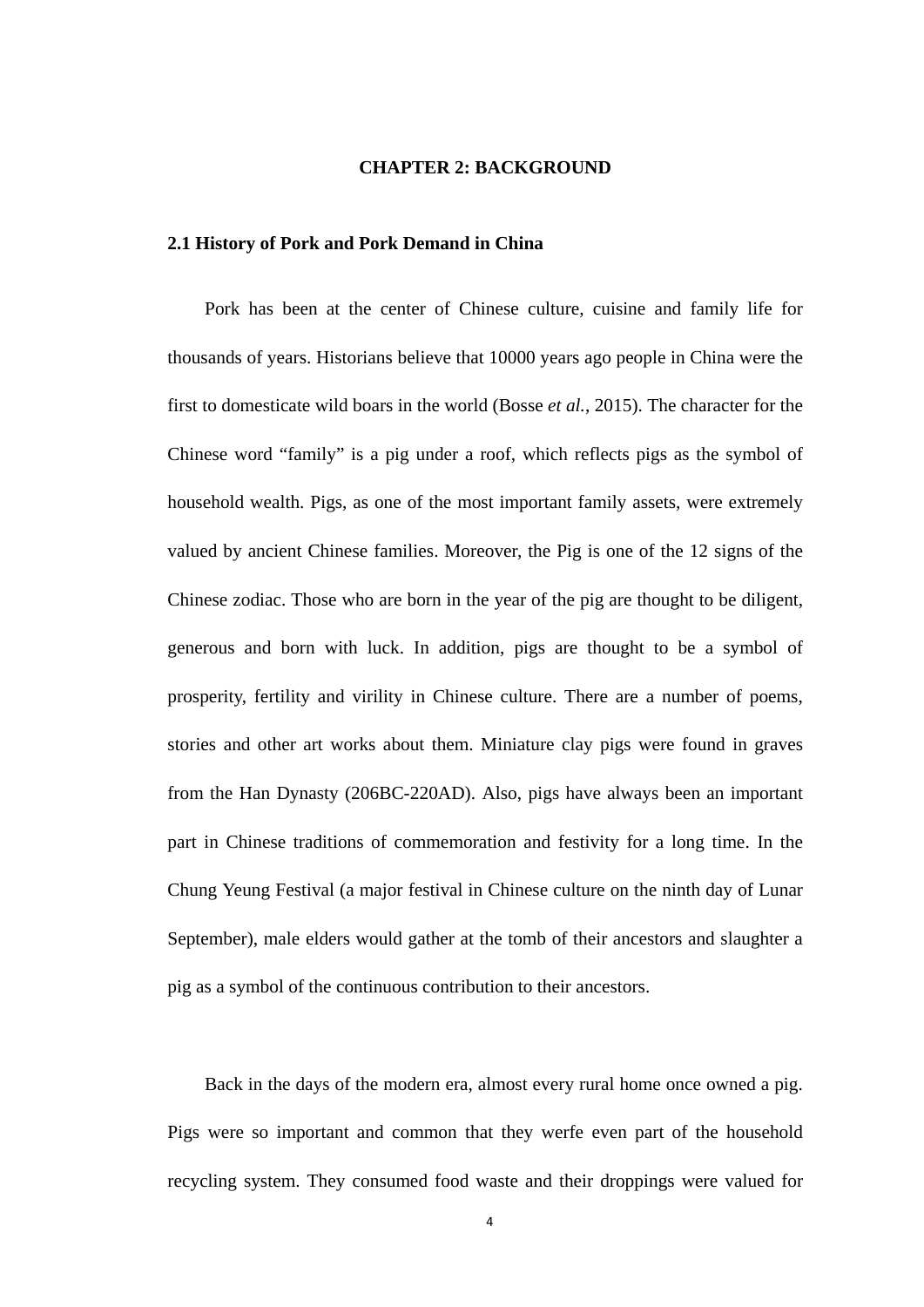#### **CHAPTER 2: BACKGROUND**

#### <span id="page-11-1"></span><span id="page-11-0"></span>**2.1 History of Pork and Pork Demand in China**

Pork has been at the center of Chinese culture, cuisine and family life for thousands of years. Historians believe that 10000 years ago people in China were the first to domesticate wild boars in the world (Bosse *et al.*, 2015). The character for the Chinese word "family" is a pig under a roof, which reflects pigs as the symbol of household wealth. Pigs, as one of the most important family assets, were extremely valued by ancient Chinese families. Moreover, the Pig is one of the 12 signs of the Chinese zodiac. Those who are born in the year of the pig are thought to be diligent, generous and born with luck. In addition, pigs are thought to be a symbol of prosperity, fertility and virility in Chinese culture. There are a number of poems, stories and other art works about them. Miniature clay pigs were found in graves from the Han Dynasty (206BC-220AD). Also, pigs have always been an important part in Chinese traditions of commemoration and festivity for a long time. In the Chung Yeung Festival (a major festival in Chinese culture on the ninth day of Lunar September), male elders would gather at the tomb of their ancestors and slaughter a pig as a symbol of the continuous contribution to their ancestors.

Back in the days of the modern era, almost every rural home once owned a pig. Pigs were so important and common that they werfe even part of the household recycling system. They consumed food waste and their droppings were valued for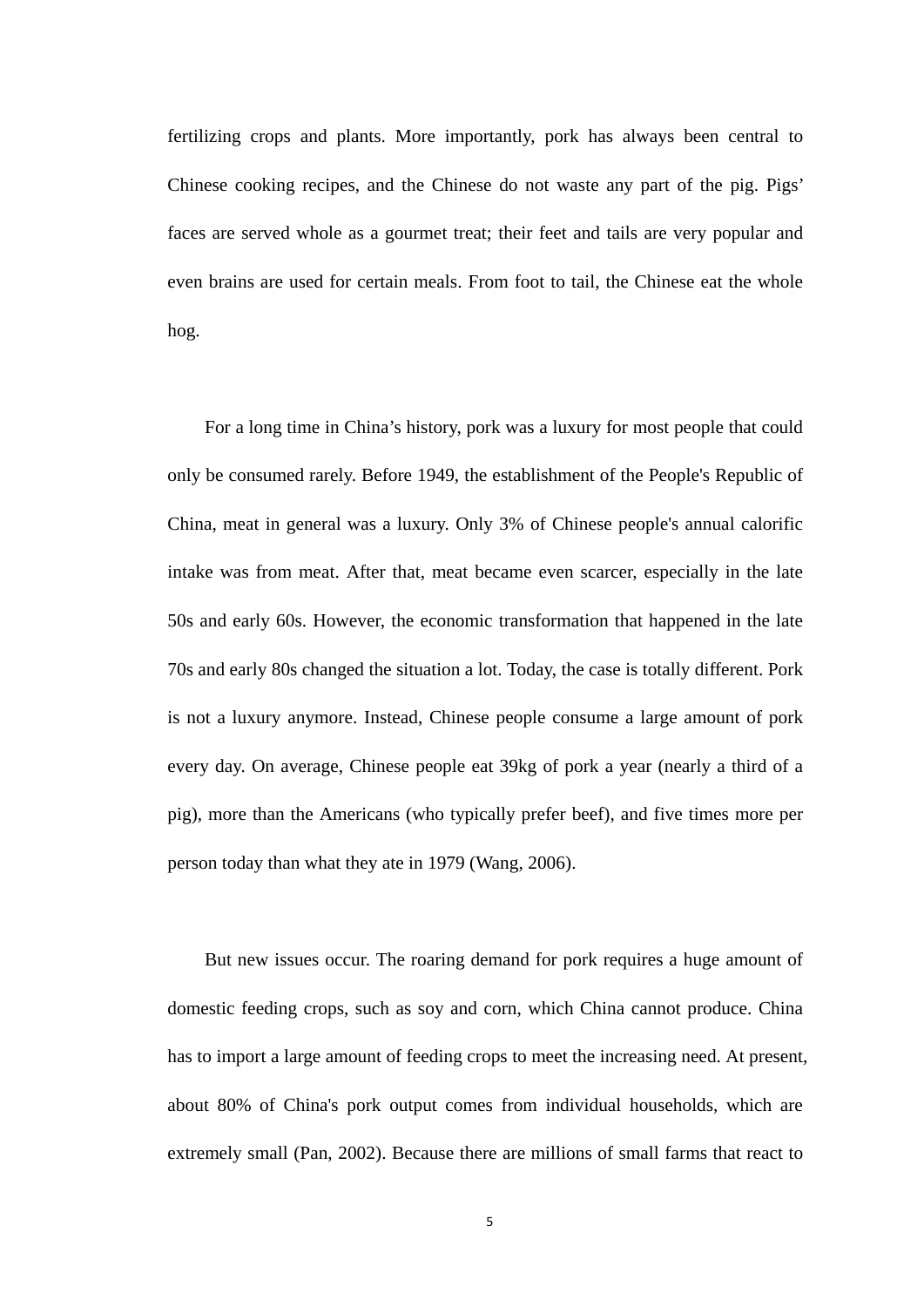fertilizing crops and plants. More importantly, pork has always been central to Chinese cooking recipes, and the Chinese do not waste any part of the pig. Pigs' faces are served whole as a gourmet treat; their feet and tails are very popular and even brains are used for certain meals. From foot to tail, the Chinese eat the whole hog.

For a long time in China's history, pork was a luxury for most people that could only be consumed rarely. Before 1949, the establishment of the People's Republic of China, meat in general was a luxury. Only 3% of Chinese people's annual calorific intake was from meat. After that, meat became even scarcer, especially in the late 50s and early 60s. However, the economic transformation that happened in the late 70s and early 80s changed the situation a lot. Today, the case is totally different. Pork is not a luxury anymore. Instead, Chinese people consume a large amount of pork every day. On average, Chinese people eat 39kg of pork a year (nearly a third of a pig), more than the Americans (who typically prefer beef), and five times more per person today than what they ate in 1979 (Wang, 2006).

But new issues occur. The roaring demand for pork requires a huge amount of domestic feeding crops, such as soy and corn, which China cannot produce. China has to import a large amount of feeding crops to meet the increasing need. At present, about 80% of China's pork output comes from individual households, which are extremely small (Pan, 2002). Because there are millions of small farms that react to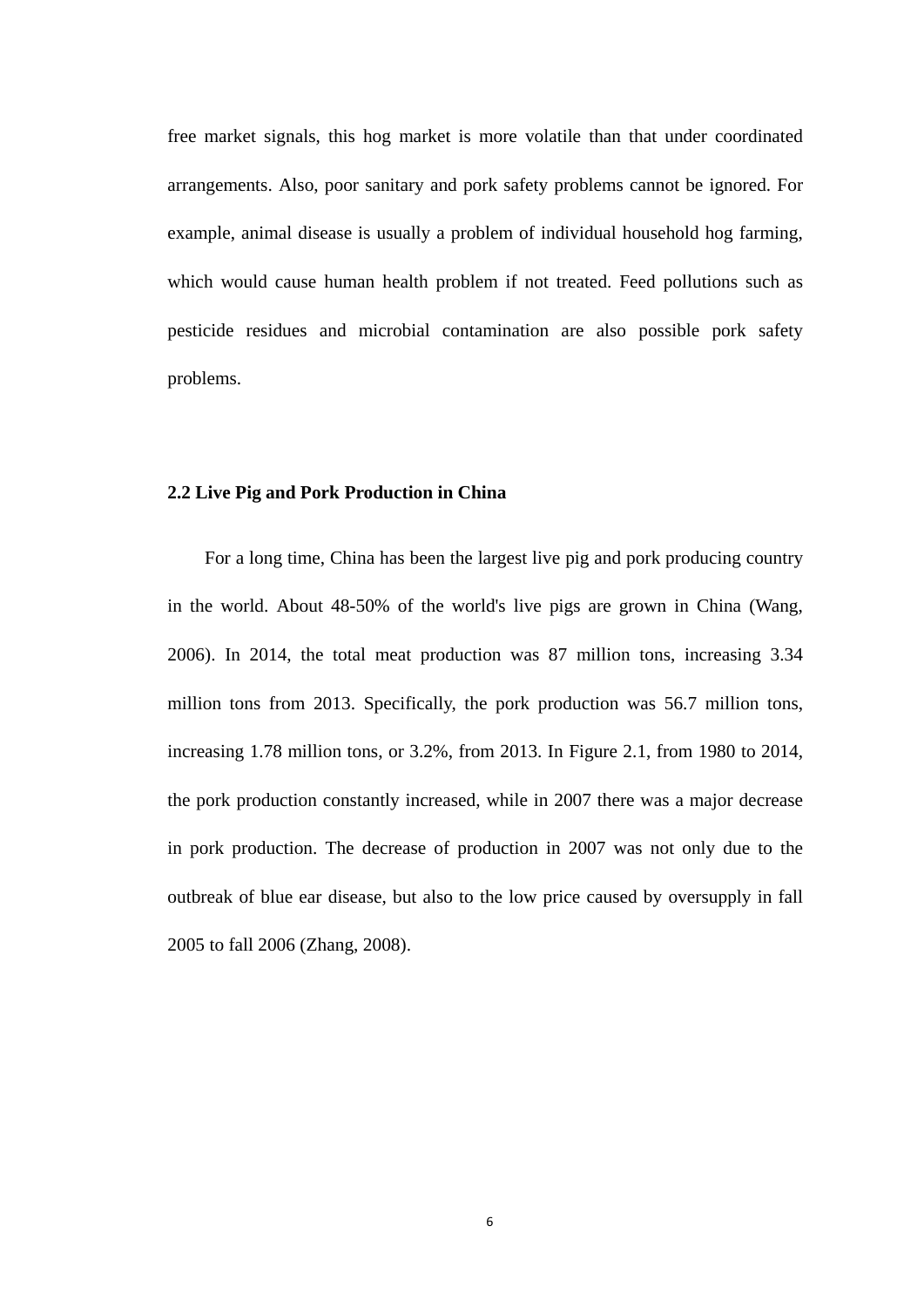free market signals, this hog market is more volatile than that under coordinated arrangements. Also, poor sanitary and pork safety problems cannot be ignored. For example, animal disease is usually a problem of individual household hog farming, which would cause human health problem if not treated. Feed pollutions such as pesticide residues and microbial contamination are also possible pork safety problems.

#### <span id="page-13-0"></span>**2.2 Live Pig and Pork Production in China**

For a long time, China has been the largest live pig and pork producing country in the world. About 48-50% of the world's live pigs are grown in China (Wang, 2006). In 2014, the total meat production was 87 million tons, increasing 3.34 million tons from 2013. Specifically, the pork production was 56.7 million tons, increasing 1.78 million tons, or 3.2%, from 2013. In Figure 2.1, from 1980 to 2014, the pork production constantly increased, while in 2007 there was a major decrease in pork production. The decrease of production in 2007 was not only due to the outbreak of blue ear disease, but also to the low price caused by oversupply in fall 2005 to fall 2006 (Zhang, 2008).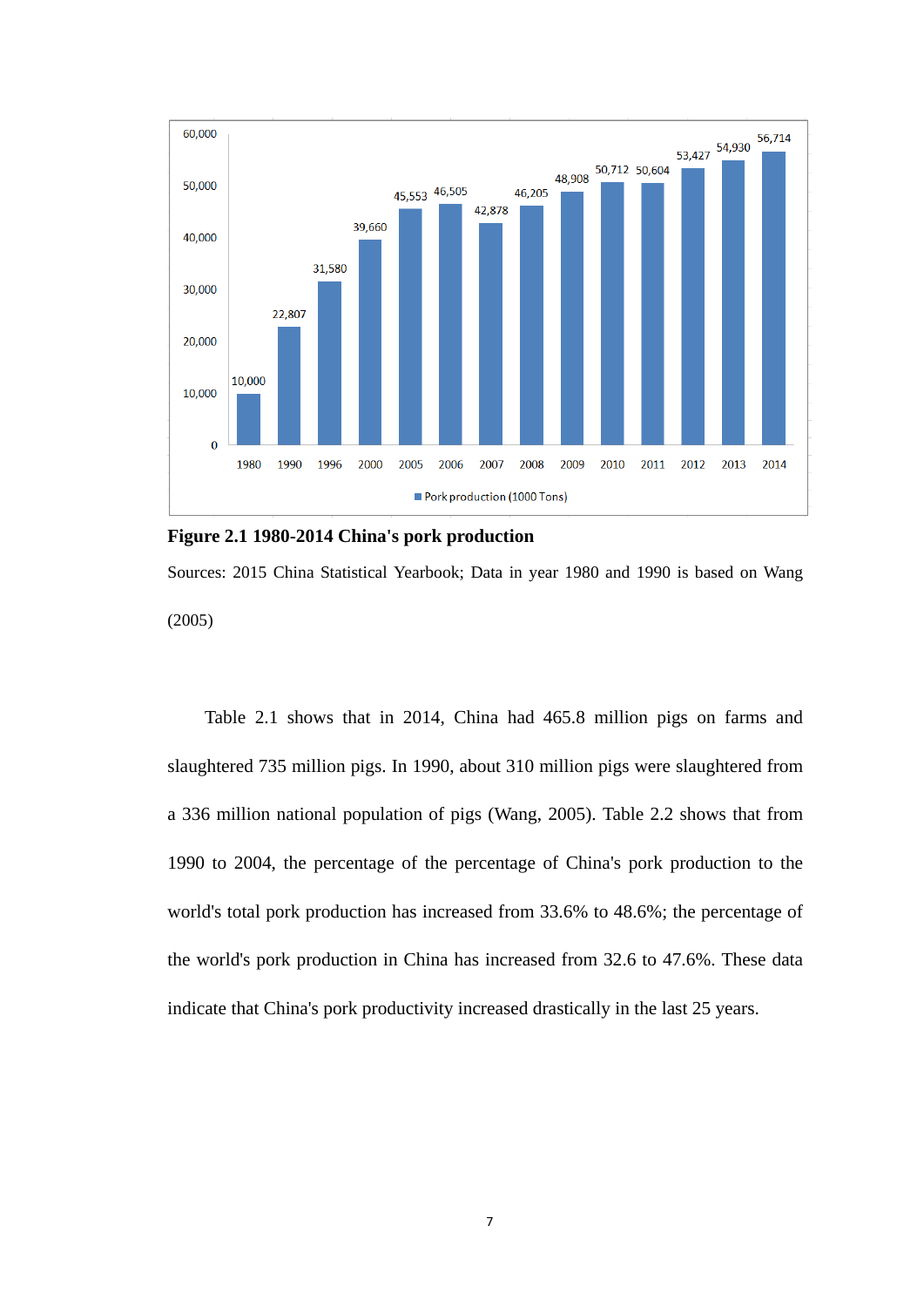

<span id="page-14-0"></span>**Figure 2.1 1980-2014 China's pork production**

Sources: 2015 China Statistical Yearbook; Data in year 1980 and 1990 is based on Wang (2005)

Table 2.1 shows that in 2014, China had 465.8 million pigs on farms and slaughtered 735 million pigs. In 1990, about 310 million pigs were slaughtered from a 336 million national population of pigs (Wang, 2005). Table 2.2 shows that from 1990 to 2004, the percentage of the percentage of China's pork production to the world's total pork production has increased from 33.6% to 48.6%; the percentage of the world's pork production in China has increased from 32.6 to 47.6%. These data indicate that China's pork productivity increased drastically in the last 25 years.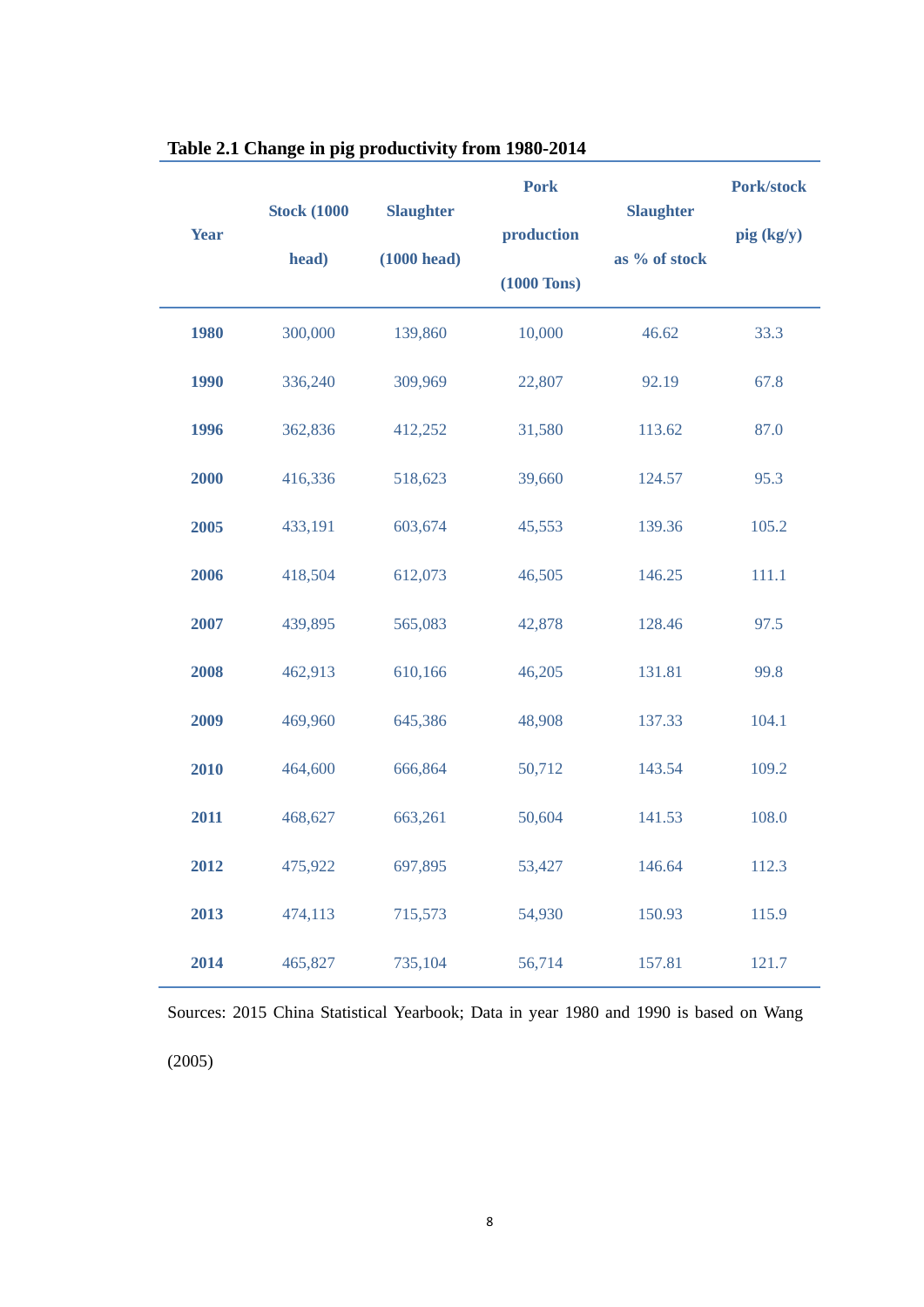| <b>Year</b> | <b>Stock (1000)</b><br>head) | <b>Slaughter</b><br>$(1000 \text{ head})$ | <b>Pork</b><br>production<br>$(1000$ Tons) |        | Pork/stock<br>pig (kg/y) |
|-------------|------------------------------|-------------------------------------------|--------------------------------------------|--------|--------------------------|
| 1980        | 300,000                      | 139,860                                   | 10,000                                     | 46.62  | 33.3                     |
| 1990        | 336,240                      | 309,969                                   | 22,807                                     | 92.19  | 67.8                     |
| 1996        | 362,836                      | 412,252                                   | 31,580                                     | 113.62 | 87.0                     |
| 2000        | 416,336                      | 518,623                                   | 39,660                                     | 124.57 | 95.3                     |
| 2005        | 433,191                      | 603,674                                   | 45,553                                     | 139.36 | 105.2                    |
| 2006        | 418,504                      | 612,073                                   | 46,505                                     | 146.25 | 111.1                    |
| 2007        | 439,895                      | 565,083                                   | 42,878                                     | 128.46 | 97.5                     |
| 2008        | 462,913                      | 610,166                                   | 46,205                                     | 131.81 | 99.8                     |
| 2009        | 469,960                      | 645,386                                   | 48,908                                     | 137.33 | 104.1                    |
| 2010        | 464,600                      | 666,864                                   | 50,712                                     | 143.54 | 109.2                    |
| 2011        | 468,627                      | 663,261                                   | 50,604                                     | 141.53 | 108.0                    |
| 2012        | 475,922                      | 697,895                                   | 53,427                                     | 146.64 | 112.3                    |
| 2013        | 474,113                      | 715,573                                   | 54,930                                     | 150.93 | 115.9                    |
| 2014        | 465,827                      | 735,104                                   | 56,714                                     | 157.81 | 121.7                    |

# <span id="page-15-0"></span>**Table 2.1 Change in pig productivity from 1980-2014**

Sources: 2015 China Statistical Yearbook; Data in year 1980 and 1990 is based on Wang (2005)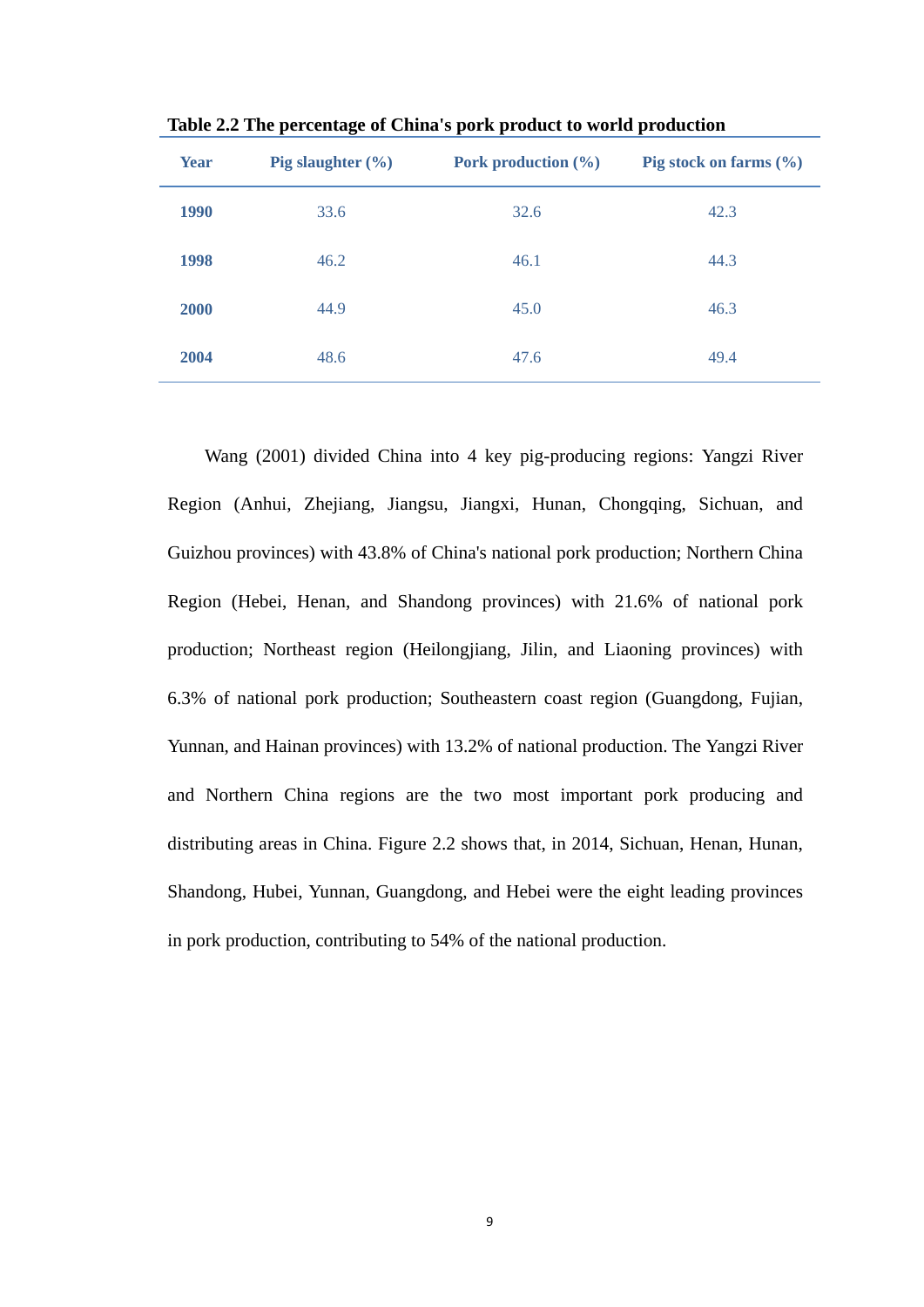| <b>Year</b> | Pig slaughter $(\% )$ | Pork production $(\% )$ | Pig stock on farms $(\% )$ |
|-------------|-----------------------|-------------------------|----------------------------|
| <b>1990</b> | 33.6                  | 32.6                    | 42.3                       |
| 1998        | 46.2                  | 46.1                    | 44.3                       |
| <b>2000</b> | 44.9                  | 45.0                    | 46.3                       |
| 2004        | 48.6                  | 47.6                    | 49.4                       |

<span id="page-16-0"></span>**Table 2.2 The percentage of China's pork product to world production**

Wang (2001) divided China into 4 key pig-producing regions: Yangzi River Region (Anhui, Zhejiang, Jiangsu, Jiangxi, Hunan, Chongqing, Sichuan, and Guizhou provinces) with 43.8% of China's national pork production; Northern China Region (Hebei, Henan, and Shandong provinces) with 21.6% of national pork production; Northeast region (Heilongjiang, Jilin, and Liaoning provinces) with 6.3% of national pork production; Southeastern coast region (Guangdong, Fujian, Yunnan, and Hainan provinces) with 13.2% of national production. The Yangzi River and Northern China regions are the two most important pork producing and distributing areas in China. Figure 2.2 shows that, in 2014, Sichuan, Henan, Hunan, Shandong, Hubei, Yunnan, Guangdong, and Hebei were the eight leading provinces in pork production, contributing to 54% of the national production.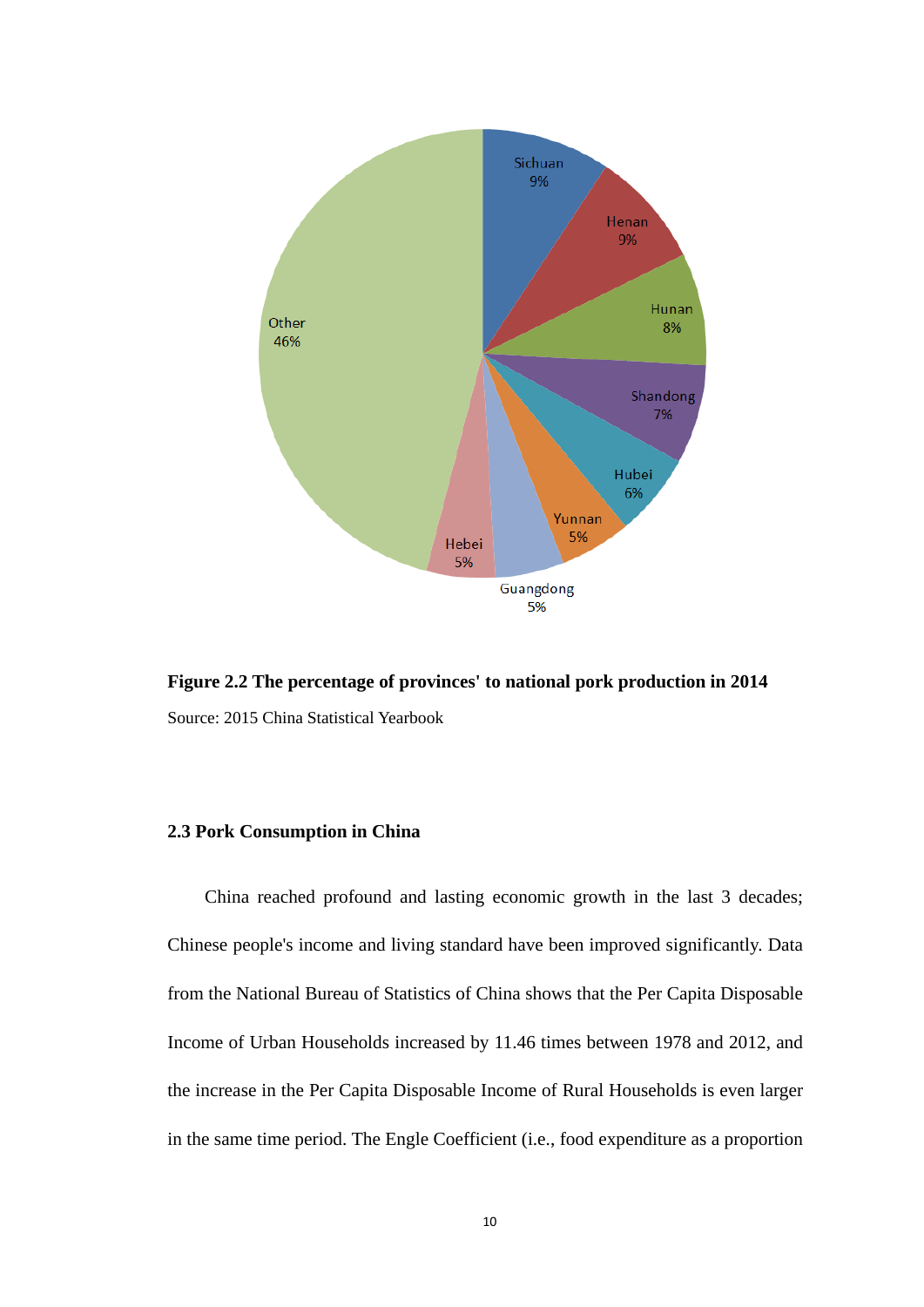

<span id="page-17-1"></span>**Figure 2.2 The percentage of provinces' to national pork production in 2014** Source: 2015 China Statistical Yearbook

#### <span id="page-17-0"></span>**2.3 Pork Consumption in China**

China reached profound and lasting economic growth in the last 3 decades; Chinese people's income and living standard have been improved significantly. Data from the National Bureau of Statistics of China shows that the Per Capita Disposable Income of Urban Households increased by 11.46 times between 1978 and 2012, and the increase in the Per Capita Disposable Income of Rural Households is even larger in the same time period. The Engle Coefficient (i.e., food expenditure as a proportion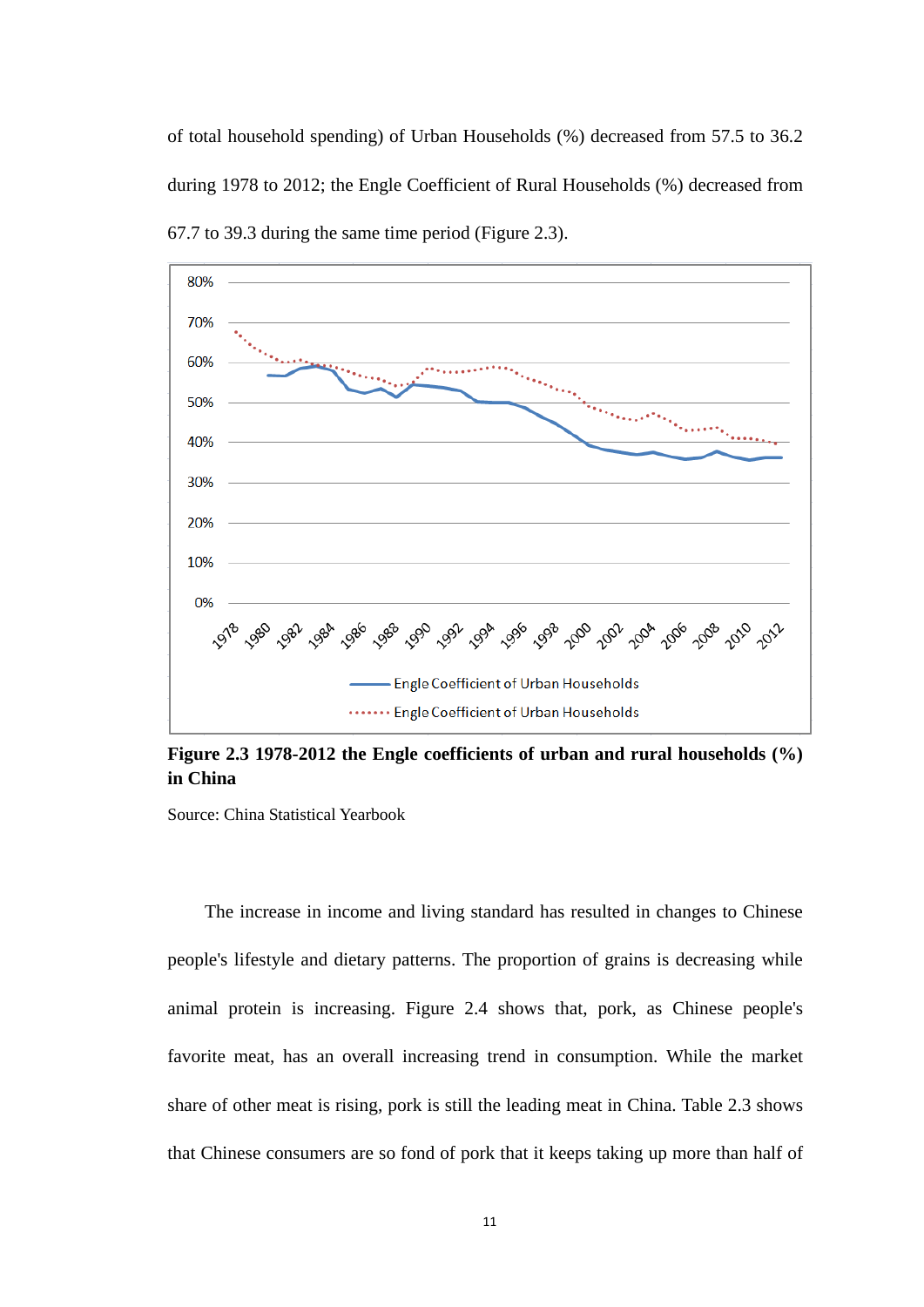of total household spending) of Urban Households (%) decreased from 57.5 to 36.2 during 1978 to 2012; the Engle Coefficient of Rural Households (%) decreased from 67.7 to 39.3 during the same time period (Figure 2.3).



<span id="page-18-0"></span>**Figure 2.3 1978-2012 the Engle coefficients of urban and rural households (%) in China**

Source: China Statistical Yearbook

The increase in income and living standard has resulted in changes to Chinese people's lifestyle and dietary patterns. The proportion of grains is decreasing while animal protein is increasing. Figure 2.4 shows that, pork, as Chinese people's favorite meat, has an overall increasing trend in consumption. While the market share of other meat is rising, pork is still the leading meat in China. Table 2.3 shows that Chinese consumers are so fond of pork that it keeps taking up more than half of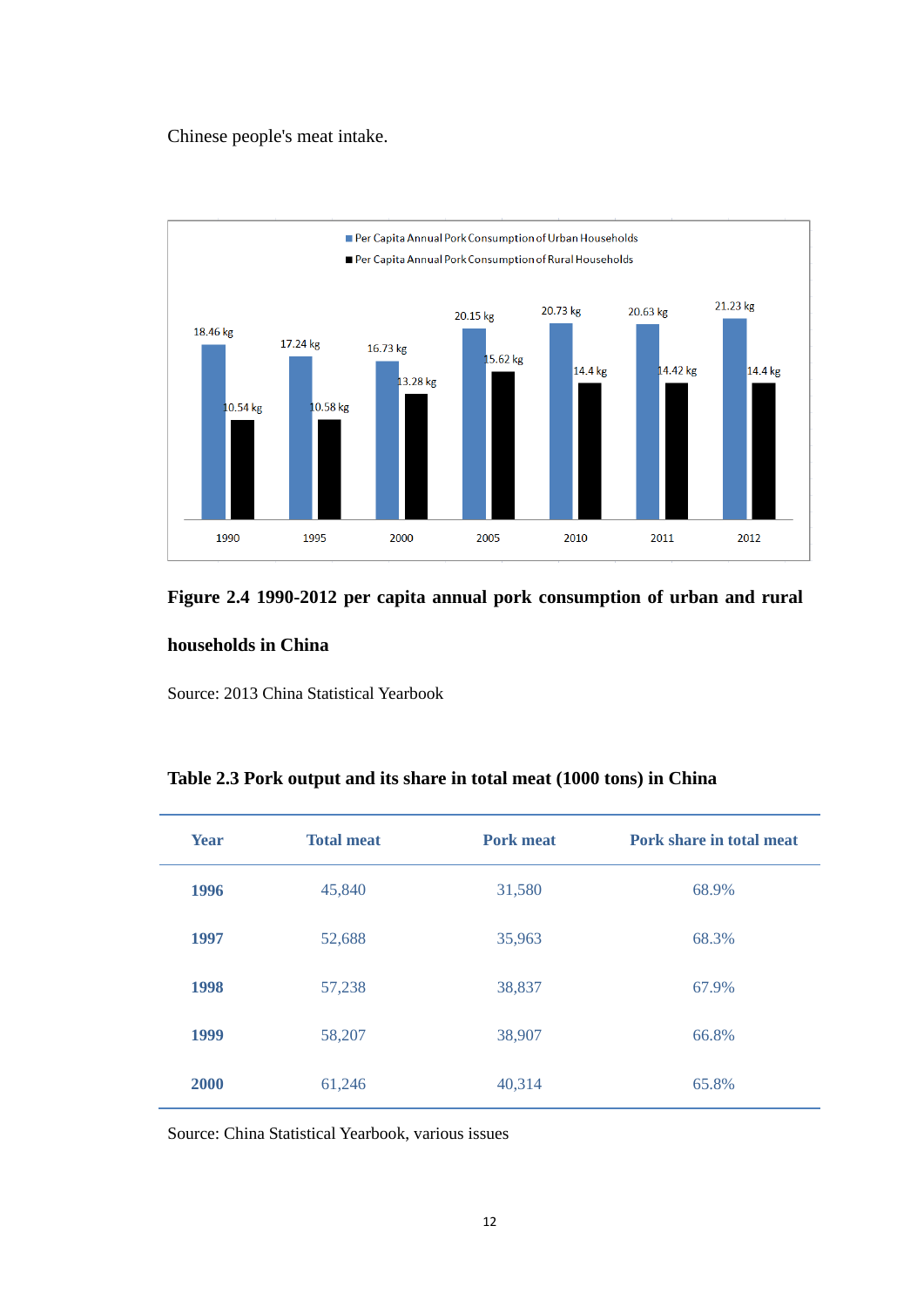Chinese people's meat intake.



## <span id="page-19-1"></span>**Figure 2.4 1990-2012 per capita annual pork consumption of urban and rural**

#### **households in China**

Source: 2013 China Statistical Yearbook

# <span id="page-19-0"></span>**Table 2.3 Pork output and its share in total meat (1000 tons) in China**

| <b>Year</b> | <b>Total meat</b> | <b>Pork meat</b> | Pork share in total meat |
|-------------|-------------------|------------------|--------------------------|
| 1996        | 45,840            | 31,580           | 68.9%                    |
| 1997        | 52,688            | 35,963           | 68.3%                    |
| 1998        | 57,238            | 38,837           | 67.9%                    |
| 1999        | 58,207            | 38,907           | 66.8%                    |
| <b>2000</b> | 61,246            | 40,314           | 65.8%                    |

Source: China Statistical Yearbook, various issues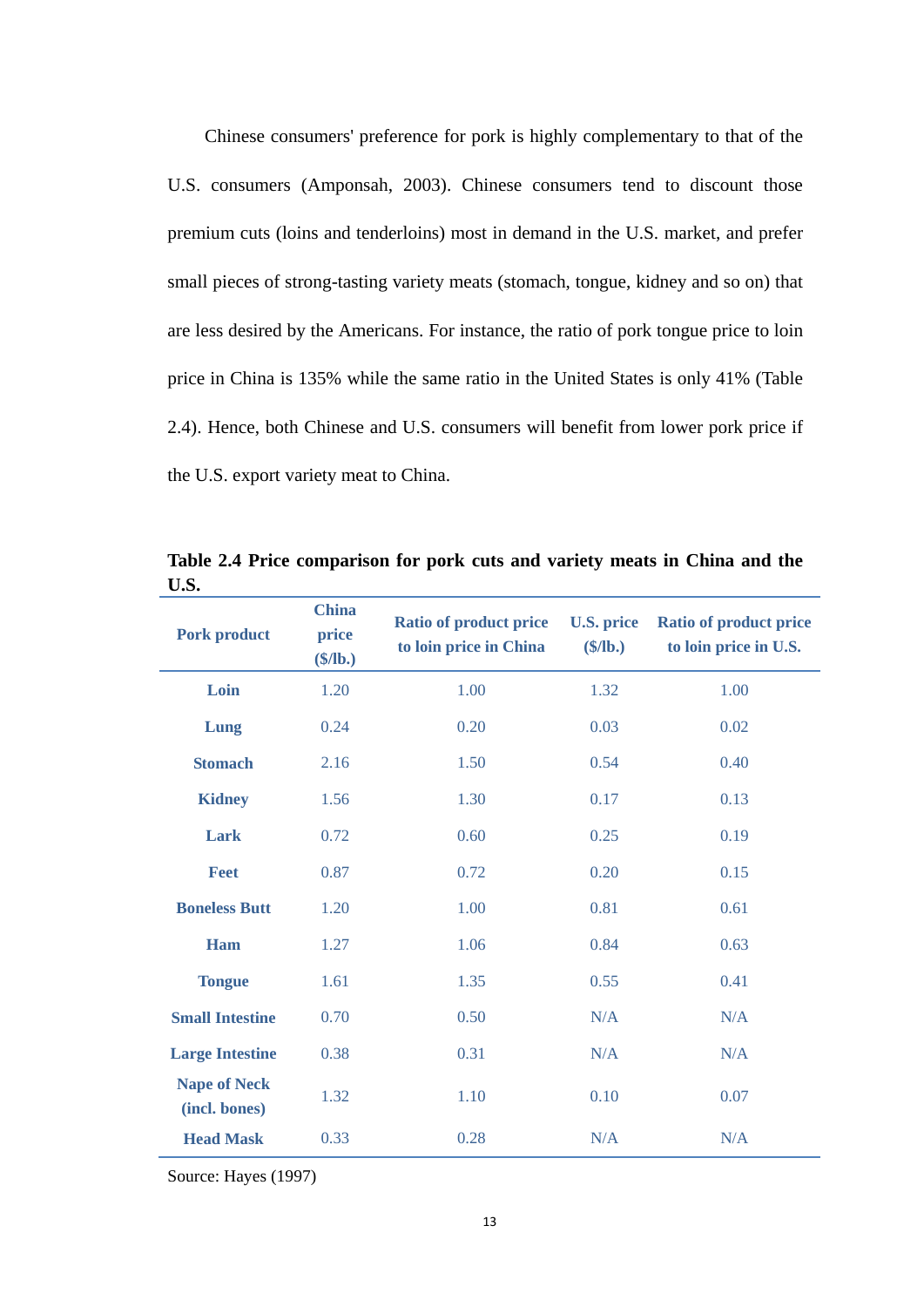Chinese consumers' preference for pork is highly complementary to that of the U.S. consumers (Amponsah, 2003). Chinese consumers tend to discount those premium cuts (loins and tenderloins) most in demand in the U.S. market, and prefer small pieces of strong-tasting variety meats (stomach, tongue, kidney and so on) that are less desired by the Americans. For instance, the ratio of pork tongue price to loin price in China is 135% while the same ratio in the United States is only 41% (Table 2.4). Hence, both Chinese and U.S. consumers will benefit from lower pork price if the U.S. export variety meat to China.

| <b>Pork product</b>                  | <b>China</b><br>price<br>\$/lb. | <b>Ratio of product price</b><br>to loin price in China | <b>U.S. price</b><br>\$/lb. | <b>Ratio of product price</b><br>to loin price in U.S. |
|--------------------------------------|---------------------------------|---------------------------------------------------------|-----------------------------|--------------------------------------------------------|
| Loin                                 | 1.20                            | 1.00                                                    | 1.32                        | 1.00                                                   |
| Lung                                 | 0.24                            | 0.20                                                    | 0.03                        | 0.02                                                   |
| <b>Stomach</b>                       | 2.16                            | 1.50                                                    | 0.54                        | 0.40                                                   |
| <b>Kidney</b>                        | 1.56                            | 1.30                                                    | 0.17                        | 0.13                                                   |
| <b>Lark</b>                          | 0.72                            | 0.60                                                    | 0.25                        | 0.19                                                   |
| <b>Feet</b>                          | 0.87                            | 0.72                                                    | 0.20                        | 0.15                                                   |
| <b>Boneless Butt</b>                 | 1.20                            | 1.00                                                    | 0.81                        | 0.61                                                   |
| Ham                                  | 1.27                            | 1.06                                                    | 0.84                        | 0.63                                                   |
| <b>Tongue</b>                        | 1.61                            | 1.35                                                    | 0.55                        | 0.41                                                   |
| <b>Small Intestine</b>               | 0.70                            | 0.50                                                    | N/A                         | N/A                                                    |
| <b>Large Intestine</b>               | 0.38                            | 0.31                                                    | N/A                         | N/A                                                    |
| <b>Nape of Neck</b><br>(incl. bones) | 1.32                            | 1.10                                                    | 0.10                        | 0.07                                                   |
| <b>Head Mask</b>                     | 0.33                            | 0.28                                                    | N/A                         | N/A                                                    |

<span id="page-20-0"></span>**Table 2.4 Price comparison for pork cuts and variety meats in China and the U.S.**

Source: Hayes (1997)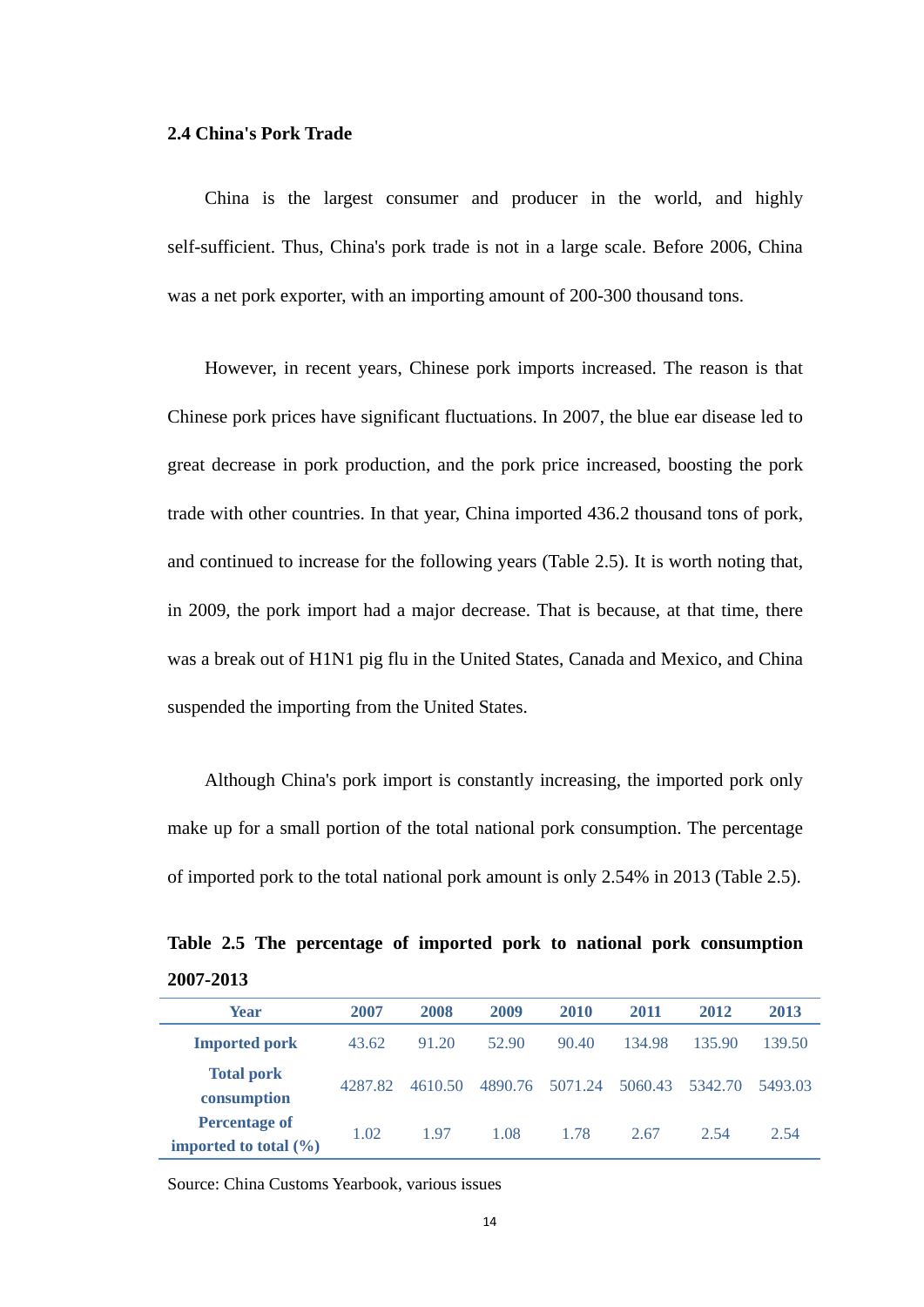#### <span id="page-21-0"></span>**2.4 China's Pork Trade**

China is the largest consumer and producer in the world, and highly self-sufficient. Thus, China's pork trade is not in a large scale. Before 2006, China was a net pork exporter, with an importing amount of 200-300 thousand tons.

However, in recent years, Chinese pork imports increased. The reason is that Chinese pork prices have significant fluctuations. In 2007, the blue ear disease led to great decrease in pork production, and the pork price increased, boosting the pork trade with other countries. In that year, China imported 436.2 thousand tons of pork, and continued to increase for the following years (Table 2.5). It is worth noting that, in 2009, the pork import had a major decrease. That is because, at that time, there was a break out of H1N1 pig flu in the United States, Canada and Mexico, and China suspended the importing from the United States.

Although China's pork import is constantly increasing, the imported pork only make up for a small portion of the total national pork consumption. The percentage of imported pork to the total national pork amount is only 2.54% in 2013 (Table 2.5).

<span id="page-21-1"></span>**Table 2.5 The percentage of imported pork to national pork consumption 2007-2013**

| <b>Year</b>                                               | 2007    | 2008    | 2009    | 2010    | 2011    | 2012    | 2013    |
|-----------------------------------------------------------|---------|---------|---------|---------|---------|---------|---------|
| <b>Imported pork</b>                                      | 43.62   | 91.20   | 52.90   | 90.40   | 134.98  | 135.90  | 139.50  |
| <b>Total pork</b><br>consumption                          | 4287.82 | 4610.50 | 4890.76 | 5071.24 | 5060.43 | 5342.70 | 5493.03 |
| <b>Percentage of</b><br>imported to total $(\frac{9}{6})$ | 1.02    | 197     | 1.08    | 1.78    | 2.67    | 2.54    | 2.54    |

Source: China Customs Yearbook, various issues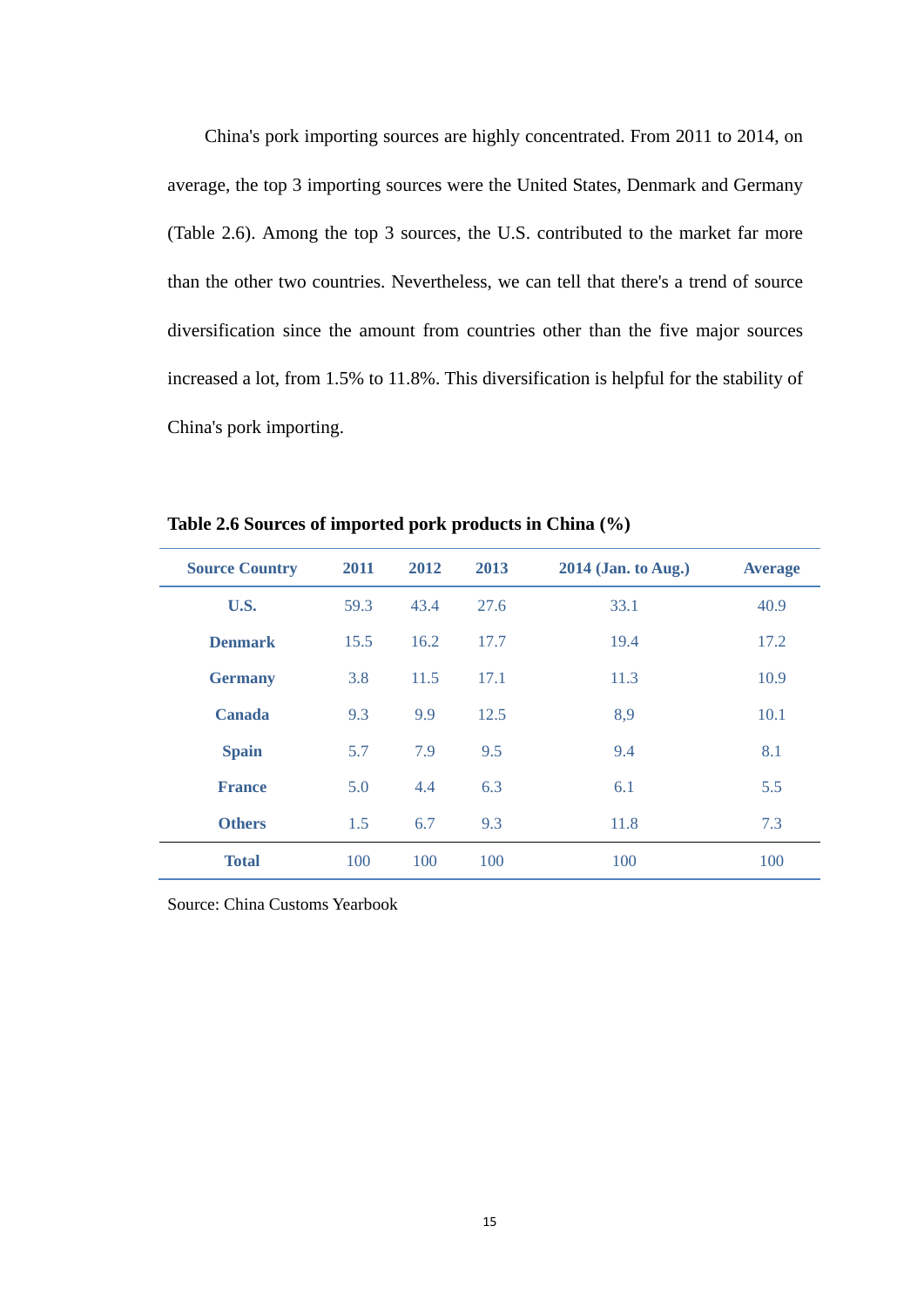China's pork importing sources are highly concentrated. From 2011 to 2014, on average, the top 3 importing sources were the United States, Denmark and Germany (Table 2.6). Among the top 3 sources, the U.S. contributed to the market far more than the other two countries. Nevertheless, we can tell that there's a trend of source diversification since the amount from countries other than the five major sources increased a lot, from 1.5% to 11.8%. This diversification is helpful for the stability of China's pork importing.

| <b>Source Country</b> | 2011 | 2012 | 2013 | $2014$ (Jan. to Aug.) | <b>Average</b> |
|-----------------------|------|------|------|-----------------------|----------------|
| U.S.                  | 59.3 | 43.4 | 27.6 | 33.1                  | 40.9           |
| <b>Denmark</b>        | 15.5 | 16.2 | 17.7 | 19.4                  | 17.2           |
| <b>Germany</b>        | 3.8  | 11.5 | 17.1 | 11.3                  | 10.9           |
| <b>Canada</b>         | 9.3  | 9.9  | 12.5 | 8,9                   | 10.1           |
| <b>Spain</b>          | 5.7  | 7.9  | 9.5  | 9.4                   | 8.1            |
| <b>France</b>         | 5.0  | 4.4  | 6.3  | 6.1                   | 5.5            |
| <b>Others</b>         | 1.5  | 6.7  | 9.3  | 11.8                  | 7.3            |
| <b>Total</b>          | 100  | 100  | 100  | 100                   | 100            |

<span id="page-22-1"></span>**Table 2.6 Sources of imported pork products in China (%)**

<span id="page-22-0"></span>Source: China Customs Yearbook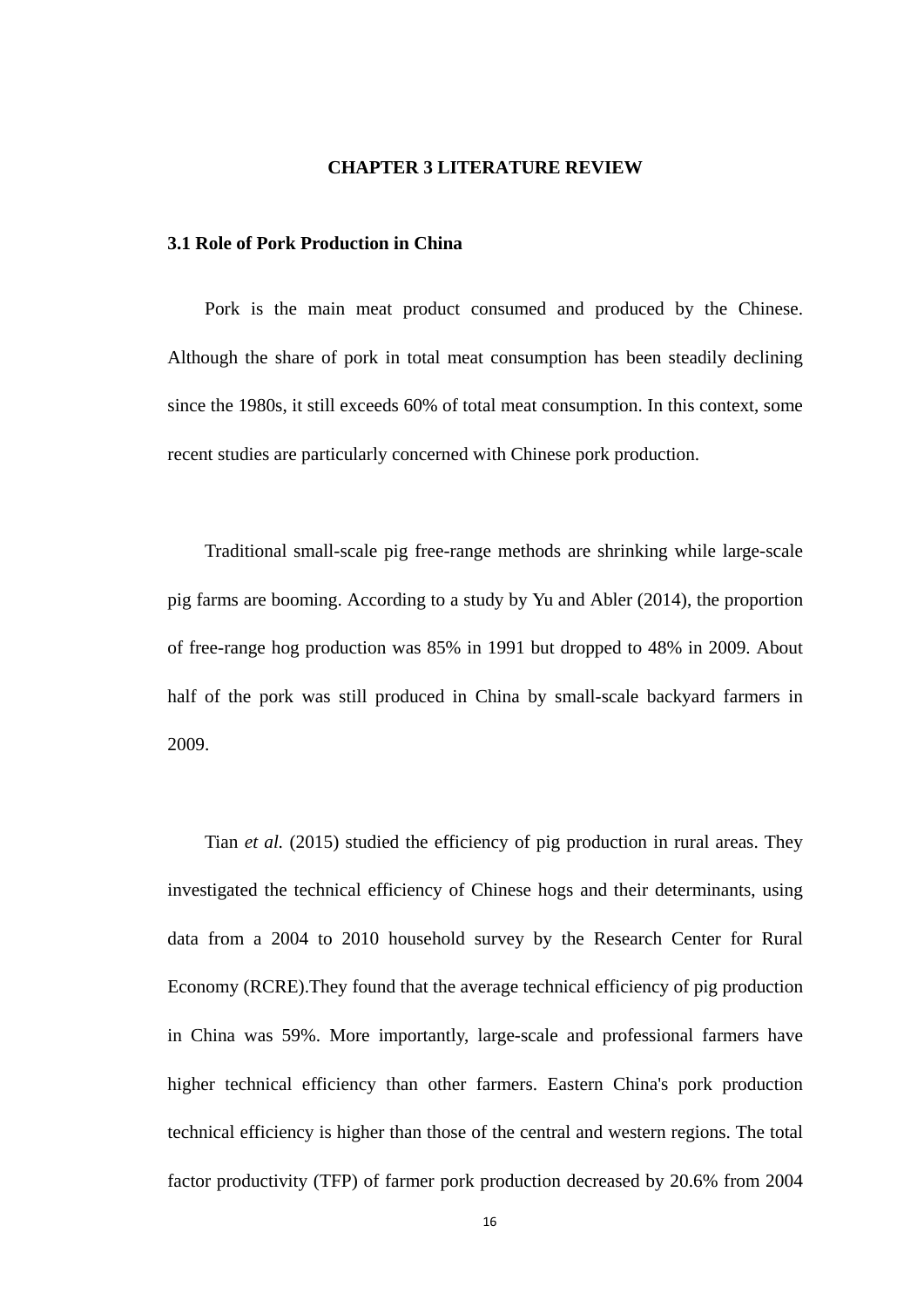#### **CHAPTER 3 LITERATURE REVIEW**

#### <span id="page-23-0"></span>**3.1 Role of Pork Production in China**

Pork is the main meat product consumed and produced by the Chinese. Although the share of pork in total meat consumption has been steadily declining since the 1980s, it still exceeds 60% of total meat consumption. In this context, some recent studies are particularly concerned with Chinese pork production.

Traditional small-scale pig free-range methods are shrinking while large-scale pig farms are booming. According to a study by Yu and Abler (2014), the proportion of free-range hog production was 85% in 1991 but dropped to 48% in 2009. About half of the pork was still produced in China by small-scale backyard farmers in 2009.

Tian *et al.* (2015) studied the efficiency of pig production in rural areas. They investigated the technical efficiency of Chinese hogs and their determinants, using data from a 2004 to 2010 household survey by the Research Center for Rural Economy (RCRE).They found that the average technical efficiency of pig production in China was 59%. More importantly, large-scale and professional farmers have higher technical efficiency than other farmers. Eastern China's pork production technical efficiency is higher than those of the central and western regions. The total factor productivity (TFP) of farmer pork production decreased by 20.6% from 2004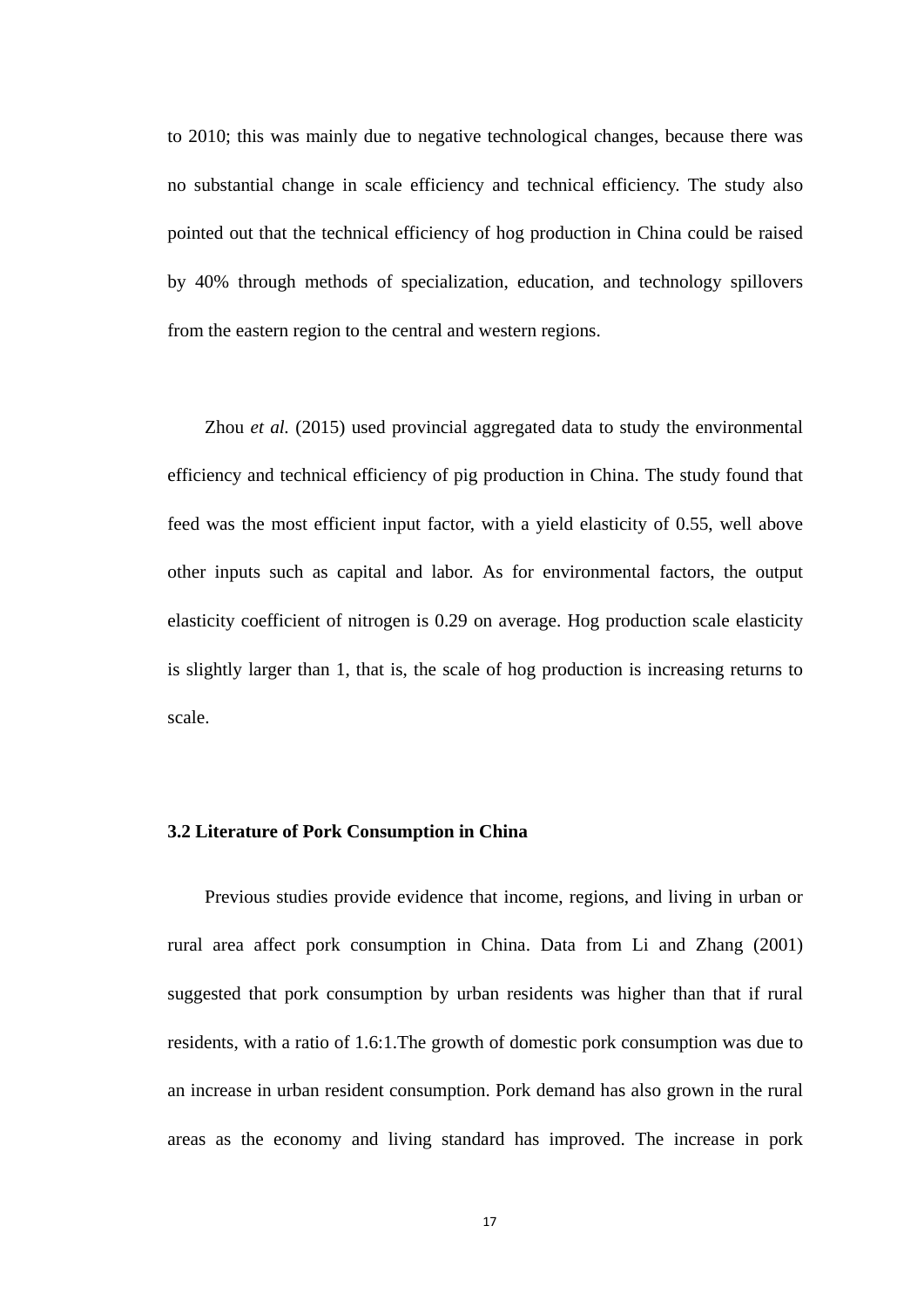to 2010; this was mainly due to negative technological changes, because there was no substantial change in scale efficiency and technical efficiency. The study also pointed out that the technical efficiency of hog production in China could be raised by 40% through methods of specialization, education, and technology spillovers from the eastern region to the central and western regions.

Zhou *et al.* (2015) used provincial aggregated data to study the environmental efficiency and technical efficiency of pig production in China. The study found that feed was the most efficient input factor, with a yield elasticity of 0.55, well above other inputs such as capital and labor. As for environmental factors, the output elasticity coefficient of nitrogen is 0.29 on average. Hog production scale elasticity is slightly larger than 1, that is, the scale of hog production is increasing returns to scale.

#### <span id="page-24-0"></span>**3.2 Literature of Pork Consumption in China**

Previous studies provide evidence that income, regions, and living in urban or rural area affect pork consumption in China. Data from Li and Zhang (2001) suggested that pork consumption by urban residents was higher than that if rural residents, with a ratio of 1.6:1.The growth of domestic pork consumption was due to an increase in urban resident consumption. Pork demand has also grown in the rural areas as the economy and living standard has improved. The increase in pork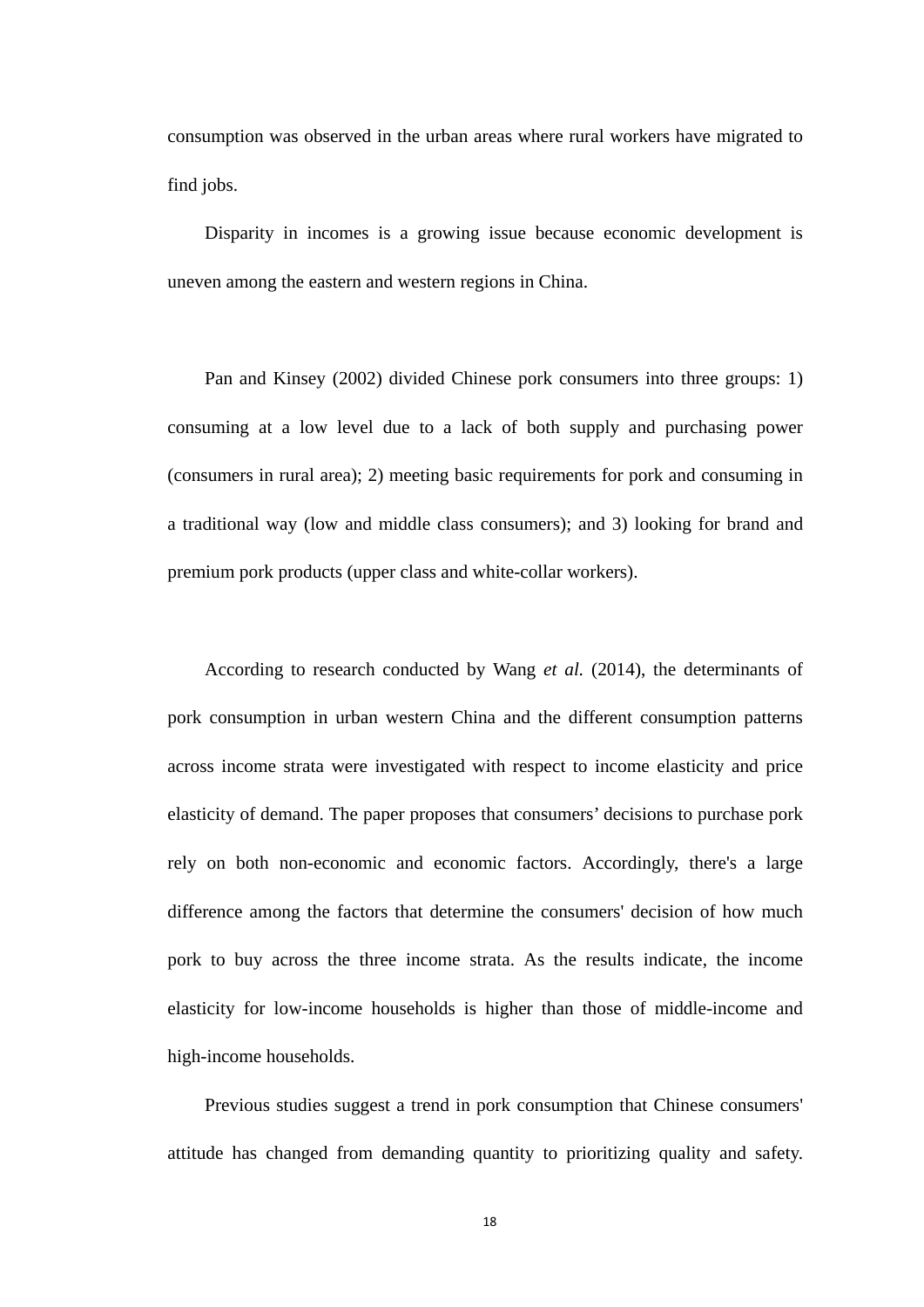consumption was observed in the urban areas where rural workers have migrated to find jobs.

Disparity in incomes is a growing issue because economic development is uneven among the eastern and western regions in China.

Pan and Kinsey (2002) divided Chinese pork consumers into three groups: 1) consuming at a low level due to a lack of both supply and purchasing power (consumers in rural area); 2) meeting basic requirements for pork and consuming in a traditional way (low and middle class consumers); and 3) looking for brand and premium pork products (upper class and white-collar workers).

According to research conducted by Wang *et al.* (2014), the determinants of pork consumption in urban western China and the different consumption patterns across income strata were investigated with respect to income elasticity and price elasticity of demand. The paper proposes that consumers' decisions to purchase pork rely on both non-economic and economic factors. Accordingly, there's a large difference among the factors that determine the consumers' decision of how much pork to buy across the three income strata. As the results indicate, the income elasticity for low-income households is higher than those of middle-income and high-income households.

Previous studies suggest a trend in pork consumption that Chinese consumers' attitude has changed from demanding quantity to prioritizing quality and safety.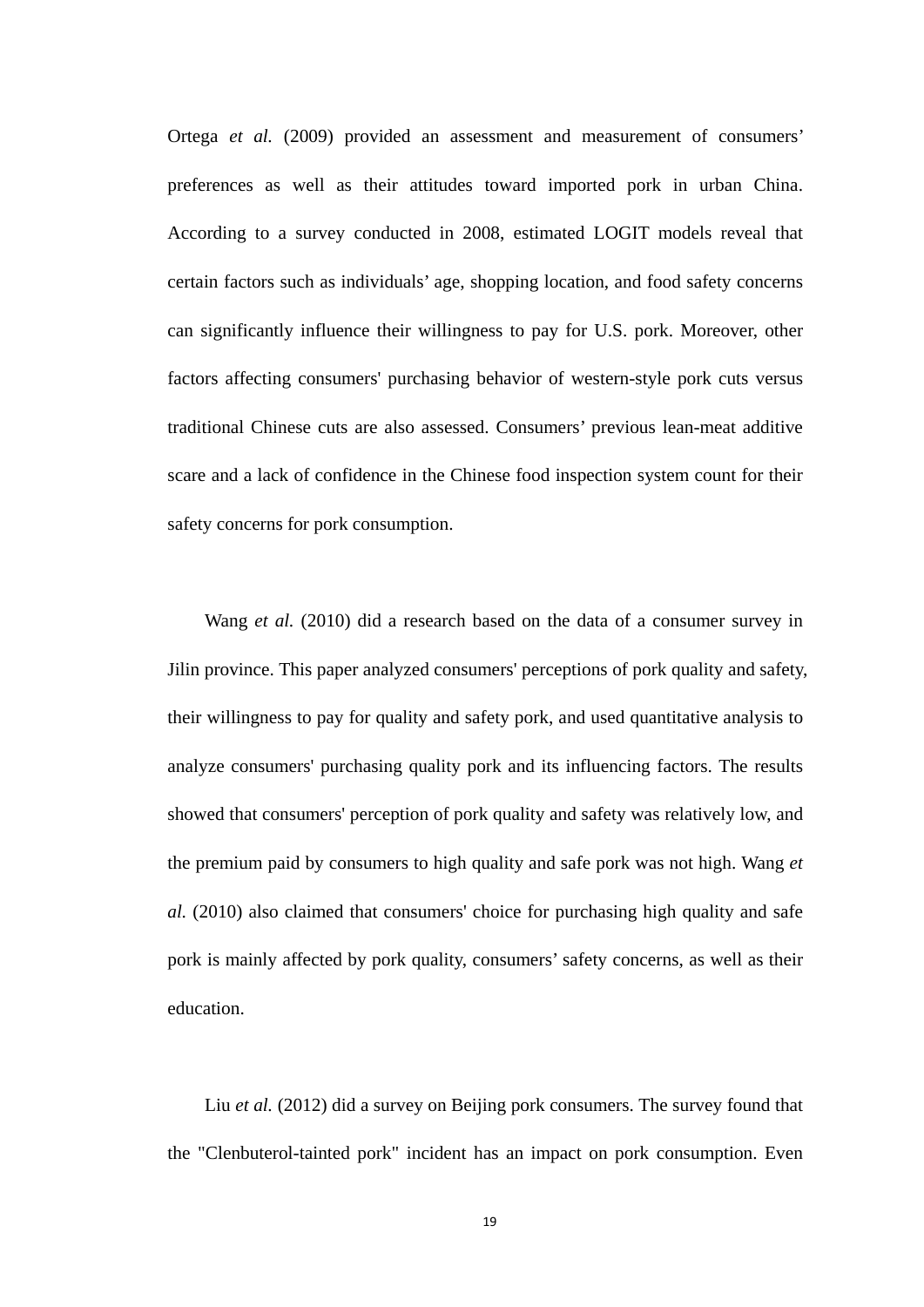Ortega *et al.* (2009) provided an assessment and measurement of consumers' preferences as well as their attitudes toward imported pork in urban China. According to a survey conducted in 2008, estimated LOGIT models reveal that certain factors such as individuals' age, shopping location, and food safety concerns can significantly influence their willingness to pay for U.S. pork. Moreover, other factors affecting consumers' purchasing behavior of western-style pork cuts versus traditional Chinese cuts are also assessed. Consumers' previous lean-meat additive scare and a lack of confidence in the Chinese food inspection system count for their safety concerns for pork consumption.

Wang *et al.* (2010) did a research based on the data of a consumer survey in Jilin province. This paper analyzed consumers' perceptions of pork quality and safety, their willingness to pay for quality and safety pork, and used quantitative analysis to analyze consumers' purchasing quality pork and its influencing factors. The results showed that consumers' perception of pork quality and safety was relatively low, and the premium paid by consumers to high quality and safe pork was not high. Wang *et al.* (2010) also claimed that consumers' choice for purchasing high quality and safe pork is mainly affected by pork quality, consumers' safety concerns, as well as their education.

Liu *et al.* (2012) did a survey on Beijing pork consumers. The survey found that the "Clenbuterol-tainted pork" incident has an impact on pork consumption. Even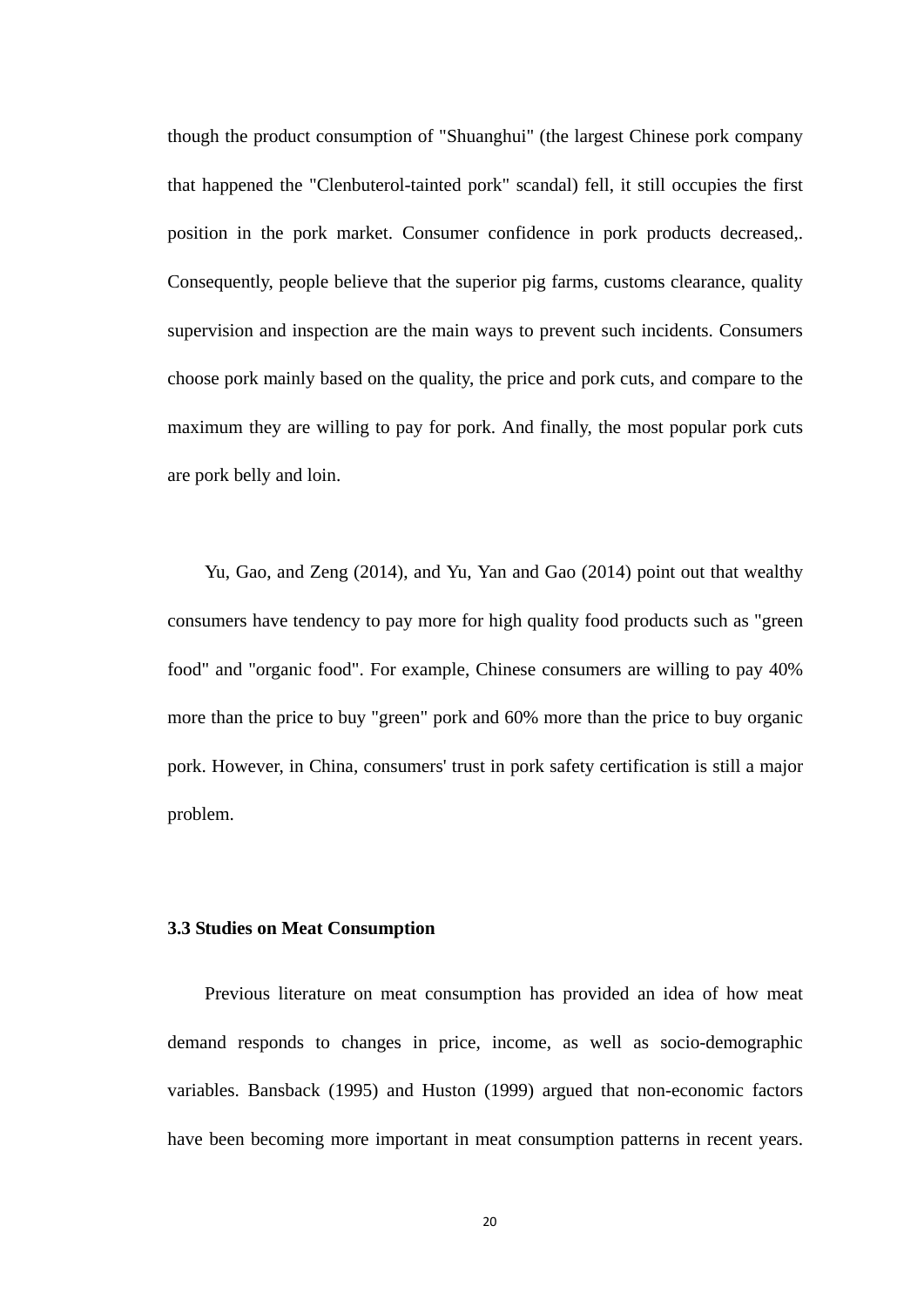though the product consumption of "Shuanghui" (the largest Chinese pork company that happened the "Clenbuterol-tainted pork" scandal) fell, it still occupies the first position in the pork market. Consumer confidence in pork products decreased,. Consequently, people believe that the superior pig farms, customs clearance, quality supervision and inspection are the main ways to prevent such incidents. Consumers choose pork mainly based on the quality, the price and pork cuts, and compare to the maximum they are willing to pay for pork. And finally, the most popular pork cuts are pork belly and loin.

Yu, Gao, and Zeng (2014), and Yu, Yan and Gao (2014) point out that wealthy consumers have tendency to pay more for high quality food products such as "green food" and "organic food". For example, Chinese consumers are willing to pay 40% more than the price to buy "green" pork and 60% more than the price to buy organic pork. However, in China, consumers' trust in pork safety certification is still a major problem.

#### <span id="page-27-0"></span>**3.3 Studies on Meat Consumption**

Previous literature on meat consumption has provided an idea of how meat demand responds to changes in price, income, as well as socio-demographic variables. Bansback (1995) and Huston (1999) argued that non-economic factors have been becoming more important in meat consumption patterns in recent years.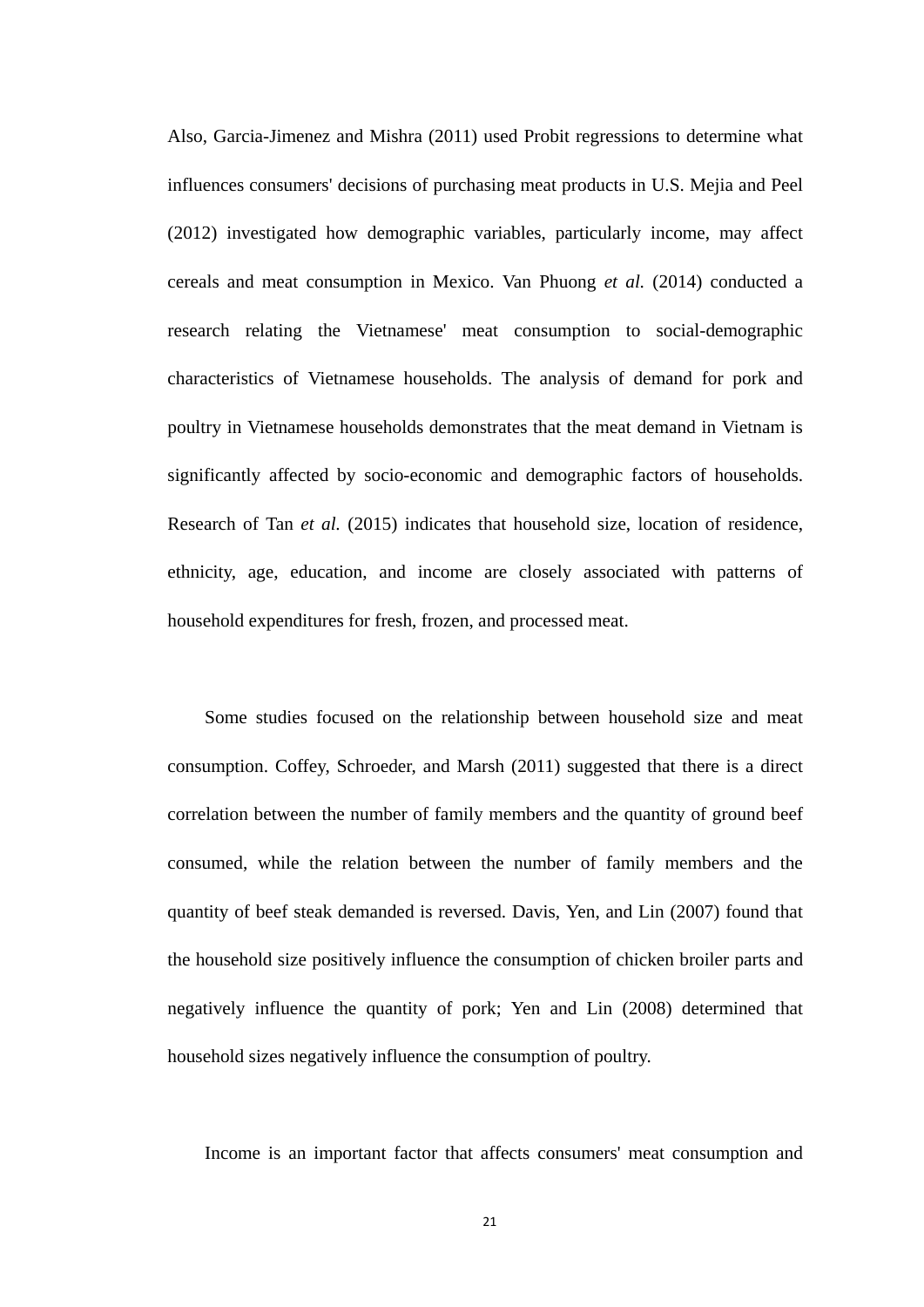Also, Garcia-Jimenez and Mishra (2011) used Probit regressions to determine what influences consumers' decisions of purchasing meat products in U.S. Mejia and Peel (2012) investigated how demographic variables, particularly income, may affect cereals and meat consumption in Mexico. Van Phuong *et al.* (2014) conducted a research relating the Vietnamese' meat consumption to social-demographic characteristics of Vietnamese households. The analysis of demand for pork and poultry in Vietnamese households demonstrates that the meat demand in Vietnam is significantly affected by socio-economic and demographic factors of households. Research of Tan *et al.* (2015) indicates that household size, location of residence, ethnicity, age, education, and income are closely associated with patterns of household expenditures for fresh, frozen, and processed meat.

Some studies focused on the relationship between household size and meat consumption. Coffey, Schroeder, and Marsh (2011) suggested that there is a direct correlation between the number of family members and the quantity of ground beef consumed, while the relation between the number of family members and the quantity of beef steak demanded is reversed. Davis, Yen, and Lin (2007) found that the household size positively influence the consumption of chicken broiler parts and negatively influence the quantity of pork; Yen and Lin (2008) determined that household sizes negatively influence the consumption of poultry.

Income is an important factor that affects consumers' meat consumption and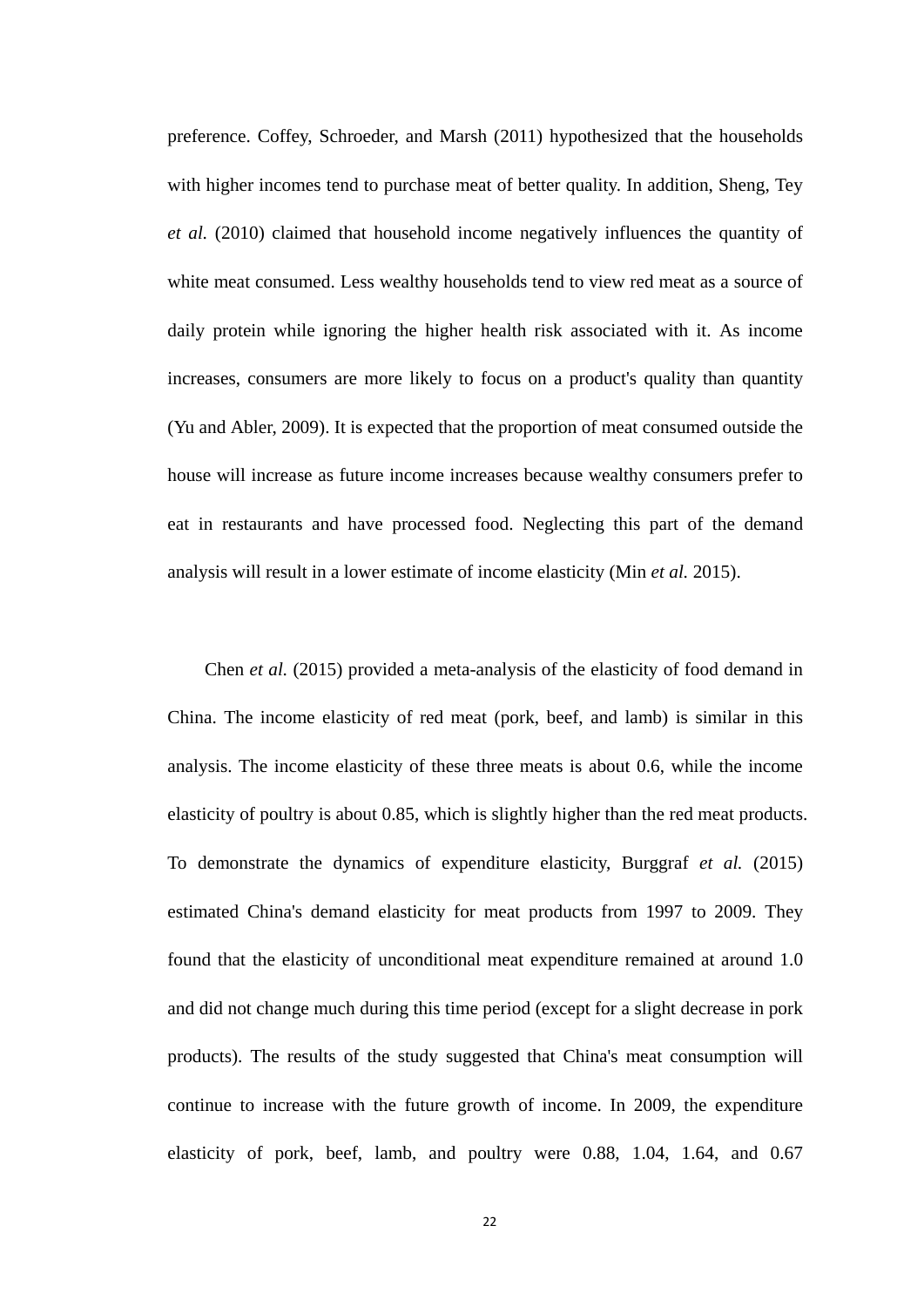preference. Coffey, Schroeder, and Marsh (2011) hypothesized that the households with higher incomes tend to purchase meat of better quality. In addition, Sheng, Tey *et al.* (2010) claimed that household income negatively influences the quantity of white meat consumed. Less wealthy households tend to view red meat as a source of daily protein while ignoring the higher health risk associated with it. As income increases, consumers are more likely to focus on a product's quality than quantity (Yu and Abler, 2009). It is expected that the proportion of meat consumed outside the house will increase as future income increases because wealthy consumers prefer to eat in restaurants and have processed food. Neglecting this part of the demand analysis will result in a lower estimate of income elasticity (Min *et al.* 2015).

Chen *et al.* (2015) provided a meta-analysis of the elasticity of food demand in China. The income elasticity of red meat (pork, beef, and lamb) is similar in this analysis. The income elasticity of these three meats is about 0.6, while the income elasticity of poultry is about 0.85, which is slightly higher than the red meat products. To demonstrate the dynamics of expenditure elasticity, Burggraf *et al.* (2015) estimated China's demand elasticity for meat products from 1997 to 2009. They found that the elasticity of unconditional meat expenditure remained at around 1.0 and did not change much during this time period (except for a slight decrease in pork products). The results of the study suggested that China's meat consumption will continue to increase with the future growth of income. In 2009, the expenditure elasticity of pork, beef, lamb, and poultry were 0.88, 1.04, 1.64, and 0.67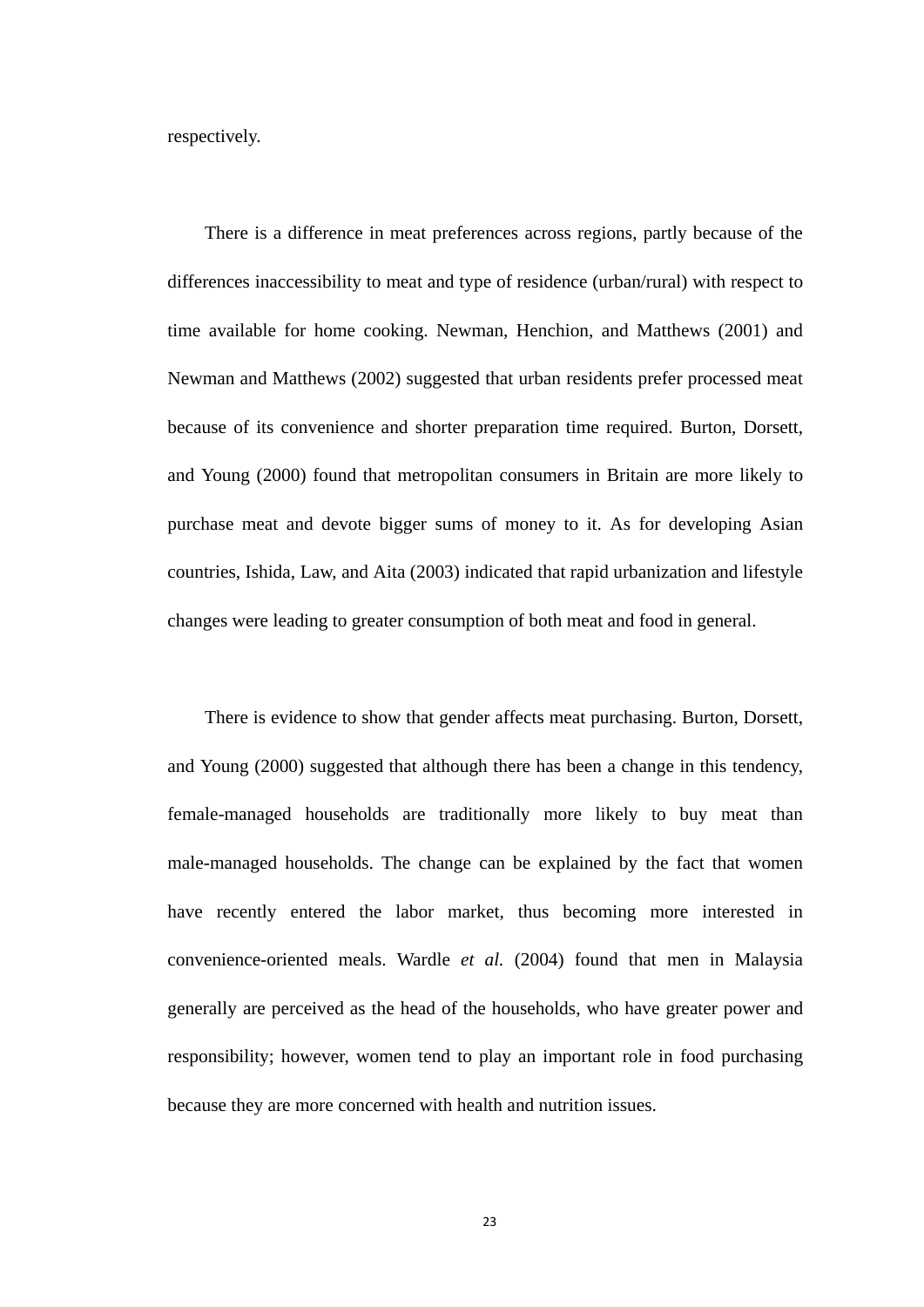respectively.

There is a difference in meat preferences across regions, partly because of the differences inaccessibility to meat and type of residence (urban/rural) with respect to time available for home cooking. Newman, Henchion, and Matthews (2001) and Newman and Matthews (2002) suggested that urban residents prefer processed meat because of its convenience and shorter preparation time required. Burton, Dorsett, and Young (2000) found that metropolitan consumers in Britain are more likely to purchase meat and devote bigger sums of money to it. As for developing Asian countries, Ishida, Law, and Aita (2003) indicated that rapid urbanization and lifestyle changes were leading to greater consumption of both meat and food in general.

There is evidence to show that gender affects meat purchasing. Burton, Dorsett, and Young (2000) suggested that although there has been a change in this tendency, female-managed households are traditionally more likely to buy meat than male-managed households. The change can be explained by the fact that women have recently entered the labor market, thus becoming more interested in convenience-oriented meals. Wardle *et al.* (2004) found that men in Malaysia generally are perceived as the head of the households, who have greater power and responsibility; however, women tend to play an important role in food purchasing because they are more concerned with health and nutrition issues.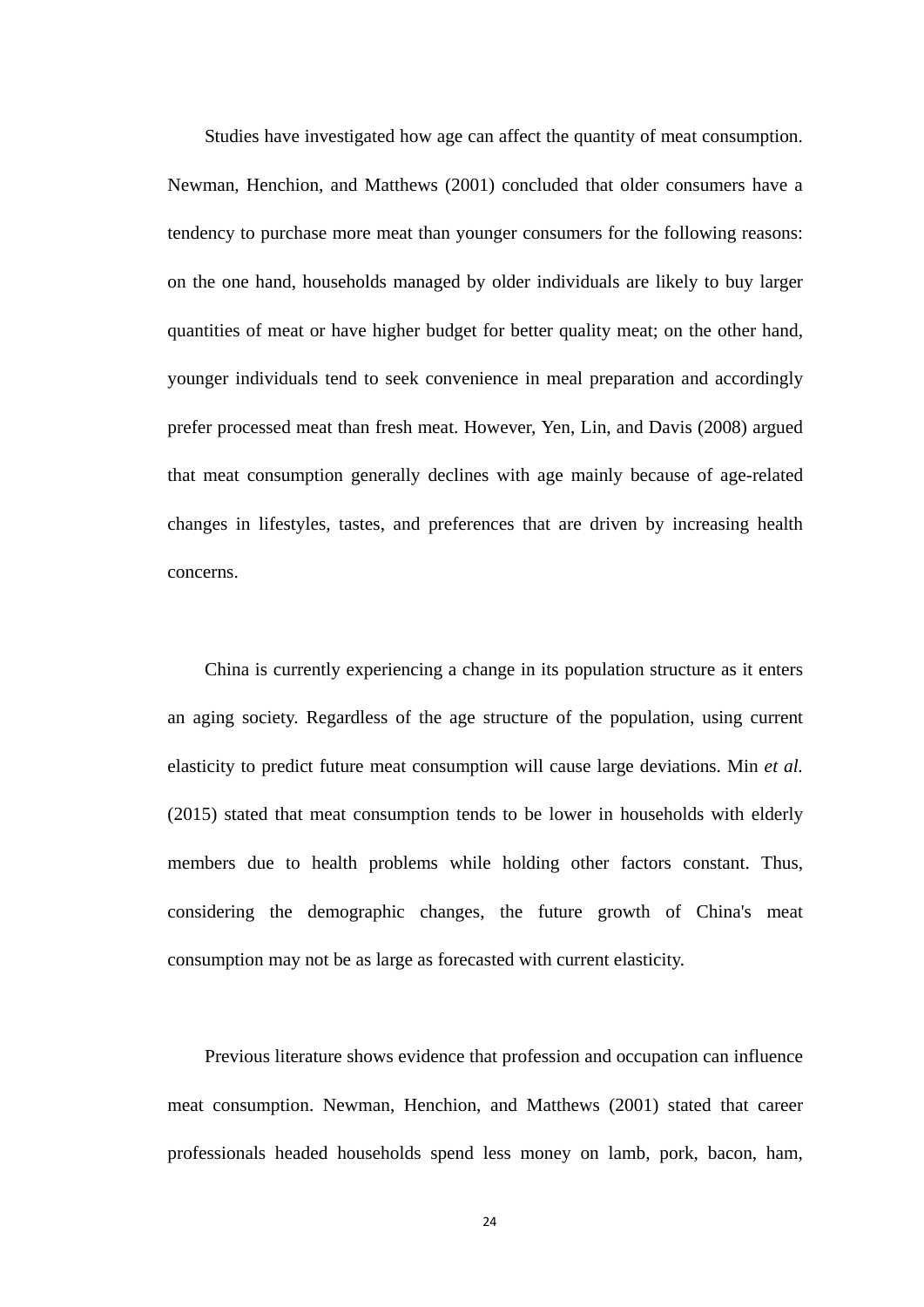Studies have investigated how age can affect the quantity of meat consumption. Newman, Henchion, and Matthews (2001) concluded that older consumers have a tendency to purchase more meat than younger consumers for the following reasons: on the one hand, households managed by older individuals are likely to buy larger quantities of meat or have higher budget for better quality meat; on the other hand, younger individuals tend to seek convenience in meal preparation and accordingly prefer processed meat than fresh meat. However, Yen, Lin, and Davis (2008) argued that meat consumption generally declines with age mainly because of age-related changes in lifestyles, tastes, and preferences that are driven by increasing health concerns.

China is currently experiencing a change in its population structure as it enters an aging society. Regardless of the age structure of the population, using current elasticity to predict future meat consumption will cause large deviations. Min *et al.* (2015) stated that meat consumption tends to be lower in households with elderly members due to health problems while holding other factors constant. Thus, considering the demographic changes, the future growth of China's meat consumption may not be as large as forecasted with current elasticity.

Previous literature shows evidence that profession and occupation can influence meat consumption. Newman, Henchion, and Matthews (2001) stated that career professionals headed households spend less money on lamb, pork, bacon, ham,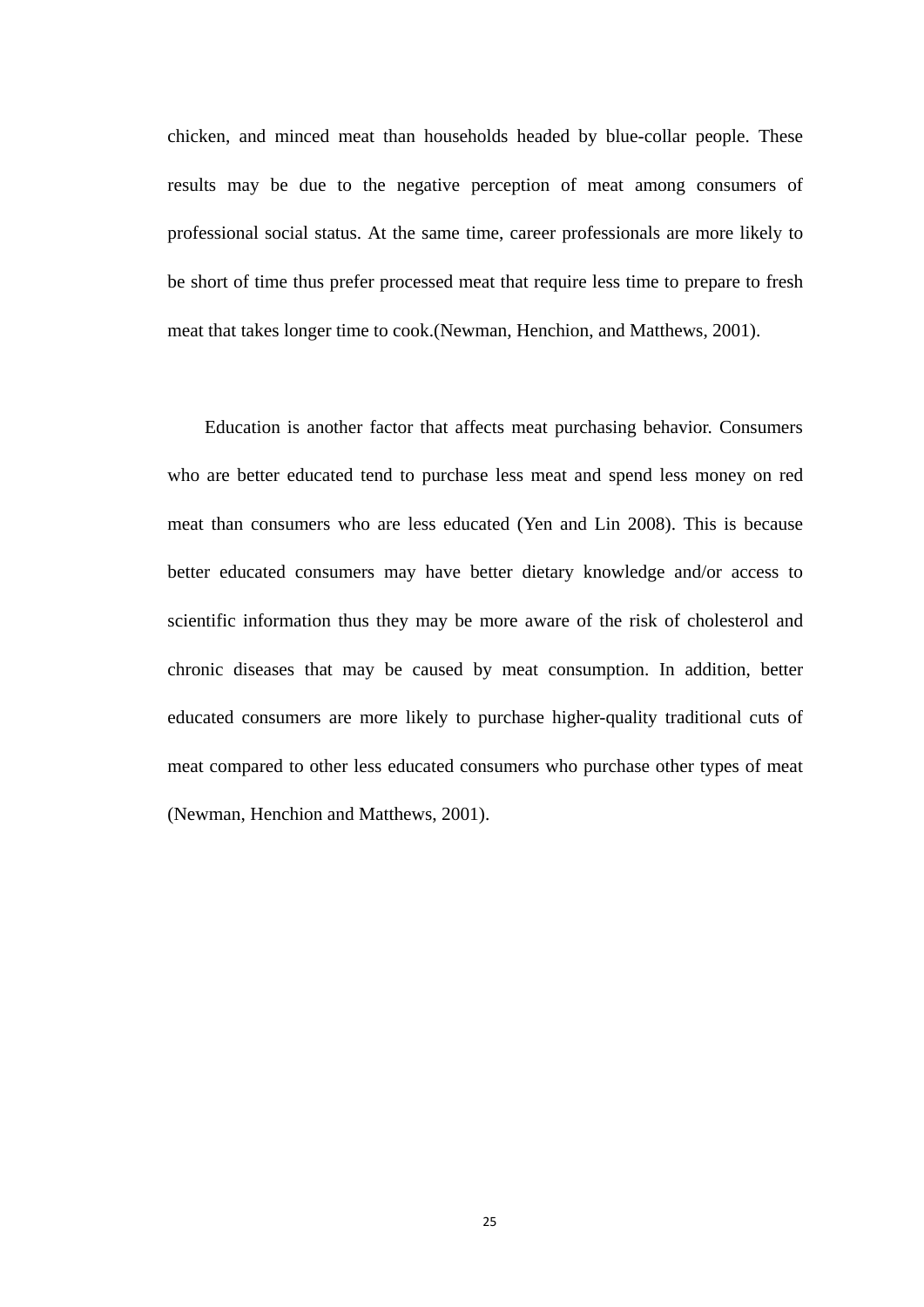chicken, and minced meat than households headed by blue-collar people. These results may be due to the negative perception of meat among consumers of professional social status. At the same time, career professionals are more likely to be short of time thus prefer processed meat that require less time to prepare to fresh meat that takes longer time to cook.(Newman, Henchion, and Matthews, 2001).

Education is another factor that affects meat purchasing behavior. Consumers who are better educated tend to purchase less meat and spend less money on red meat than consumers who are less educated (Yen and Lin 2008). This is because better educated consumers may have better dietary knowledge and/or access to scientific information thus they may be more aware of the risk of cholesterol and chronic diseases that may be caused by meat consumption. In addition, better educated consumers are more likely to purchase higher-quality traditional cuts of meat compared to other less educated consumers who purchase other types of meat (Newman, Henchion and Matthews, 2001).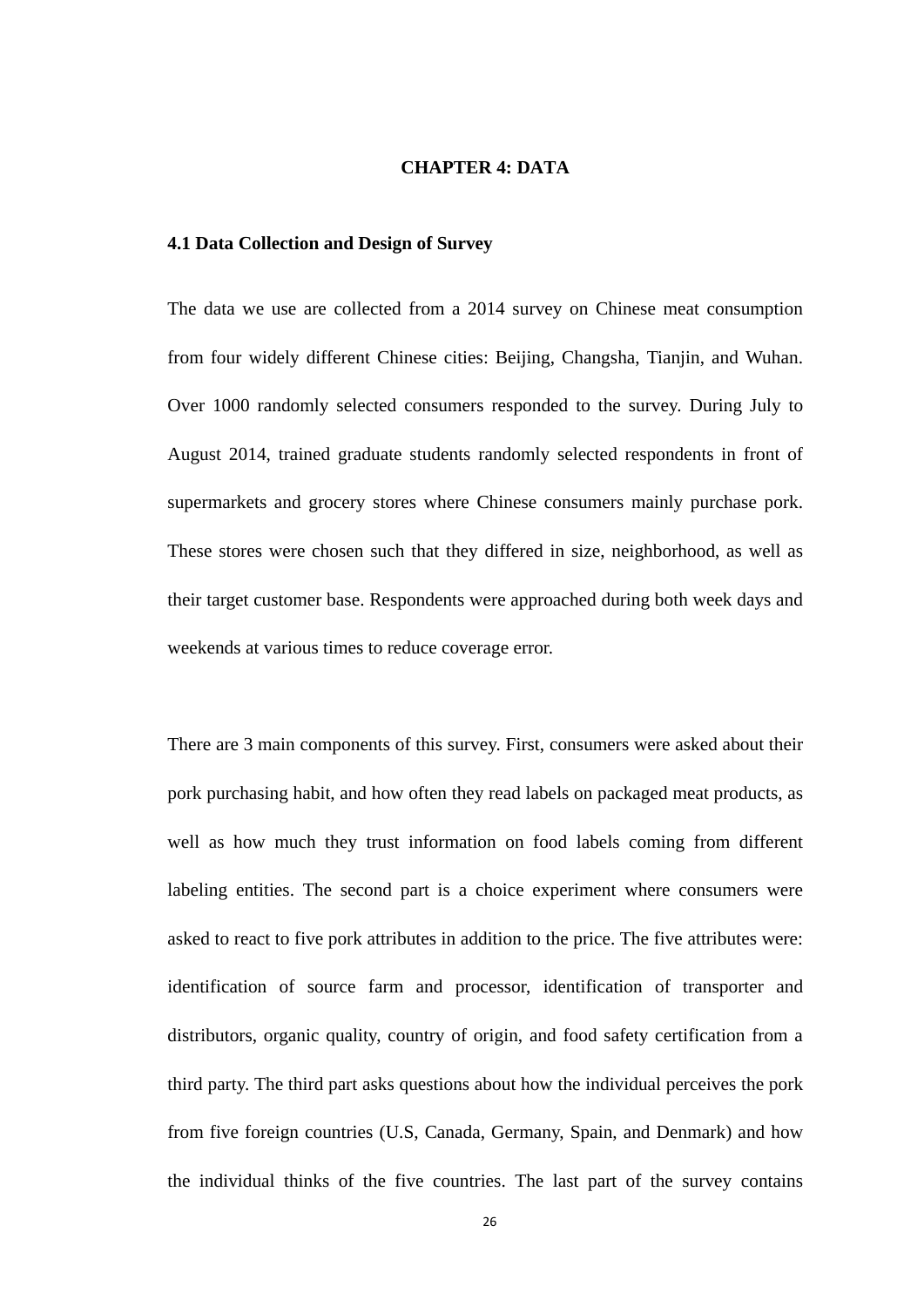#### **CHAPTER 4: DATA**

### <span id="page-33-1"></span><span id="page-33-0"></span>**4.1 Data Collection and Design of Survey**

The data we use are collected from a 2014 survey on Chinese meat consumption from four widely different Chinese cities: Beijing, Changsha, Tianjin, and Wuhan. Over 1000 randomly selected consumers responded to the survey. During July to August 2014, trained graduate students randomly selected respondents in front of supermarkets and grocery stores where Chinese consumers mainly purchase pork. These stores were chosen such that they differed in size, neighborhood, as well as their target customer base. Respondents were approached during both week days and weekends at various times to reduce coverage error.

There are 3 main components of this survey. First, consumers were asked about their pork purchasing habit, and how often they read labels on packaged meat products, as well as how much they trust information on food labels coming from different labeling entities. The second part is a choice experiment where consumers were asked to react to five pork attributes in addition to the price. The five attributes were: identification of source farm and processor, identification of transporter and distributors, organic quality, country of origin, and food safety certification from a third party. The third part asks questions about how the individual perceives the pork from five foreign countries (U.S, Canada, Germany, Spain, and Denmark) and how the individual thinks of the five countries. The last part of the survey contains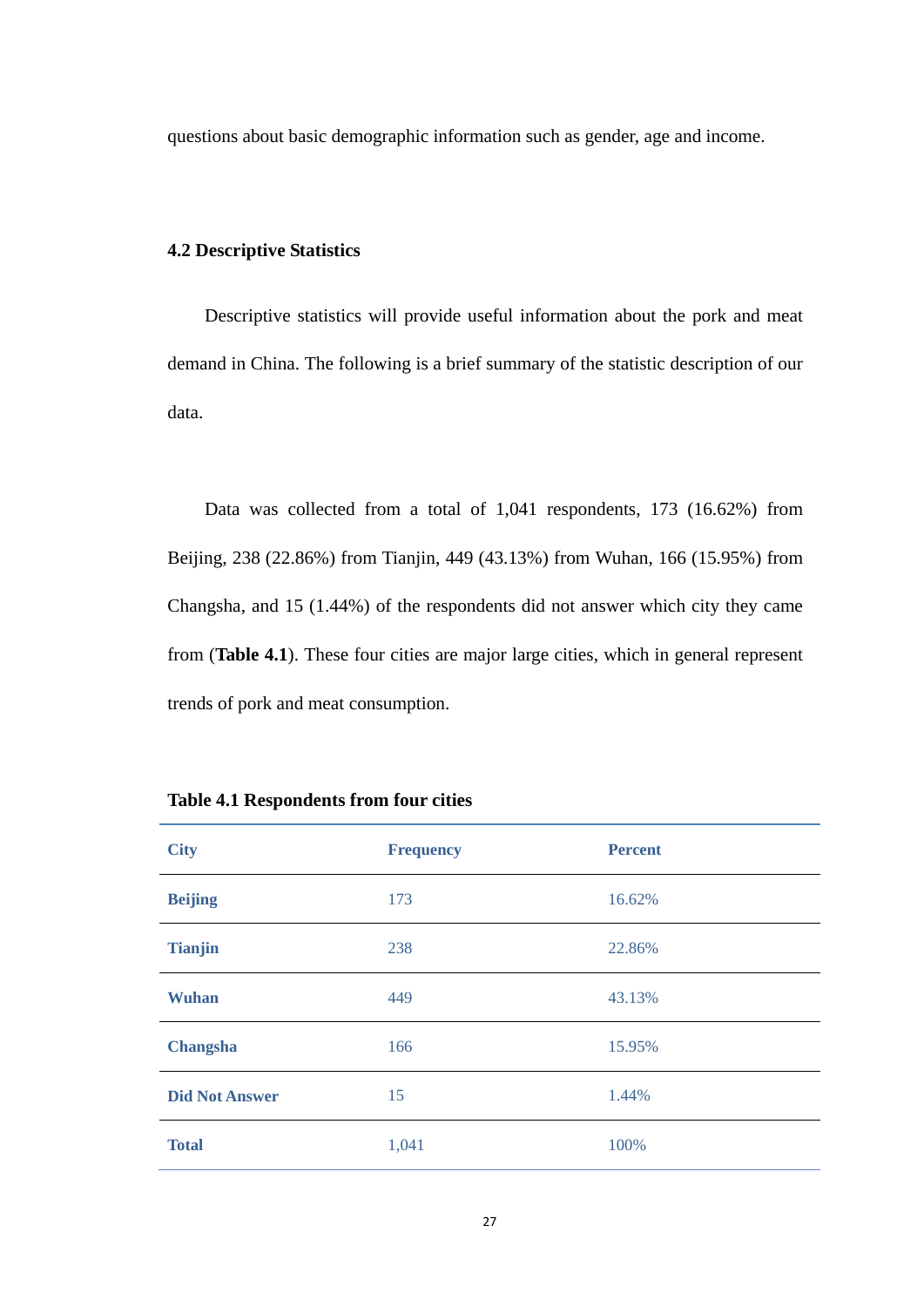questions about basic demographic information such as gender, age and income.

## <span id="page-34-0"></span>**4.2 Descriptive Statistics**

Descriptive statistics will provide useful information about the pork and meat demand in China. The following is a brief summary of the statistic description of our data.

Data was collected from a total of 1,041 respondents, 173 (16.62%) from Beijing, 238 (22.86%) from Tianjin, 449 (43.13%) from Wuhan, 166 (15.95%) from Changsha, and 15 (1.44%) of the respondents did not answer which city they came from (**Table 4.1**). These four cities are major large cities, which in general represent trends of pork and meat consumption.

| <b>City</b>           | <b>Frequency</b> | <b>Percent</b> |
|-----------------------|------------------|----------------|
| <b>Beijing</b>        | 173              | 16.62%         |
| <b>Tianjin</b>        | 238              | 22.86%         |
| Wuhan                 | 449              | 43.13%         |
| Changsha              | 166              | 15.95%         |
| <b>Did Not Answer</b> | 15               | 1.44%          |
| <b>Total</b>          | 1,041            | 100%           |

<span id="page-34-1"></span>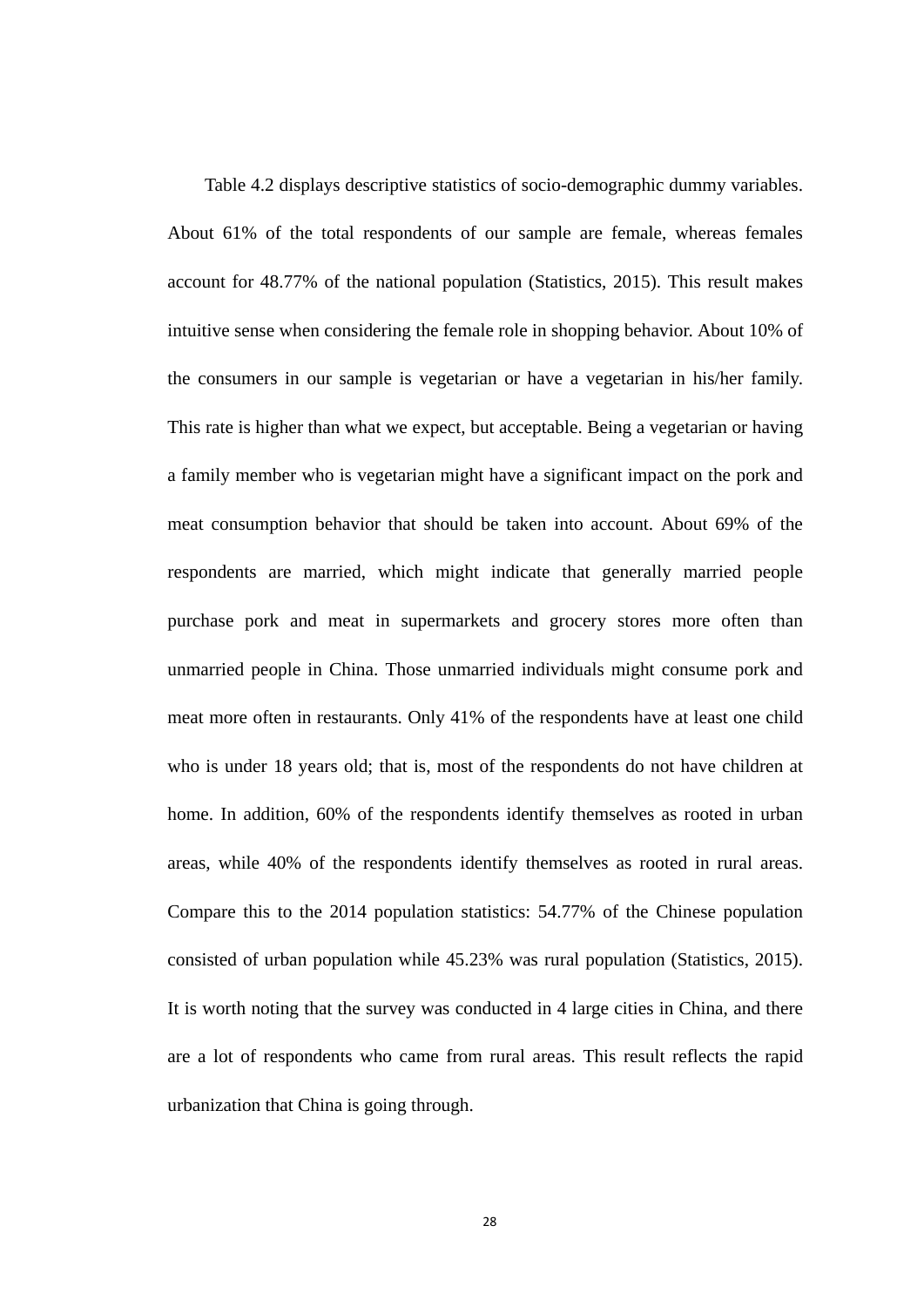Table 4.2 displays descriptive statistics of socio-demographic dummy variables. About 61% of the total respondents of our sample are female, whereas females account for 48.77% of the national population (Statistics, 2015). This result makes intuitive sense when considering the female role in shopping behavior. About 10% of the consumers in our sample is vegetarian or have a vegetarian in his/her family. This rate is higher than what we expect, but acceptable. Being a vegetarian or having a family member who is vegetarian might have a significant impact on the pork and meat consumption behavior that should be taken into account. About 69% of the respondents are married, which might indicate that generally married people purchase pork and meat in supermarkets and grocery stores more often than unmarried people in China. Those unmarried individuals might consume pork and meat more often in restaurants. Only 41% of the respondents have at least one child who is under 18 years old; that is, most of the respondents do not have children at home. In addition, 60% of the respondents identify themselves as rooted in urban areas, while 40% of the respondents identify themselves as rooted in rural areas. Compare this to the 2014 population statistics: 54.77% of the Chinese population consisted of urban population while 45.23% was rural population (Statistics, 2015). It is worth noting that the survey was conducted in 4 large cities in China, and there are a lot of respondents who came from rural areas. This result reflects the rapid urbanization that China is going through.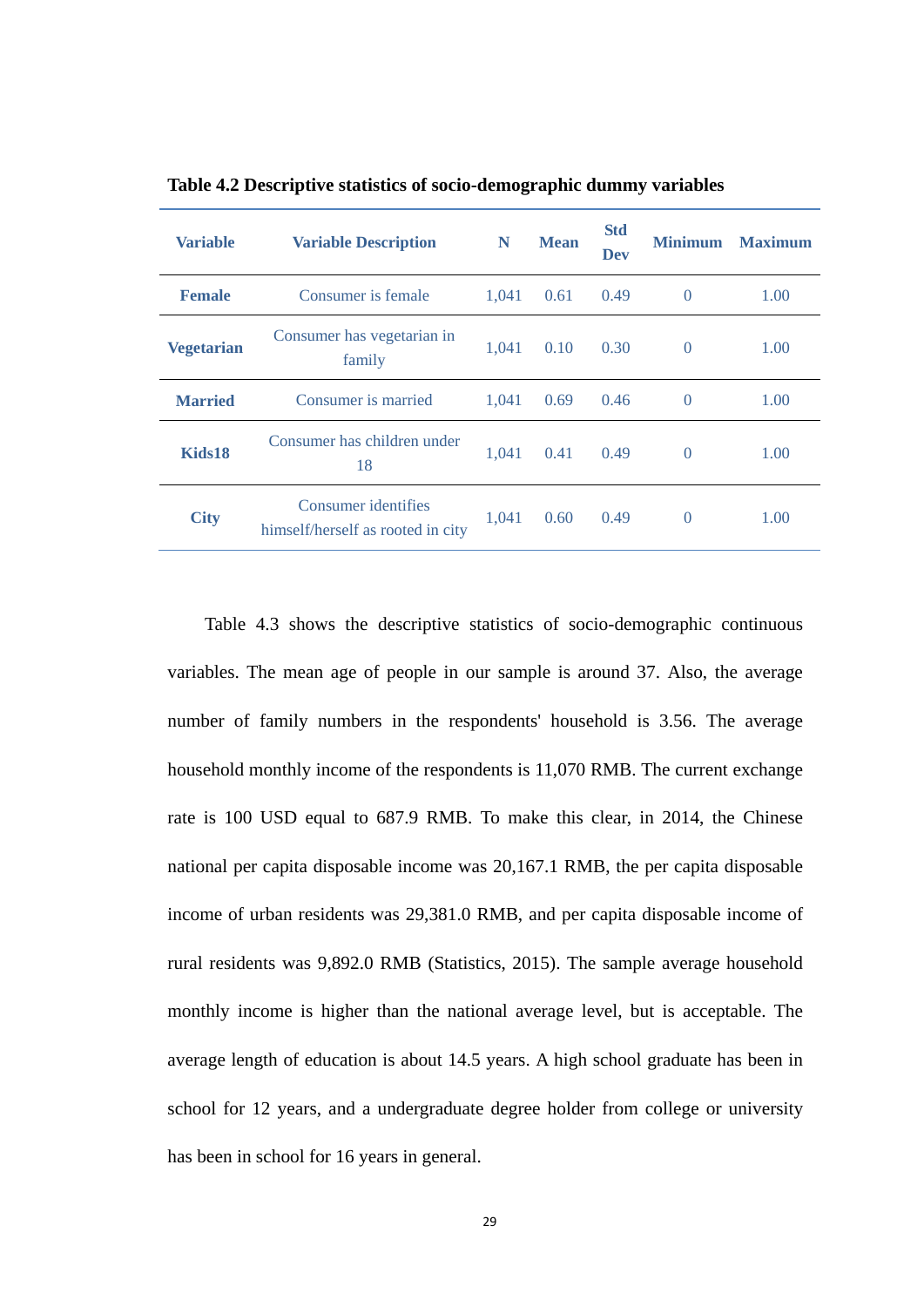| <b>Variable</b>   | <b>Variable Description</b>                              |       | <b>Mean</b> | <b>Std</b><br>Dev | <b>Minimum</b> | <b>Maximum</b> |
|-------------------|----------------------------------------------------------|-------|-------------|-------------------|----------------|----------------|
| <b>Female</b>     | Consumer is female                                       | 1,041 | 0.61        | 0.49              | $\theta$       | 1.00           |
| <b>Vegetarian</b> | Consumer has vegetarian in<br>family                     | 1,041 | 0.10        | 0.30              | $\theta$       | 1.00           |
| <b>Married</b>    | Consumer is married                                      | 1.041 | 0.69        | 0.46              | $\theta$       | 1.00           |
| Kids18            | Consumer has children under<br>18                        | 1,041 | 0.41        | 0.49              | $\Omega$       | 1.00           |
| <b>City</b>       | Consumer identifies<br>himself/herself as rooted in city | 1.041 | 0.60        | 0.49              | $\theta$       | 1.00           |

<span id="page-36-0"></span>**Table 4.2 Descriptive statistics of socio-demographic dummy variables**

Table 4.3 shows the descriptive statistics of socio-demographic continuous variables. The mean age of people in our sample is around 37. Also, the average number of family numbers in the respondents' household is 3.56. The average household monthly income of the respondents is 11,070 RMB. The current exchange rate is 100 USD equal to 687.9 RMB. To make this clear, in 2014, the Chinese national per capita disposable income was 20,167.1 RMB, the per capita disposable income of urban residents was 29,381.0 RMB, and per capita disposable income of rural residents was 9,892.0 RMB (Statistics, 2015). The sample average household monthly income is higher than the national average level, but is acceptable. The average length of education is about 14.5 years. A high school graduate has been in school for 12 years, and a undergraduate degree holder from college or university has been in school for 16 years in general.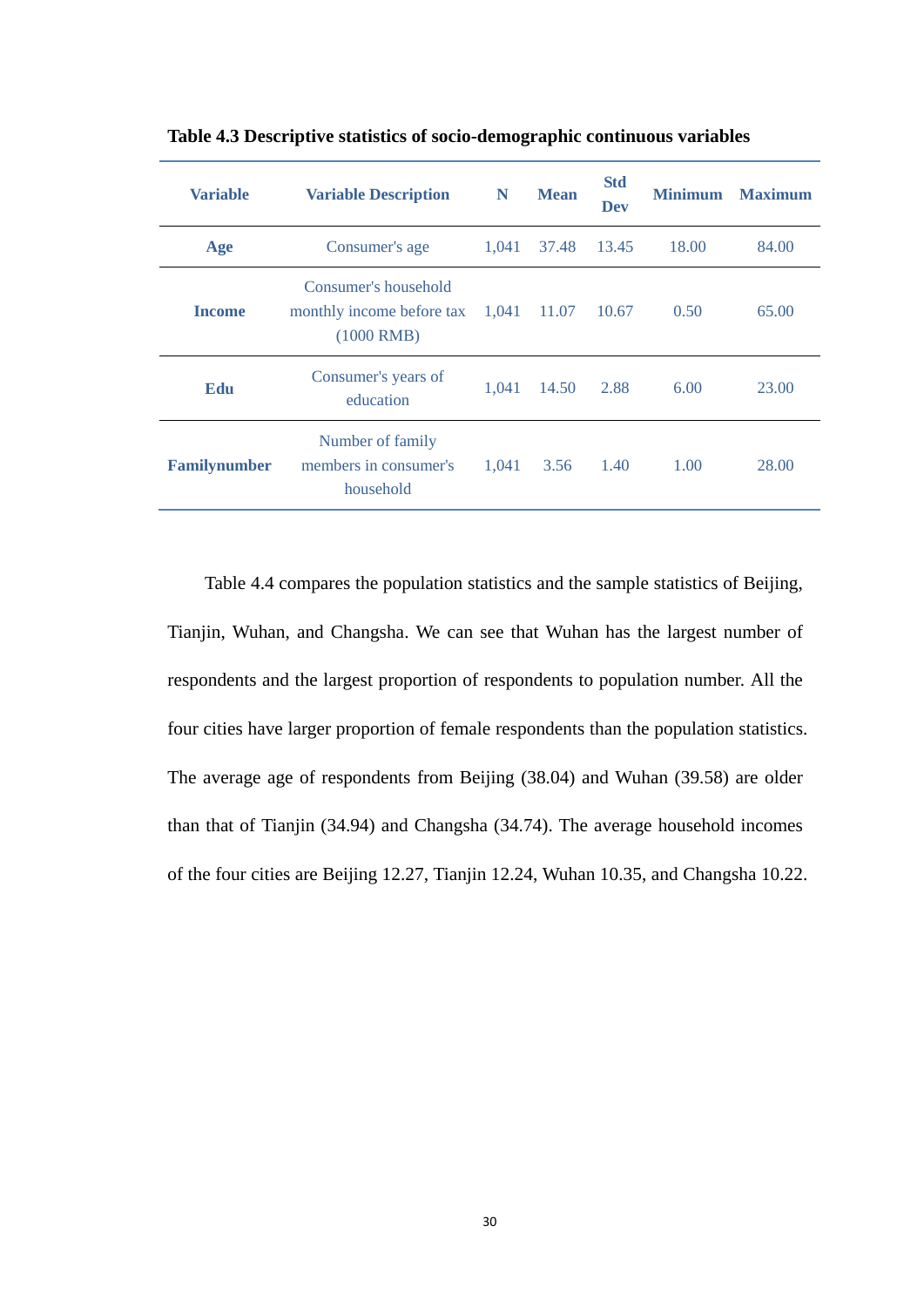| <b>Variable</b>     | <b>Variable Description</b>                                       | N     | <b>Mean</b> | <b>Std</b><br><b>Dev</b> | <b>Minimum</b> | <b>Maximum</b> |
|---------------------|-------------------------------------------------------------------|-------|-------------|--------------------------|----------------|----------------|
| Age                 | Consumer's age                                                    | 1,041 | 37.48       | 13.45                    | 18.00          | 84.00          |
| <b>Income</b>       | Consumer's household<br>monthly income before tax<br>$(1000$ RMB) | 1,041 | 11.07       | 10.67                    | 0.50           | 65.00          |
| Edu                 | Consumer's years of<br>education                                  | 1.041 | 14.50       | 2.88                     | 6.00           | 23.00          |
| <b>Familynumber</b> | Number of family<br>members in consumer's<br>household            | 1,041 | 3.56        | 1.40                     | 1.00           | 28.00          |

<span id="page-37-0"></span>**Table 4.3 Descriptive statistics of socio-demographic continuous variables**

Table 4.4 compares the population statistics and the sample statistics of Beijing, Tianjin, Wuhan, and Changsha. We can see that Wuhan has the largest number of respondents and the largest proportion of respondents to population number. All the four cities have larger proportion of female respondents than the population statistics. The average age of respondents from Beijing (38.04) and Wuhan (39.58) are older than that of Tianjin (34.94) and Changsha (34.74). The average household incomes of the four cities are Beijing 12.27, Tianjin 12.24, Wuhan 10.35, and Changsha 10.22.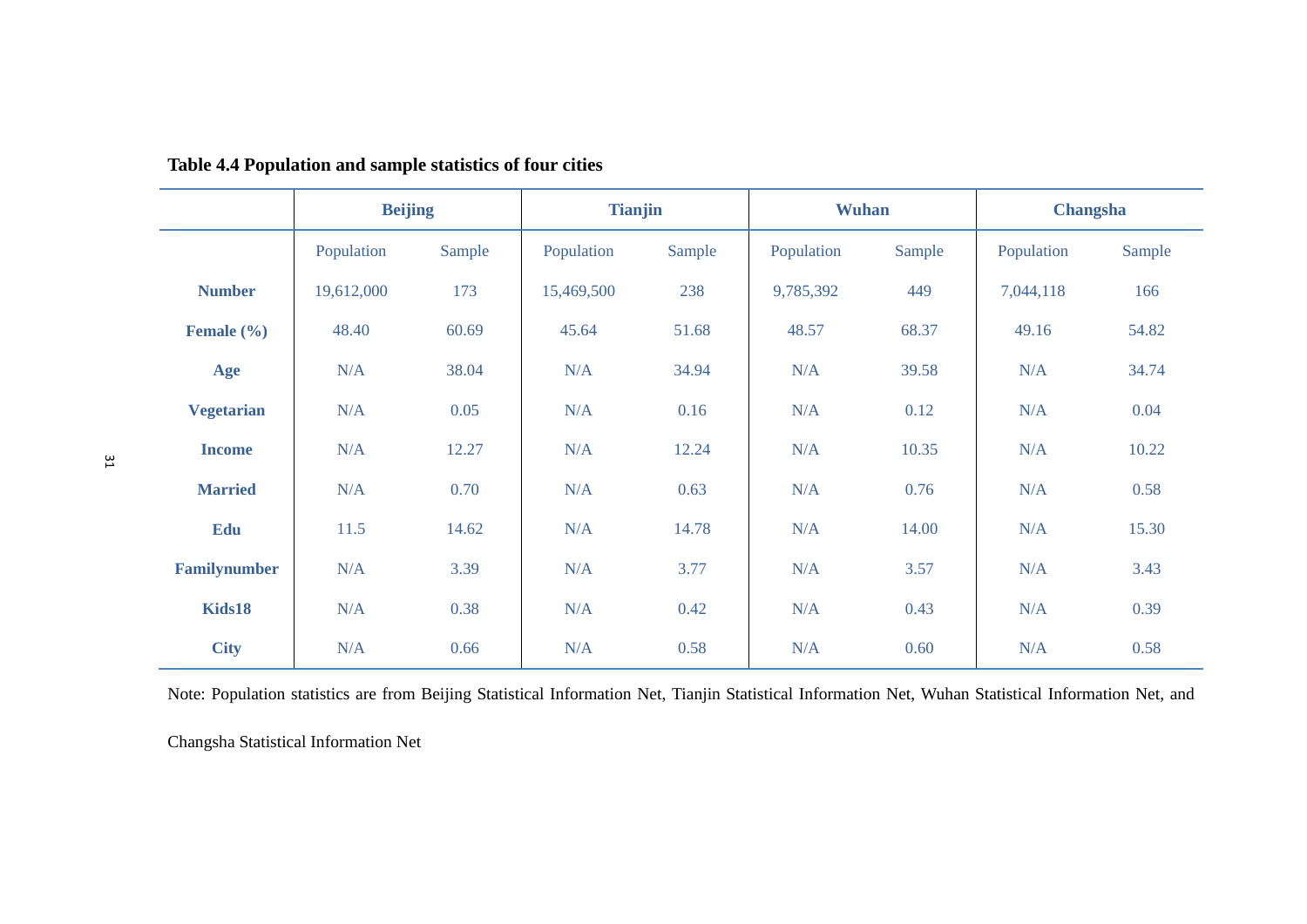|                     | <b>Beijing</b> |        |            | <b>Tianjin</b> |            | <b>Wuhan</b> |            | <b>Changsha</b> |  |
|---------------------|----------------|--------|------------|----------------|------------|--------------|------------|-----------------|--|
|                     | Population     | Sample | Population | Sample         | Population | Sample       | Population | Sample          |  |
| <b>Number</b>       | 19,612,000     | 173    | 15,469,500 | 238            | 9,785,392  | 449          | 7,044,118  | 166             |  |
| Female $(\% )$      | 48.40          | 60.69  | 45.64      | 51.68          | 48.57      | 68.37        | 49.16      | 54.82           |  |
| Age                 | N/A            | 38.04  | N/A        | 34.94          | N/A        | 39.58        | N/A        | 34.74           |  |
| <b>Vegetarian</b>   | N/A            | 0.05   | N/A        | 0.16           | N/A        | 0.12         | N/A        | 0.04            |  |
| <b>Income</b>       | N/A            | 12.27  | N/A        | 12.24          | N/A        | 10.35        | N/A        | 10.22           |  |
| <b>Married</b>      | N/A            | 0.70   | N/A        | 0.63           | N/A        | 0.76         | N/A        | 0.58            |  |
| Edu                 | 11.5           | 14.62  | N/A        | 14.78          | N/A        | 14.00        | N/A        | 15.30           |  |
| <b>Familynumber</b> | N/A            | 3.39   | N/A        | 3.77           | N/A        | 3.57         | N/A        | 3.43            |  |
| Kids18              | N/A            | 0.38   | N/A        | 0.42           | N/A        | 0.43         | N/A        | 0.39            |  |
| <b>City</b>         | N/A            | 0.66   | N/A        | 0.58           | N/A        | 0.60         | N/A        | 0.58            |  |

**Table 4.4 Population and sample statistics of four cities**

<span id="page-38-0"></span>Note: Population statistics are from Beijing Statistical Information Net, Tianjin Statistical Information Net, Wuhan Statistical Information Net, and

Changsha Statistical Information Net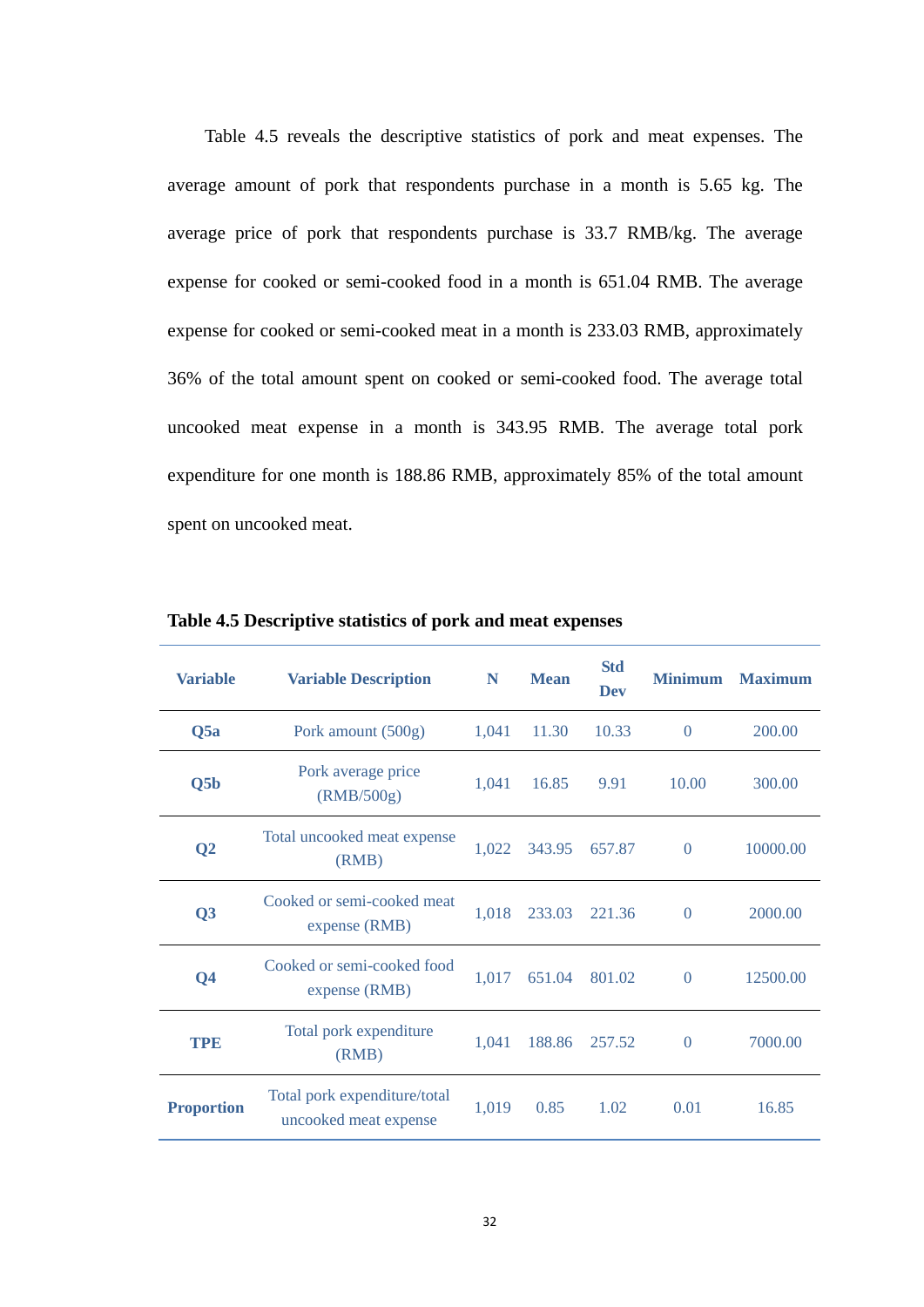Table 4.5 reveals the descriptive statistics of pork and meat expenses. The average amount of pork that respondents purchase in a month is 5.65 kg. The average price of pork that respondents purchase is 33.7 RMB/kg. The average expense for cooked or semi-cooked food in a month is 651.04 RMB. The average expense for cooked or semi-cooked meat in a month is 233.03 RMB, approximately 36% of the total amount spent on cooked or semi-cooked food. The average total uncooked meat expense in a month is 343.95 RMB. The average total pork expenditure for one month is 188.86 RMB, approximately 85% of the total amount spent on uncooked meat.

| <b>Variable</b>   | <b>Variable Description</b>                           | N     | <b>Mean</b>   | <b>Std</b><br><b>Dev</b> | <b>Minimum</b> | <b>Maximum</b> |
|-------------------|-------------------------------------------------------|-------|---------------|--------------------------|----------------|----------------|
| Q <sub>5a</sub>   | Pork amount (500g)                                    | 1,041 | 11.30         | 10.33                    | $\theta$       | 200.00         |
| Q5 <sub>b</sub>   | Pork average price<br>(RMB/500g)                      | 1,041 | 16.85         | 9.91                     | 10.00          | 300.00         |
| Q <sub>2</sub>    | Total uncooked meat expense<br>(RMB)                  | 1,022 | 343.95 657.87 |                          | $\theta$       | 10000.00       |
| Q <sub>3</sub>    | Cooked or semi-cooked meat<br>expense (RMB)           | 1,018 | 233.03        | 221.36                   | $\theta$       | 2000.00        |
| Q <sub>4</sub>    | Cooked or semi-cooked food<br>expense (RMB)           | 1,017 | 651.04        | 801.02                   | $\theta$       | 12500.00       |
| TPE               | Total pork expenditure<br>(RMB)                       | 1,041 | 188.86        | 257.52                   | $\Omega$       | 7000.00        |
| <b>Proportion</b> | Total pork expenditure/total<br>uncooked meat expense | 1,019 | 0.85          | 1.02                     | 0.01           | 16.85          |

<span id="page-39-0"></span>**Table 4.5 Descriptive statistics of pork and meat expenses**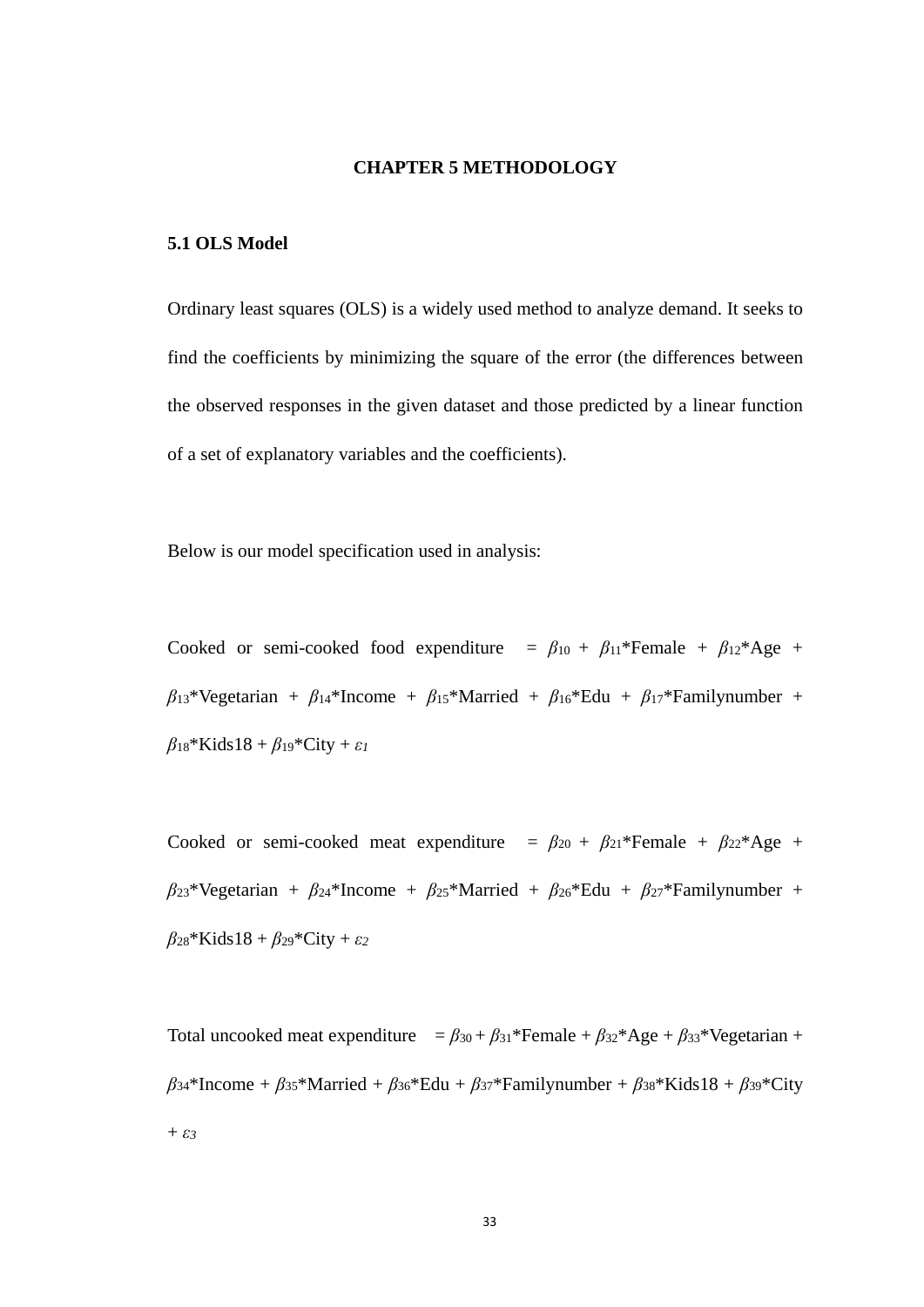#### **CHAPTER 5 METHODOLOGY**

#### <span id="page-40-1"></span><span id="page-40-0"></span>**5.1 OLS Model**

Ordinary least squares (OLS) is a widely used method to analyze demand. It seeks to find the coefficients by minimizing the square of the error (the differences between the observed responses in the given dataset and those predicted by a linear function of a set of explanatory variables and the coefficients).

Below is our model specification used in analysis:

Cooked or semi-cooked food expenditure =  $\beta_{10} + \beta_{11}$ \*Female +  $\beta_{12}$ \*Age +  $\beta_{13}$ \*Vegetarian +  $\beta_{14}$ \*Income +  $\beta_{15}$ \*Married +  $\beta_{16}$ \*Edu +  $\beta_{17}$ \*Familynumber + *β*18\*Kids18 + *β*19\*City + *ε<sup>1</sup>*

Cooked or semi-cooked meat expenditure =  $\beta_{20} + \beta_{21}$ \*Female +  $\beta_{22}$ \*Age +  $\beta_{23}$ \*Vegetarian +  $\beta_{24}$ \*Income +  $\beta_{25}$ \*Married +  $\beta_{26}$ \*Edu +  $\beta_{27}$ \*Familynumber + *β*28\*Kids18 + *β*29\*City + *ε<sup>2</sup>*

Total uncooked meat expenditure  $= \beta_{30} + \beta_{31} *$ Female +  $\beta_{32} *$ Age +  $\beta_{33} *$ Vegetarian +  $\beta$ <sub>34</sub>\*Income +  $\beta$ <sub>35</sub>\*Married +  $\beta$ <sub>36</sub>\*Edu +  $\beta$ <sub>37</sub>\*Familynumber +  $\beta$ <sub>38</sub>\*Kids18 +  $\beta$ <sub>39</sub>\*City + *ε<sup>3</sup>*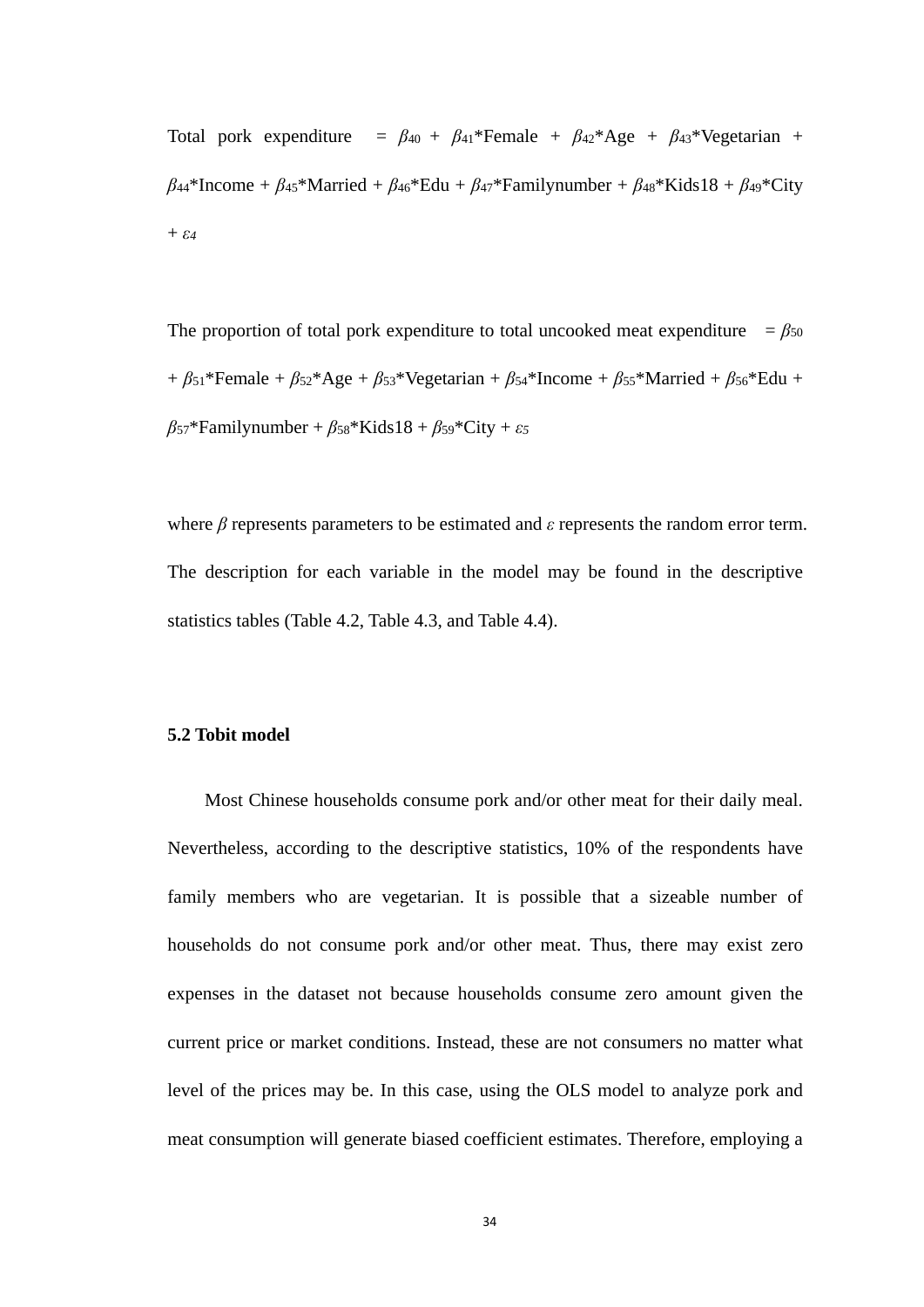Total pork expenditure =  $\beta_{40} + \beta_{41}$ \*Female +  $\beta_{42}$ \*Age +  $\beta_{43}$ \*Vegetarian +  $\beta_{44}$ \*Income +  $\beta_{45}$ \*Married +  $\beta_{46}$ \*Edu +  $\beta_{47}$ \*Familynumber +  $\beta_{48}$ \*Kids18 +  $\beta_{49}$ \*City + *ε<sup>4</sup>*

The proportion of total pork expenditure to total uncooked meat expenditure  $= \beta_{50}$ + *β*51\*Female + *β*52\*Age + *β*53\*Vegetarian + *β*54\*Income + *β*55\*Married + *β*56\*Edu +  $\beta$ <sub>57</sub>\*Familynumber +  $\beta$ <sub>58</sub>\*Kids18 +  $\beta$ <sub>59</sub>\*City +  $\varepsilon$ <sub>5</sub>

where *β* represents parameters to be estimated and *ε* represents the random error term. The description for each variable in the model may be found in the descriptive statistics tables (Table 4.2, Table 4.3, and Table 4.4).

#### <span id="page-41-0"></span>**5.2 Tobit model**

Most Chinese households consume pork and/or other meat for their daily meal. Nevertheless, according to the descriptive statistics, 10% of the respondents have family members who are vegetarian. It is possible that a sizeable number of households do not consume pork and/or other meat. Thus, there may exist zero expenses in the dataset not because households consume zero amount given the current price or market conditions. Instead, these are not consumers no matter what level of the prices may be. In this case, using the OLS model to analyze pork and meat consumption will generate biased coefficient estimates. Therefore, employing a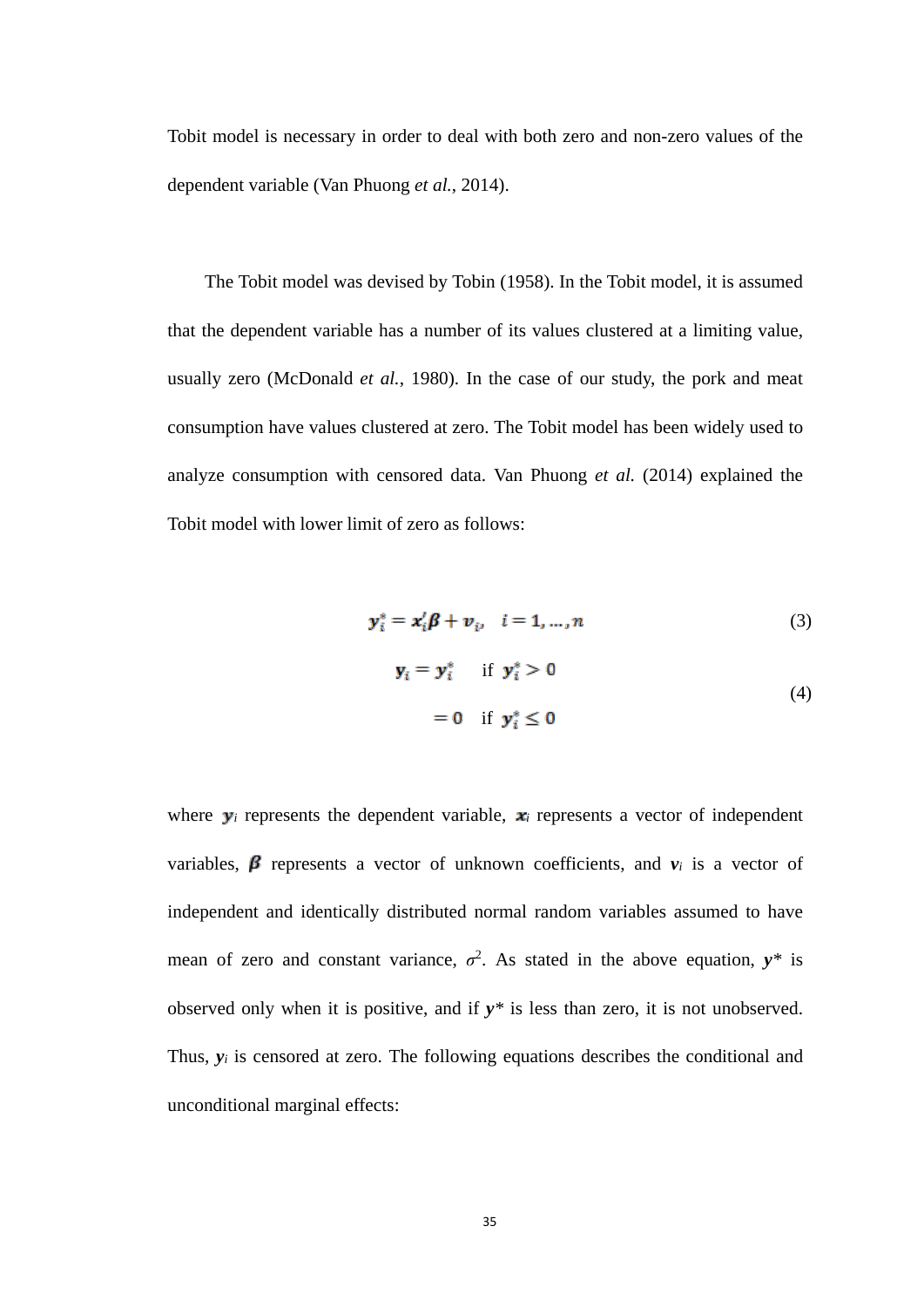Tobit model is necessary in order to deal with both zero and non-zero values of the dependent variable (Van Phuong *et al.*, 2014).

The Tobit model was devised by Tobin (1958). In the Tobit model, it is assumed that the dependent variable has a number of its values clustered at a limiting value, usually zero (McDonald *et al.*, 1980). In the case of our study, the pork and meat consumption have values clustered at zero. The Tobit model has been widely used to analyze consumption with censored data. Van Phuong *et al.* (2014) explained the Tobit model with lower limit of zero as follows:

$$
\mathbf{y}_i^* = \mathbf{x}_i' \mathbf{\beta} + \mathbf{v}_i, \quad i = 1, \dots, n
$$
\n
$$
\mathbf{y}_i = \mathbf{y}_i^* \quad \text{if } \mathbf{y}_i^* > 0
$$
\n
$$
= 0 \quad \text{if } \mathbf{y}_i^* \le 0
$$
\n(4)

where  $y_i$  represents the dependent variable,  $x_i$  represents a vector of independent variables,  $\beta$  represents a vector of unknown coefficients, and  $v_i$  is a vector of independent and identically distributed normal random variables assumed to have mean of zero and constant variance,  $\sigma^2$ . As stated in the above equation,  $y^*$  is observed only when it is positive, and if *y\** is less than zero, it is not unobserved. Thus,  $y_i$  is censored at zero. The following equations describes the conditional and unconditional marginal effects: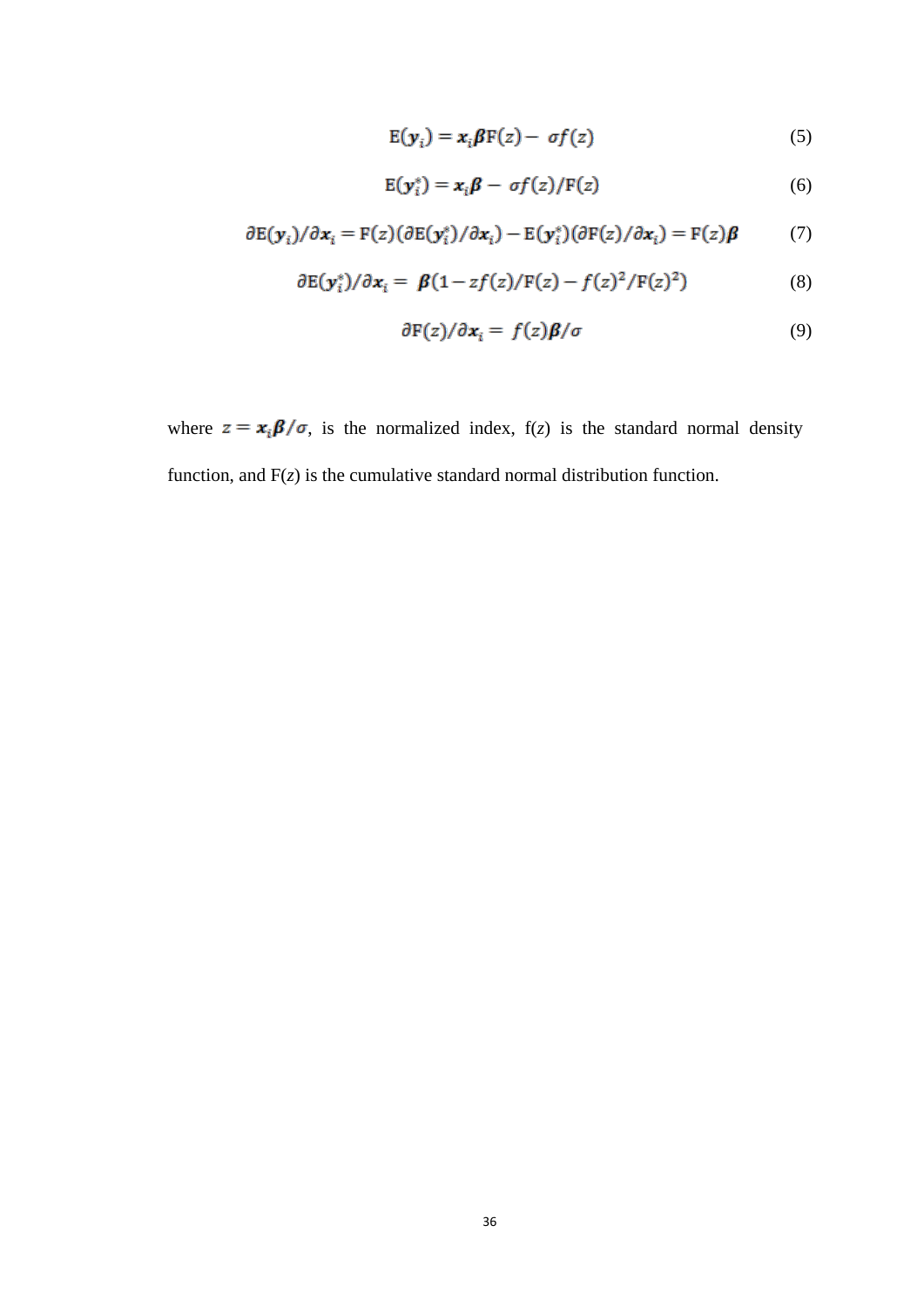$$
E(y_i) = x_i \beta F(z) - \sigma f(z) \tag{5}
$$

$$
E(y_i^*) = x_i \beta - \sigma f(z) / F(z)
$$
 (6)

$$
\partial E(\mathbf{y}_i)/\partial \mathbf{x}_i = F(z)(\partial E(\mathbf{y}_i^*)/\partial \mathbf{x}_i) - E(\mathbf{y}_i^*)(\partial F(z)/\partial \mathbf{x}_i) = F(z)\boldsymbol{\beta}
$$
 (7)

$$
\partial E(\mathbf{y}_i^*)/\partial \mathbf{x}_i = \boldsymbol{\beta}(1 - zf(z)/F(z) - f(z)^2/F(z)^2)
$$
(8)

$$
\partial \mathbf{F}(z) / \partial \mathbf{x}_i = f(z) \mathbf{\beta} / \sigma \tag{9}
$$

where  $z = x_i \beta / \sigma$ , is the normalized index,  $f(z)$  is the standard normal density function, and  $F(z)$  is the cumulative standard normal distribution function.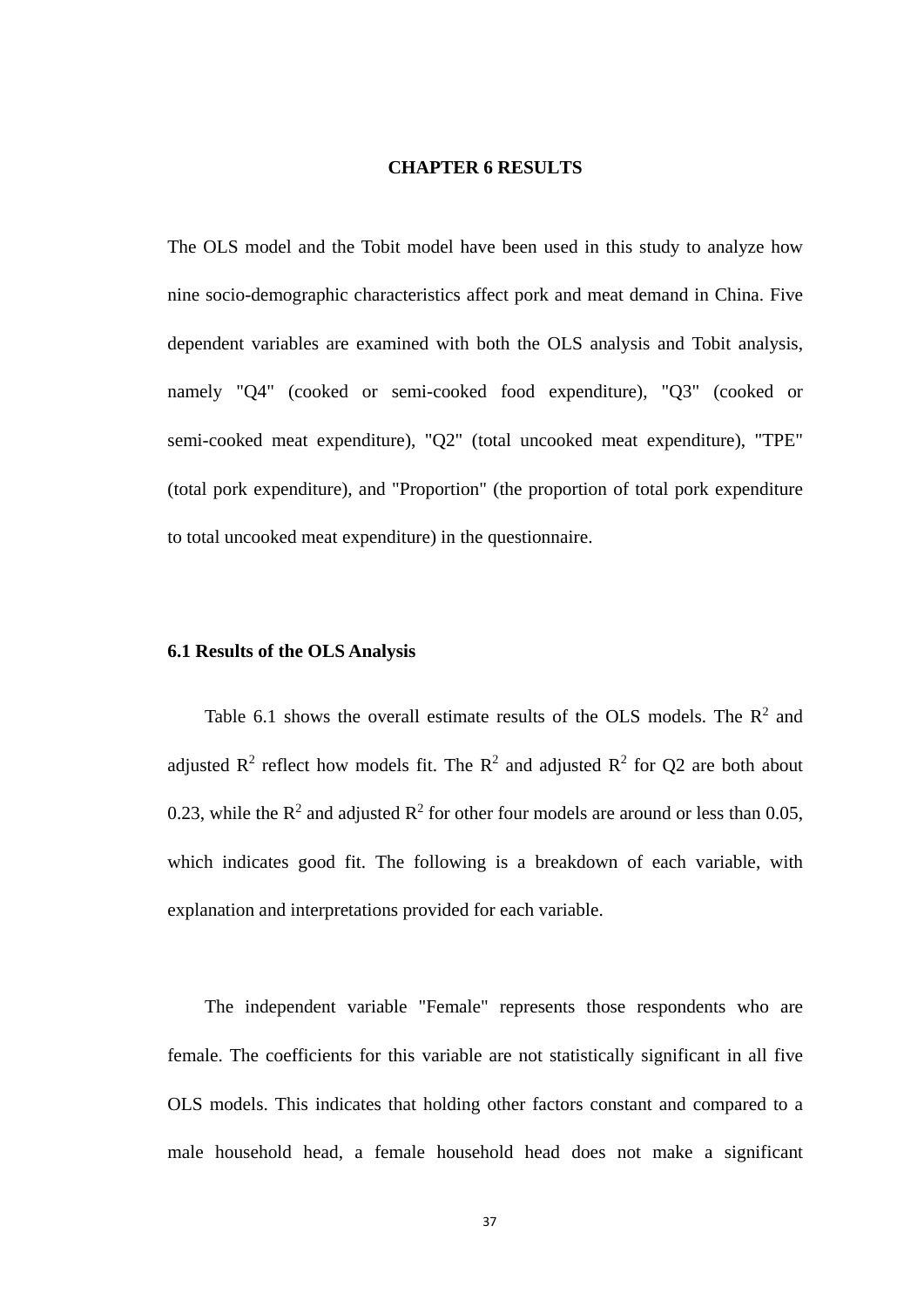#### **CHAPTER 6 RESULTS**

<span id="page-44-0"></span>The OLS model and the Tobit model have been used in this study to analyze how nine socio-demographic characteristics affect pork and meat demand in China. Five dependent variables are examined with both the OLS analysis and Tobit analysis, namely "Q4" (cooked or semi-cooked food expenditure), "Q3" (cooked or semi-cooked meat expenditure), "Q2" (total uncooked meat expenditure), "TPE" (total pork expenditure), and "Proportion" (the proportion of total pork expenditure to total uncooked meat expenditure) in the questionnaire.

#### <span id="page-44-1"></span>**6.1 Results of the OLS Analysis**

Table 6.1 shows the overall estimate results of the OLS models. The  $R<sup>2</sup>$  and adjusted  $\mathbb{R}^2$  reflect how models fit. The  $\mathbb{R}^2$  and adjusted  $\mathbb{R}^2$  for Q2 are both about 0.23, while the  $R^2$  and adjusted  $R^2$  for other four models are around or less than 0.05, which indicates good fit. The following is a breakdown of each variable, with explanation and interpretations provided for each variable.

The independent variable "Female" represents those respondents who are female. The coefficients for this variable are not statistically significant in all five OLS models. This indicates that holding other factors constant and compared to a male household head, a female household head does not make a significant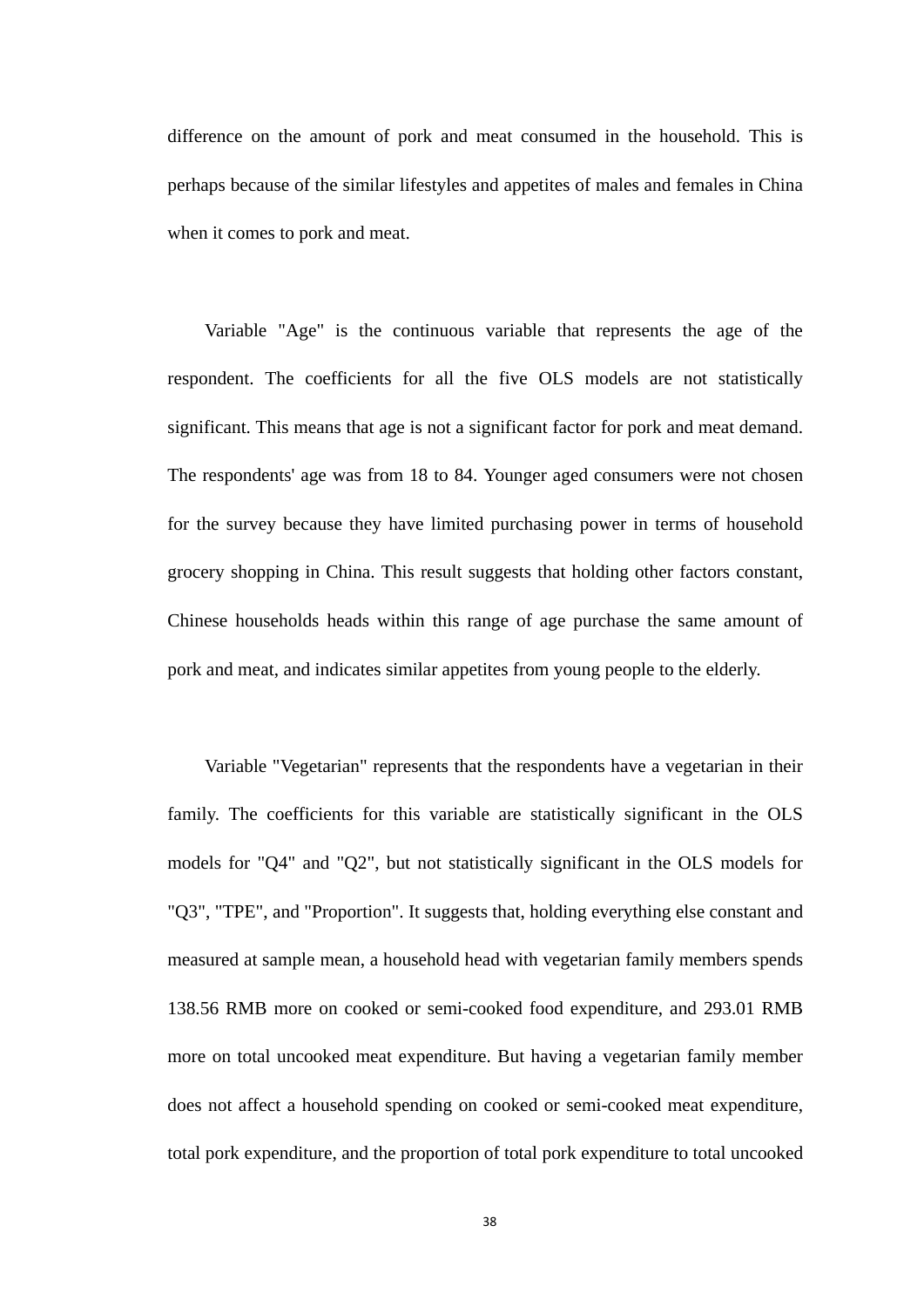difference on the amount of pork and meat consumed in the household. This is perhaps because of the similar lifestyles and appetites of males and females in China when it comes to pork and meat.

Variable "Age" is the continuous variable that represents the age of the respondent. The coefficients for all the five OLS models are not statistically significant. This means that age is not a significant factor for pork and meat demand. The respondents' age was from 18 to 84. Younger aged consumers were not chosen for the survey because they have limited purchasing power in terms of household grocery shopping in China. This result suggests that holding other factors constant, Chinese households heads within this range of age purchase the same amount of pork and meat, and indicates similar appetites from young people to the elderly.

Variable "Vegetarian" represents that the respondents have a vegetarian in their family. The coefficients for this variable are statistically significant in the OLS models for "Q4" and "Q2", but not statistically significant in the OLS models for "Q3", "TPE", and "Proportion". It suggests that, holding everything else constant and measured at sample mean, a household head with vegetarian family members spends 138.56 RMB more on cooked or semi-cooked food expenditure, and 293.01 RMB more on total uncooked meat expenditure. But having a vegetarian family member does not affect a household spending on cooked or semi-cooked meat expenditure, total pork expenditure, and the proportion of total pork expenditure to total uncooked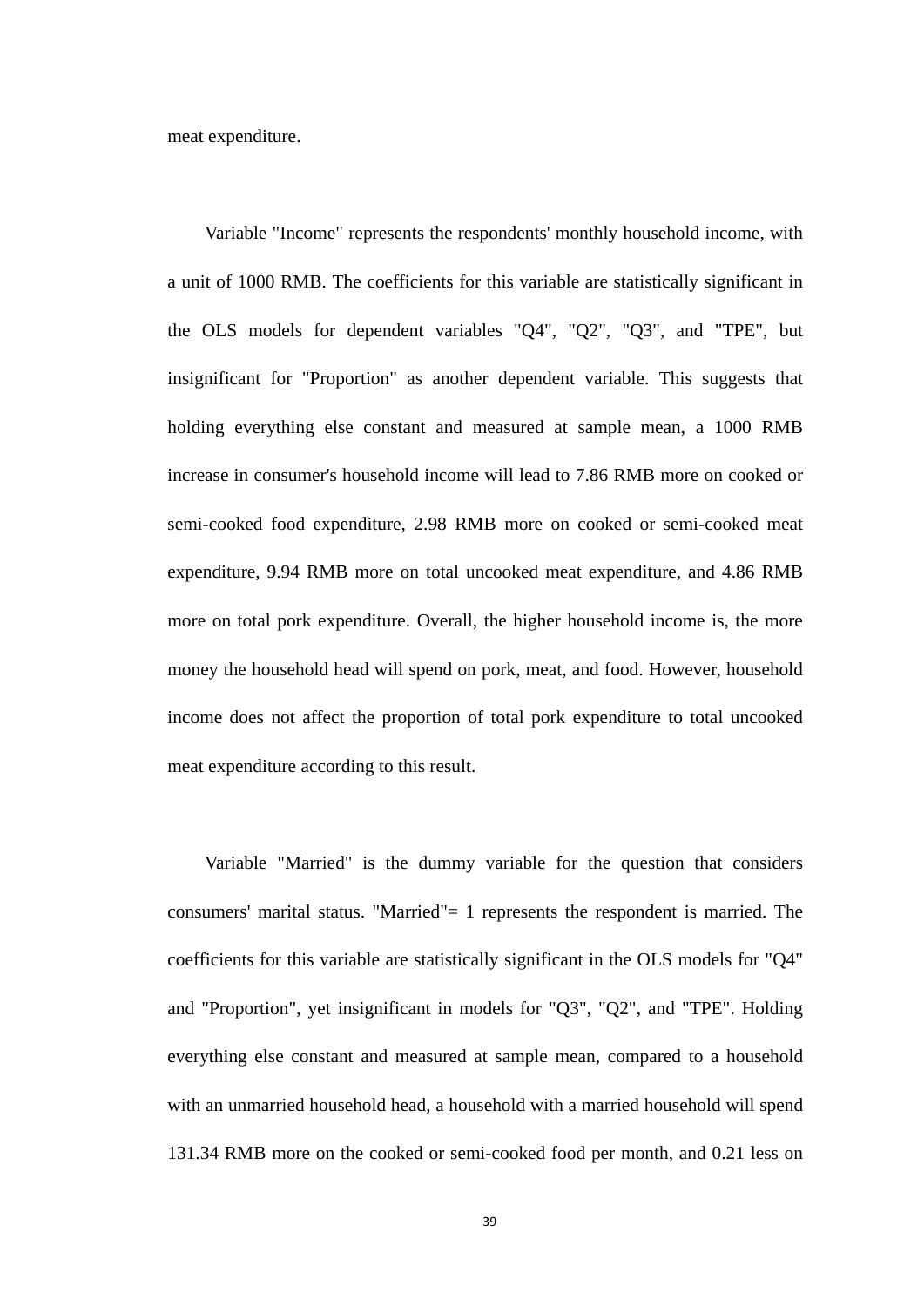meat expenditure.

Variable "Income" represents the respondents' monthly household income, with a unit of 1000 RMB. The coefficients for this variable are statistically significant in the OLS models for dependent variables "Q4", "Q2", "Q3", and "TPE", but insignificant for "Proportion" as another dependent variable. This suggests that holding everything else constant and measured at sample mean, a 1000 RMB increase in consumer's household income will lead to 7.86 RMB more on cooked or semi-cooked food expenditure, 2.98 RMB more on cooked or semi-cooked meat expenditure, 9.94 RMB more on total uncooked meat expenditure, and 4.86 RMB more on total pork expenditure. Overall, the higher household income is, the more money the household head will spend on pork, meat, and food. However, household income does not affect the proportion of total pork expenditure to total uncooked meat expenditure according to this result.

Variable "Married" is the dummy variable for the question that considers consumers' marital status. "Married"= 1 represents the respondent is married. The coefficients for this variable are statistically significant in the OLS models for "Q4" and "Proportion", yet insignificant in models for "Q3", "Q2", and "TPE". Holding everything else constant and measured at sample mean, compared to a household with an unmarried household head, a household with a married household will spend 131.34 RMB more on the cooked or semi-cooked food per month, and 0.21 less on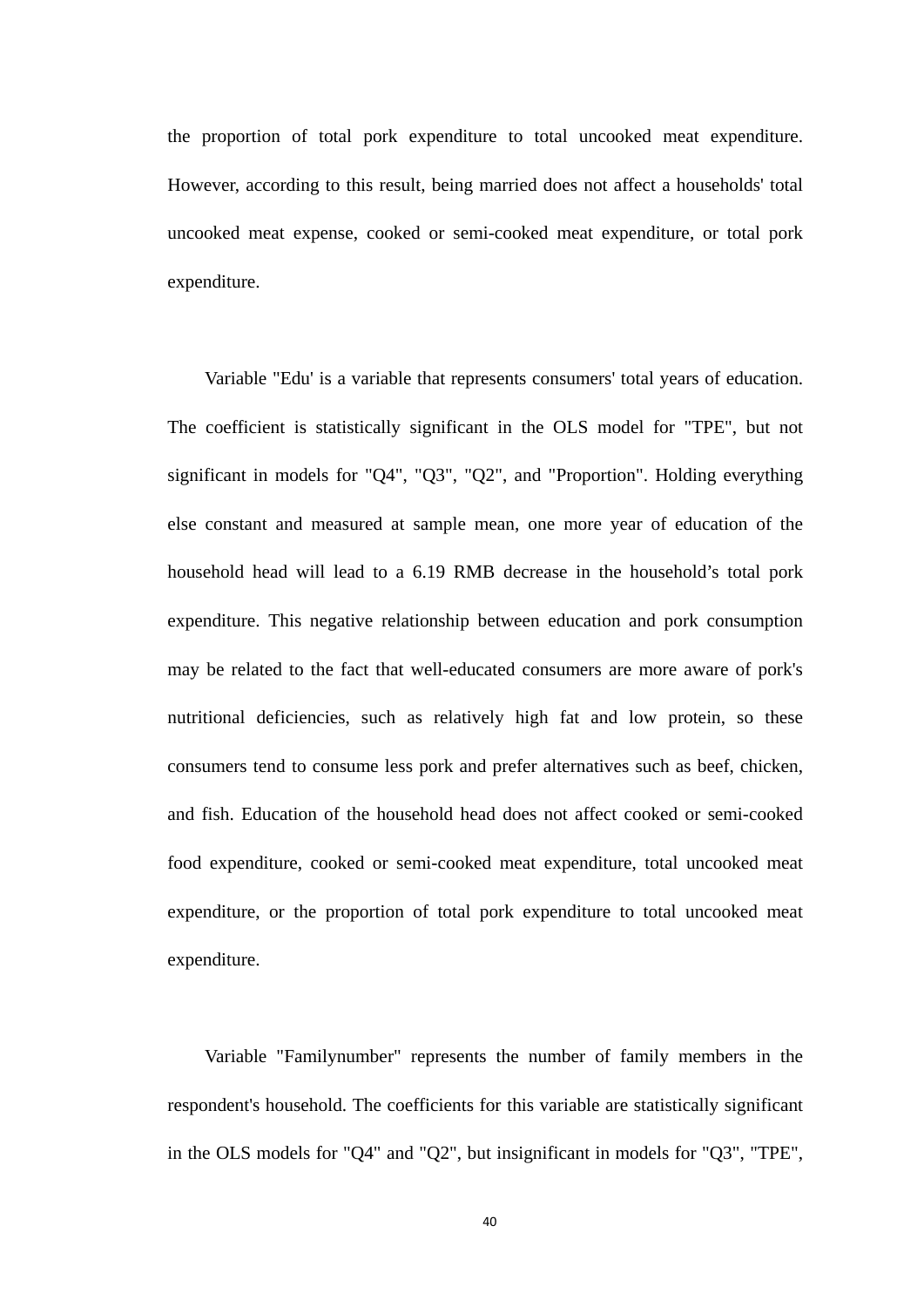the proportion of total pork expenditure to total uncooked meat expenditure. However, according to this result, being married does not affect a households' total uncooked meat expense, cooked or semi-cooked meat expenditure, or total pork expenditure.

Variable "Edu' is a variable that represents consumers' total years of education. The coefficient is statistically significant in the OLS model for "TPE", but not significant in models for "Q4", "Q3", "Q2", and "Proportion". Holding everything else constant and measured at sample mean, one more year of education of the household head will lead to a 6.19 RMB decrease in the household's total pork expenditure. This negative relationship between education and pork consumption may be related to the fact that well-educated consumers are more aware of pork's nutritional deficiencies, such as relatively high fat and low protein, so these consumers tend to consume less pork and prefer alternatives such as beef, chicken, and fish. Education of the household head does not affect cooked or semi-cooked food expenditure, cooked or semi-cooked meat expenditure, total uncooked meat expenditure, or the proportion of total pork expenditure to total uncooked meat expenditure.

Variable "Familynumber" represents the number of family members in the respondent's household. The coefficients for this variable are statistically significant in the OLS models for "Q4" and "Q2", but insignificant in models for "Q3", "TPE",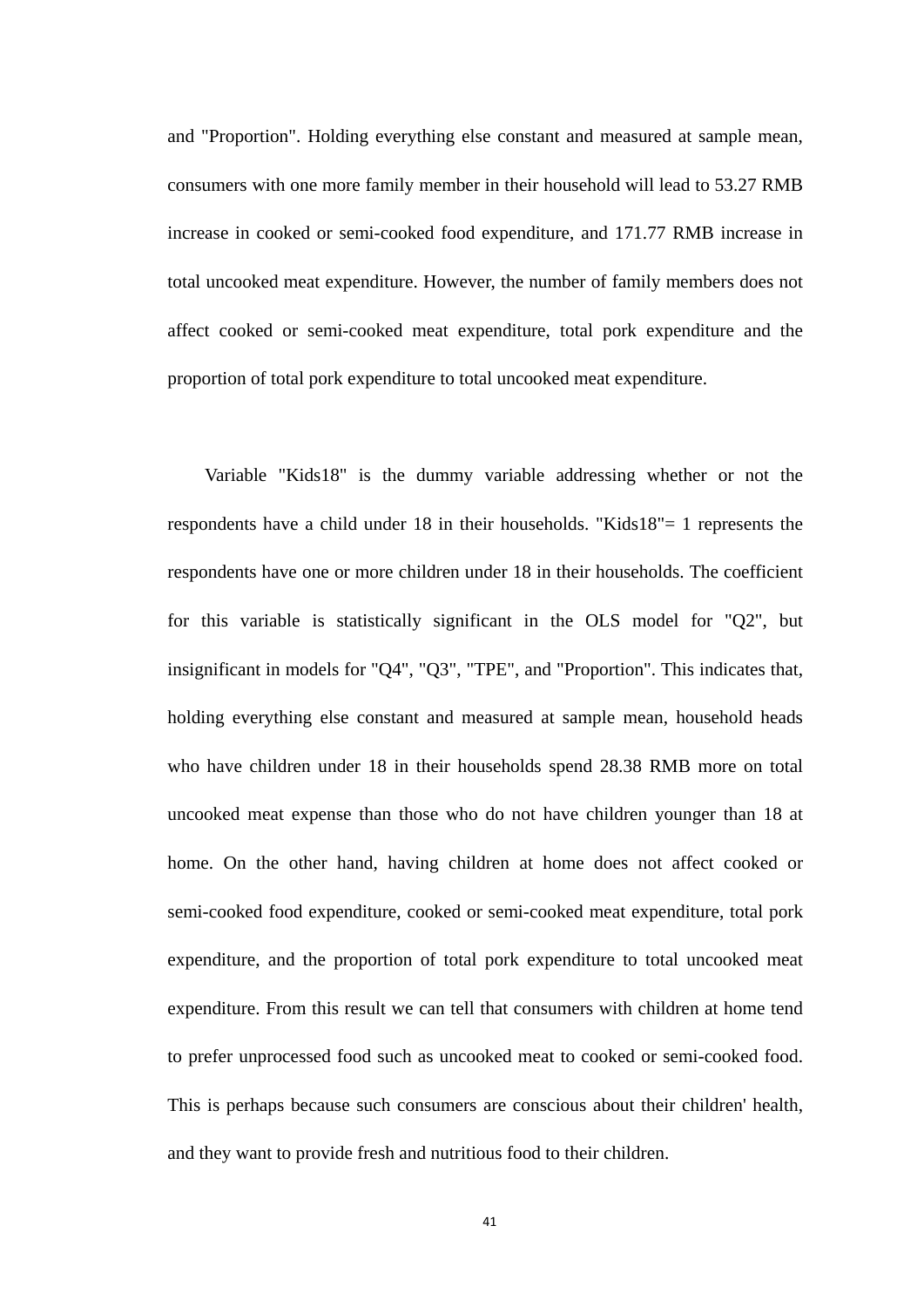and "Proportion". Holding everything else constant and measured at sample mean, consumers with one more family member in their household will lead to 53.27 RMB increase in cooked or semi-cooked food expenditure, and 171.77 RMB increase in total uncooked meat expenditure. However, the number of family members does not affect cooked or semi-cooked meat expenditure, total pork expenditure and the proportion of total pork expenditure to total uncooked meat expenditure.

Variable "Kids18" is the dummy variable addressing whether or not the respondents have a child under 18 in their households. "Kids18"= 1 represents the respondents have one or more children under 18 in their households. The coefficient for this variable is statistically significant in the OLS model for "Q2", but insignificant in models for "Q4", "Q3", "TPE", and "Proportion". This indicates that, holding everything else constant and measured at sample mean, household heads who have children under 18 in their households spend 28.38 RMB more on total uncooked meat expense than those who do not have children younger than 18 at home. On the other hand, having children at home does not affect cooked or semi-cooked food expenditure, cooked or semi-cooked meat expenditure, total pork expenditure, and the proportion of total pork expenditure to total uncooked meat expenditure. From this result we can tell that consumers with children at home tend to prefer unprocessed food such as uncooked meat to cooked or semi-cooked food. This is perhaps because such consumers are conscious about their children' health, and they want to provide fresh and nutritious food to their children.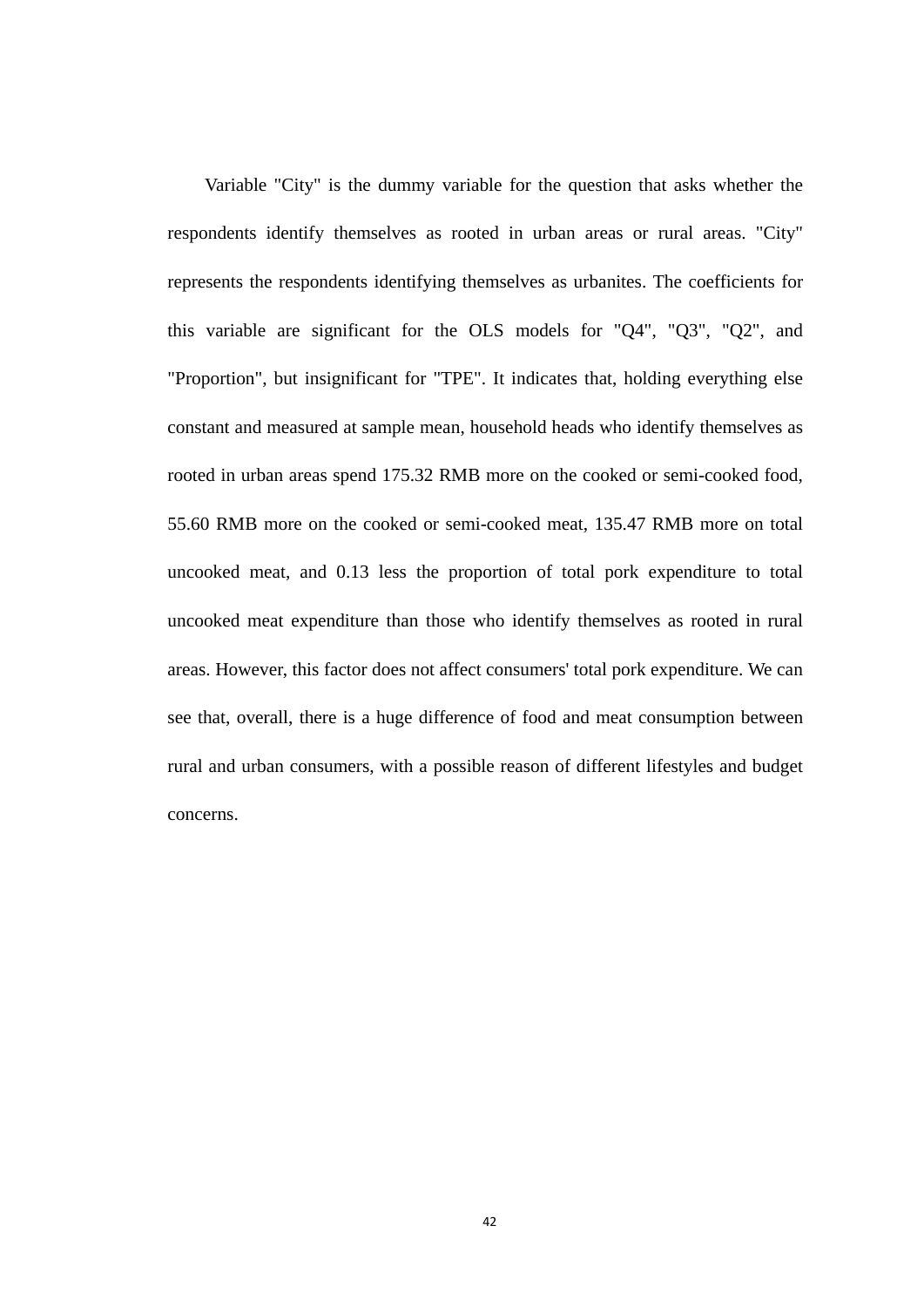Variable "City" is the dummy variable for the question that asks whether the respondents identify themselves as rooted in urban areas or rural areas. "City" represents the respondents identifying themselves as urbanites. The coefficients for this variable are significant for the OLS models for "Q4", "Q3", "Q2", and "Proportion", but insignificant for "TPE". It indicates that, holding everything else constant and measured at sample mean, household heads who identify themselves as rooted in urban areas spend 175.32 RMB more on the cooked or semi-cooked food, 55.60 RMB more on the cooked or semi-cooked meat, 135.47 RMB more on total uncooked meat, and 0.13 less the proportion of total pork expenditure to total uncooked meat expenditure than those who identify themselves as rooted in rural areas. However, this factor does not affect consumers' total pork expenditure. We can see that, overall, there is a huge difference of food and meat consumption between rural and urban consumers, with a possible reason of different lifestyles and budget concerns.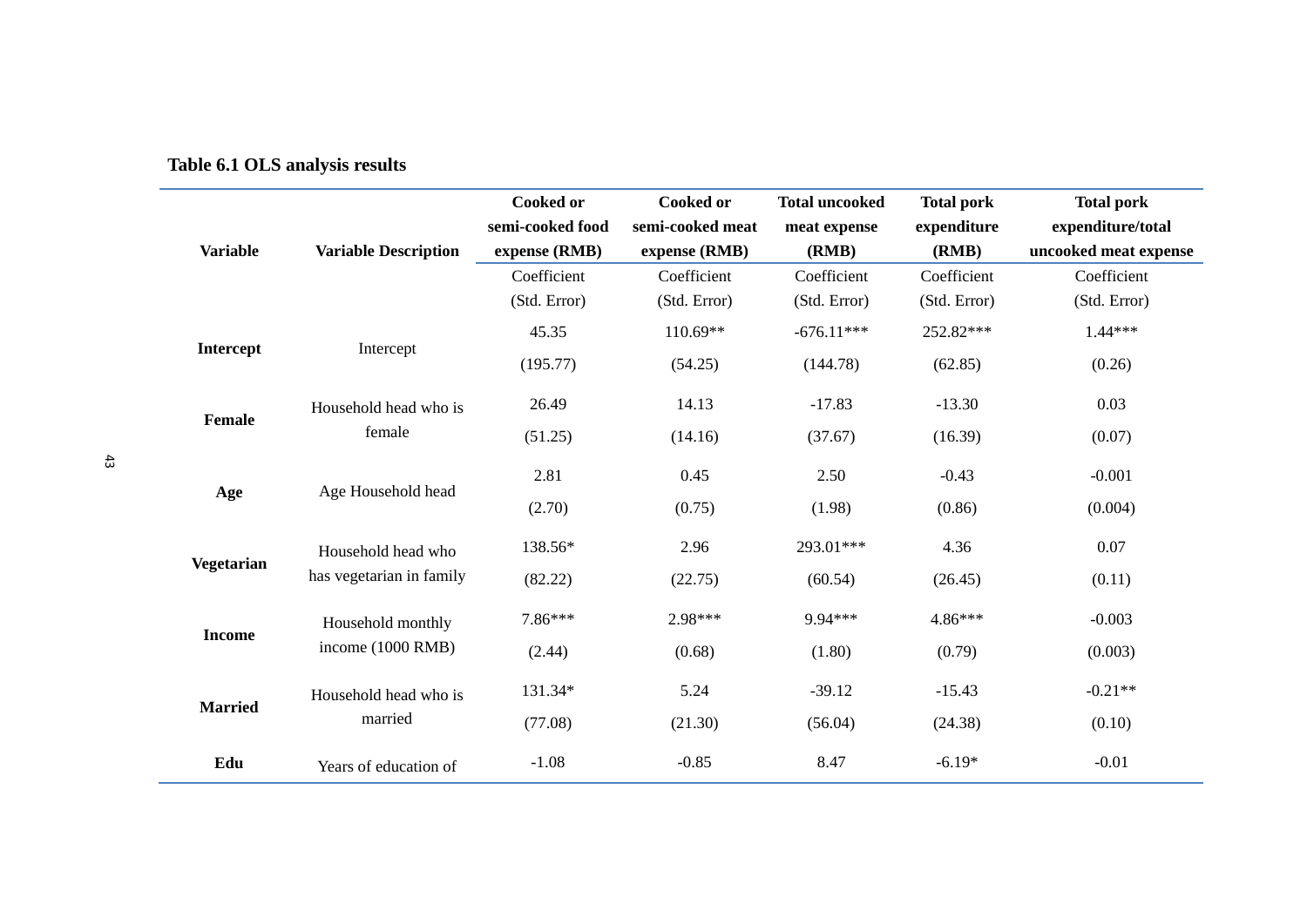<span id="page-50-0"></span>

|                 |                             | <b>Cooked or</b> | <b>Cooked or</b> | <b>Total uncooked</b> | <b>Total pork</b> | <b>Total pork</b>     |
|-----------------|-----------------------------|------------------|------------------|-----------------------|-------------------|-----------------------|
|                 |                             | semi-cooked food | semi-cooked meat | meat expense          | expenditure       | expenditure/total     |
| <b>Variable</b> | <b>Variable Description</b> | expense (RMB)    | expense (RMB)    | (RMB)                 | (RMB)             | uncooked meat expense |
|                 |                             | Coefficient      | Coefficient      | Coefficient           | Coefficient       | Coefficient           |
|                 |                             | (Std. Error)     | (Std. Error)     | (Std. Error)          | (Std. Error)      | (Std. Error)          |
| Intercept       | Intercept                   | 45.35            | $110.69**$       | $-676.11***$          | 252.82***         | $1.44***$             |
|                 |                             | (195.77)         | (54.25)          | (144.78)              | (62.85)           | (0.26)                |
| Female          | Household head who is       | 26.49            | 14.13            | $-17.83$              | $-13.30$          | 0.03                  |
|                 | female                      | (51.25)          | (14.16)          | (37.67)               | (16.39)           | (0.07)                |
|                 |                             | 2.81             | 0.45             | 2.50                  | $-0.43$           | $-0.001$              |
| Age             | Age Household head          | (2.70)           | (0.75)           | (1.98)                | (0.86)            | (0.004)               |
| Vegetarian      | Household head who          | 138.56*          | 2.96             | 293.01***             | 4.36              | 0.07                  |
|                 | has vegetarian in family    | (82.22)          | (22.75)          | (60.54)               | (26.45)           | (0.11)                |
| <b>Income</b>   | Household monthly           | 7.86***          | 2.98***          | 9.94***               | $4.86***$         | $-0.003$              |
|                 | income (1000 RMB)           | (2.44)           | (0.68)           | (1.80)                | (0.79)            | (0.003)               |
|                 | Household head who is       | 131.34*          | 5.24             | $-39.12$              | $-15.43$          | $-0.21**$             |
| <b>Married</b>  | married                     | (77.08)          | (21.30)          | (56.04)               | (24.38)           | (0.10)                |
| Edu             | Years of education of       | $-1.08$          | $-0.85$          | 8.47                  | $-6.19*$          | $-0.01$               |

# **Table 6.1 OLS analysis results**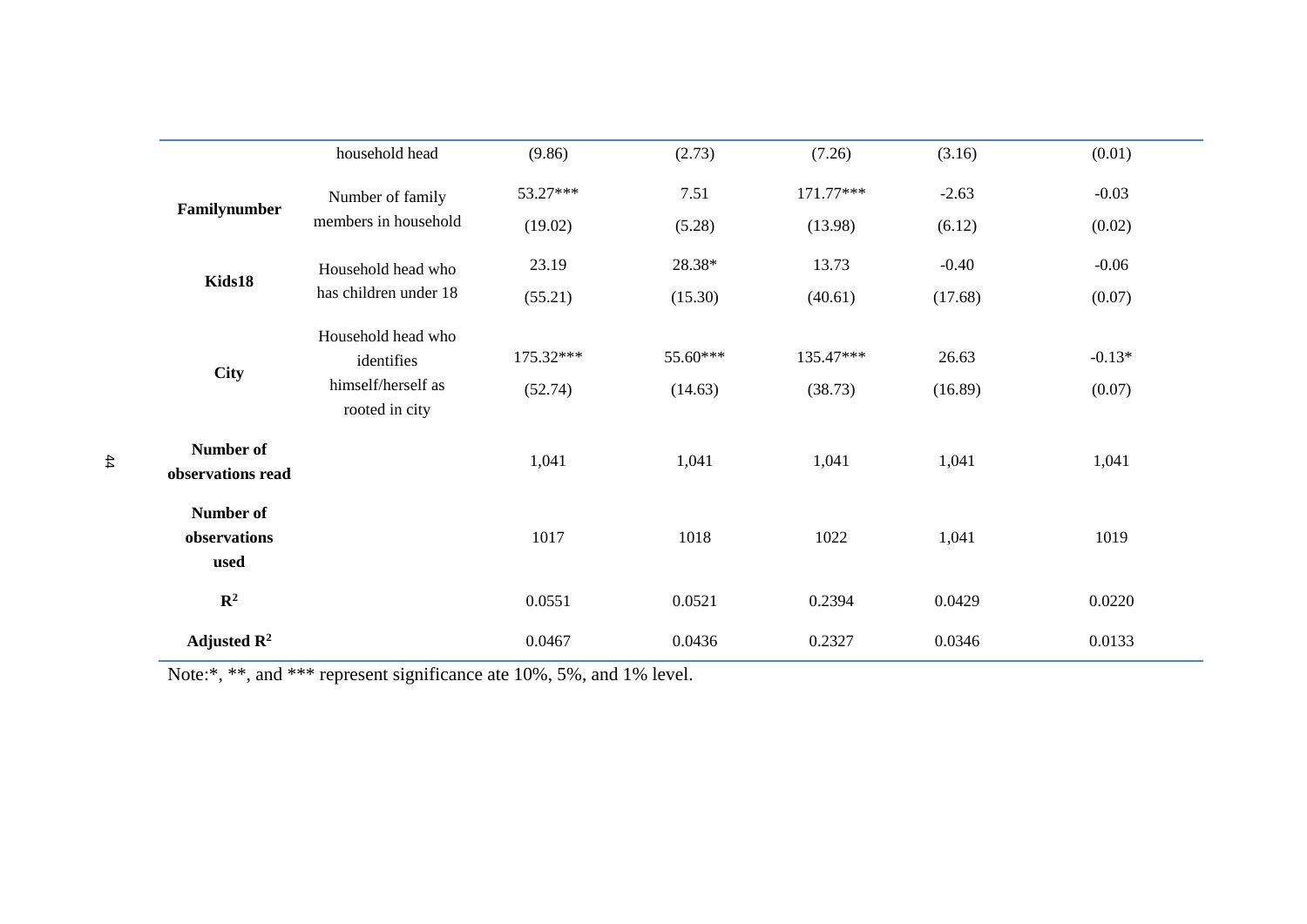|                         | household head        | (9.86)    | (2.73)   | (7.26)    | (3.16)  | (0.01)   |
|-------------------------|-----------------------|-----------|----------|-----------|---------|----------|
| Familynumber            | Number of family      | 53.27***  | 7.51     | 171.77*** | $-2.63$ | $-0.03$  |
|                         | members in household  | (19.02)   | (5.28)   | (13.98)   | (6.12)  | (0.02)   |
| Kids18                  | Household head who    | 23.19     | 28.38*   | 13.73     | $-0.40$ | $-0.06$  |
|                         | has children under 18 | (55.21)   | (15.30)  | (40.61)   | (17.68) | (0.07)   |
|                         | Household head who    |           |          |           |         |          |
| <b>City</b>             | identifies            | 175.32*** | 55.60*** | 135.47*** | 26.63   | $-0.13*$ |
|                         | himself/herself as    | (52.74)   | (14.63)  | (38.73)   | (16.89) | (0.07)   |
|                         | rooted in city        |           |          |           |         |          |
| Number of               |                       | 1,041     | 1,041    | 1,041     | 1,041   | 1,041    |
| observations read       |                       |           |          |           |         |          |
| Number of               |                       |           |          |           |         |          |
| observations<br>used    |                       | 1017      | 1018     | 1022      | 1,041   | 1019     |
|                         |                       |           |          |           |         |          |
| $\mathbb{R}^2$          |                       | 0.0551    | 0.0521   | 0.2394    | 0.0429  | 0.0220   |
| Adjusted $\mathbb{R}^2$ |                       | 0.0467    | 0.0436   | 0.2327    | 0.0346  | 0.0133   |

Note:\*, \*\*, and \*\*\* represent significance ate 10%, 5%, and 1% level.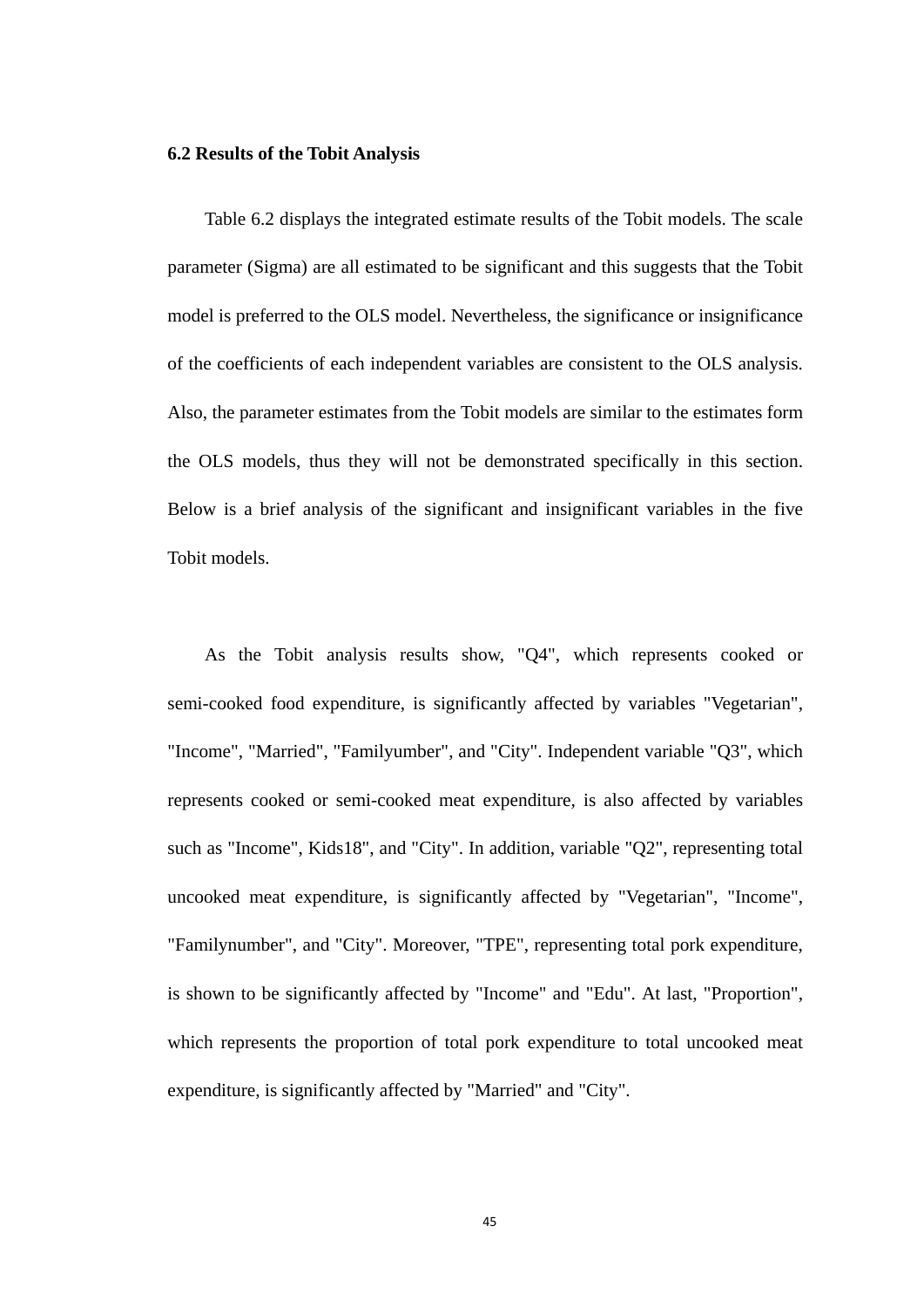#### <span id="page-52-0"></span>**6.2 Results of the Tobit Analysis**

Table 6.2 displays the integrated estimate results of the Tobit models. The scale parameter (Sigma) are all estimated to be significant and this suggests that the Tobit model is preferred to the OLS model. Nevertheless, the significance or insignificance of the coefficients of each independent variables are consistent to the OLS analysis. Also, the parameter estimates from the Tobit models are similar to the estimates form the OLS models, thus they will not be demonstrated specifically in this section. Below is a brief analysis of the significant and insignificant variables in the five Tobit models.

As the Tobit analysis results show, "Q4", which represents cooked or semi-cooked food expenditure, is significantly affected by variables "Vegetarian", "Income", "Married", "Familyumber", and "City". Independent variable "Q3", which represents cooked or semi-cooked meat expenditure, is also affected by variables such as "Income", Kids18", and "City". In addition, variable "Q2", representing total uncooked meat expenditure, is significantly affected by "Vegetarian", "Income", "Familynumber", and "City". Moreover, "TPE", representing total pork expenditure, is shown to be significantly affected by "Income" and "Edu". At last, "Proportion", which represents the proportion of total pork expenditure to total uncooked meat expenditure, is significantly affected by "Married" and "City".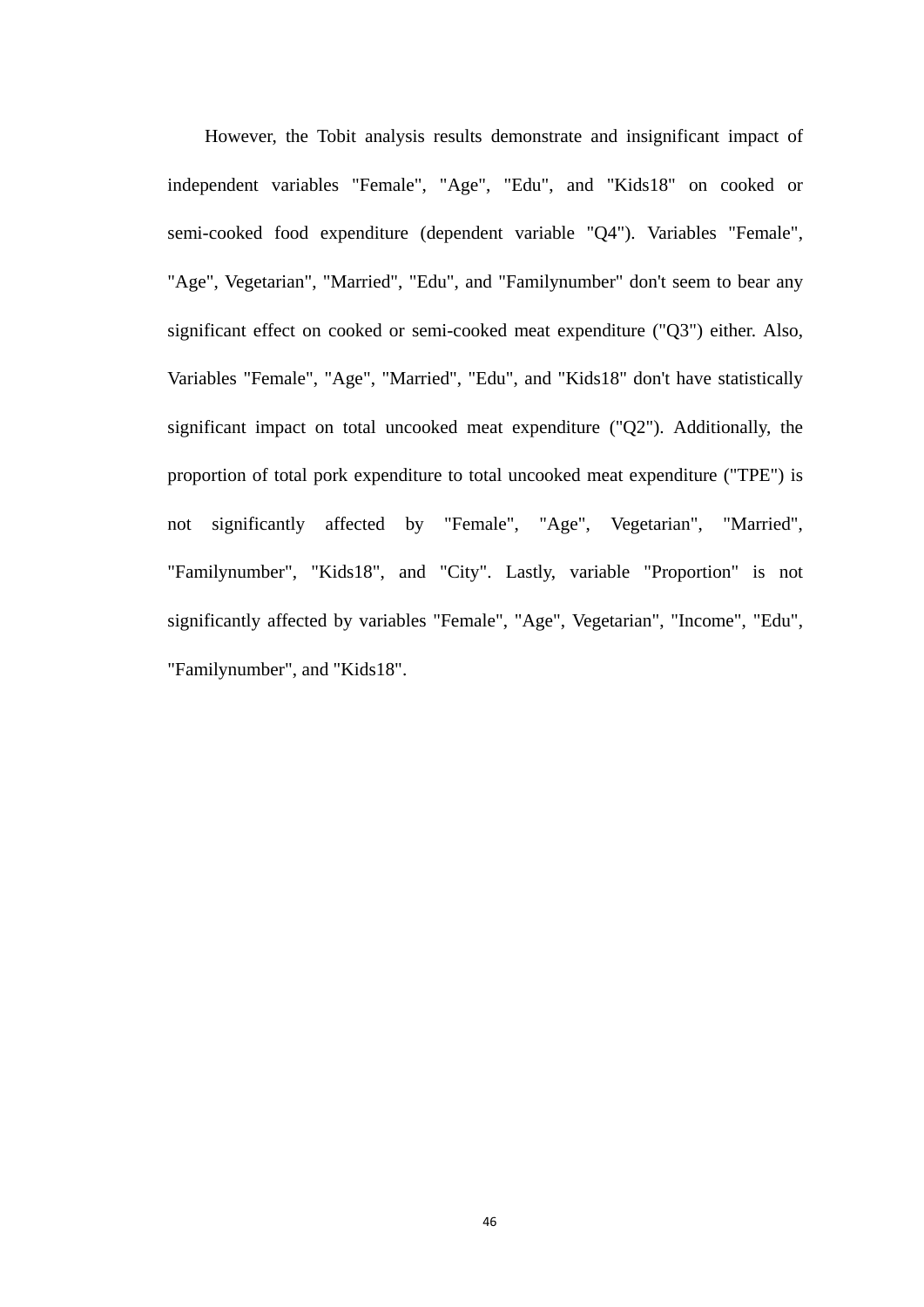However, the Tobit analysis results demonstrate and insignificant impact of independent variables "Female", "Age", "Edu", and "Kids18" on cooked or semi-cooked food expenditure (dependent variable "Q4"). Variables "Female", "Age", Vegetarian", "Married", "Edu", and "Familynumber" don't seem to bear any significant effect on cooked or semi-cooked meat expenditure ("Q3") either. Also, Variables "Female", "Age", "Married", "Edu", and "Kids18" don't have statistically significant impact on total uncooked meat expenditure ("Q2"). Additionally, the proportion of total pork expenditure to total uncooked meat expenditure ("TPE") is not significantly affected by "Female", "Age", Vegetarian", "Married", "Familynumber", "Kids18", and "City". Lastly, variable "Proportion" is not significantly affected by variables "Female", "Age", Vegetarian", "Income", "Edu", "Familynumber", and "Kids18".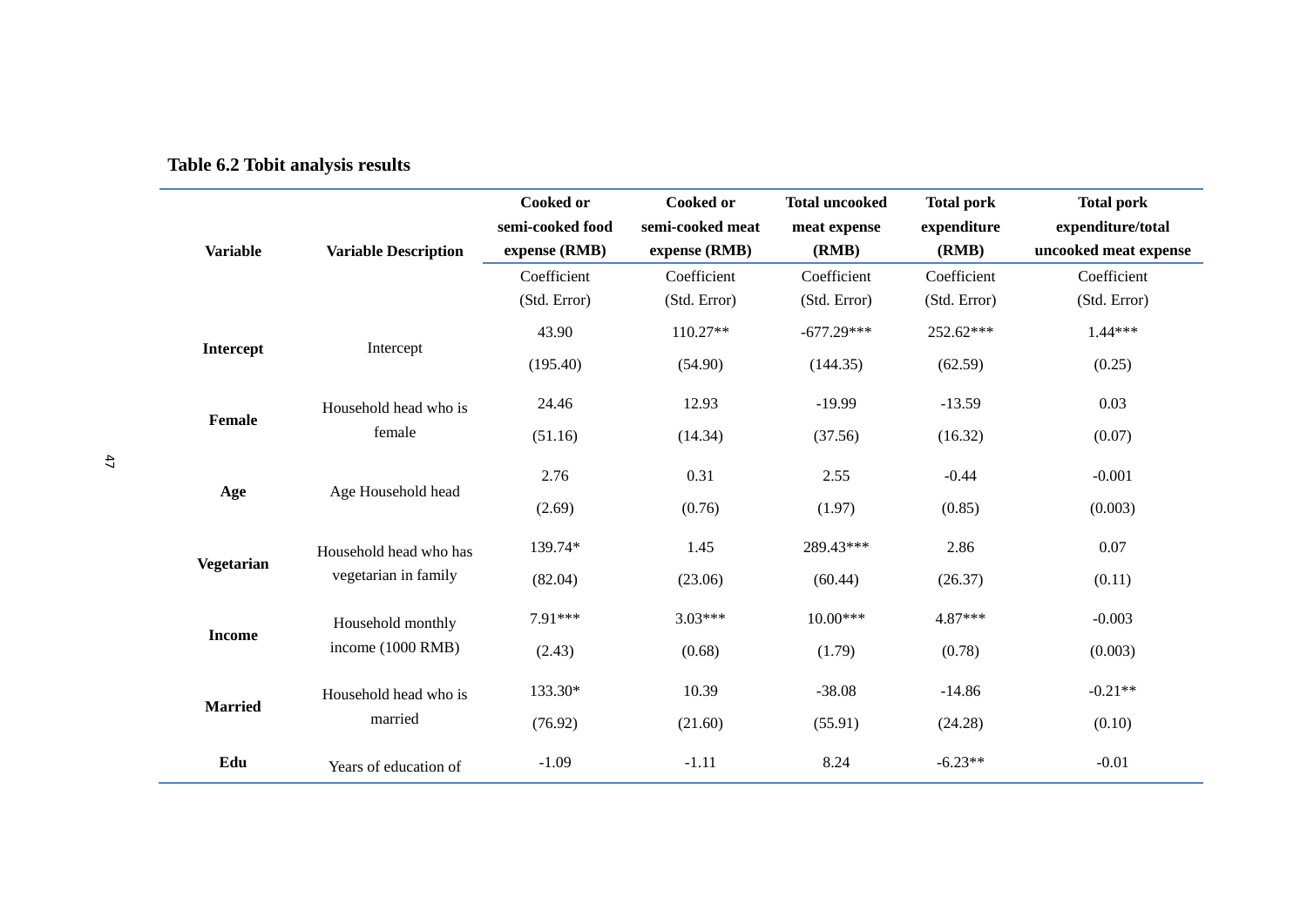<span id="page-54-0"></span>

| <b>Variable</b>  | <b>Variable Description</b> | <b>Cooked or</b><br>semi-cooked food<br>expense (RMB) | <b>Cooked or</b><br>semi-cooked meat<br>expense (RMB) | <b>Total uncooked</b><br>meat expense<br>(RMB) | <b>Total pork</b><br>expenditure<br>(RMB) | <b>Total pork</b><br>expenditure/total<br>uncooked meat expense |
|------------------|-----------------------------|-------------------------------------------------------|-------------------------------------------------------|------------------------------------------------|-------------------------------------------|-----------------------------------------------------------------|
|                  |                             | Coefficient<br>(Std. Error)                           | Coefficient<br>(Std. Error)                           | Coefficient<br>(Std. Error)                    | Coefficient<br>(Std. Error)               | Coefficient<br>(Std. Error)                                     |
| <b>Intercept</b> | Intercept                   | 43.90                                                 | $110.27**$                                            | $-677.29***$                                   | 252.62***                                 | 1.44 ***                                                        |
|                  |                             | (195.40)                                              | (54.90)                                               | (144.35)                                       | (62.59)                                   | (0.25)                                                          |
| <b>Female</b>    | Household head who is       | 24.46                                                 | 12.93                                                 | $-19.99$                                       | $-13.59$                                  | 0.03                                                            |
|                  | female                      | (51.16)                                               | (14.34)                                               | (37.56)                                        | (16.32)                                   | (0.07)                                                          |
| Age              | Age Household head          | 2.76                                                  | 0.31                                                  | 2.55                                           | $-0.44$                                   | $-0.001$                                                        |
|                  |                             | (2.69)                                                | (0.76)                                                | (1.97)                                         | (0.85)                                    | (0.003)                                                         |
| Vegetarian       | Household head who has      | 139.74*                                               | 1.45                                                  | 289.43***                                      | 2.86                                      | $0.07\,$                                                        |
|                  | vegetarian in family        | (82.04)                                               | (23.06)                                               | (60.44)                                        | (26.37)                                   | (0.11)                                                          |
| <b>Income</b>    | Household monthly           | 7.91***                                               | $3.03***$                                             | $10.00***$                                     | $4.87***$                                 | $-0.003$                                                        |
|                  | income (1000 RMB)           | (2.43)                                                | (0.68)                                                | (1.79)                                         | (0.78)                                    | (0.003)                                                         |
| <b>Married</b>   | Household head who is       | 133.30*                                               | 10.39                                                 | $-38.08$                                       | $-14.86$                                  | $-0.21**$                                                       |
|                  | married                     | (76.92)                                               | (21.60)                                               | (55.91)                                        | (24.28)                                   | (0.10)                                                          |
| Edu              | Years of education of       | $-1.09$                                               | $-1.11$                                               | 8.24                                           | $-6.23**$                                 | $-0.01$                                                         |

# **Table 6.2 Tobit analysis results**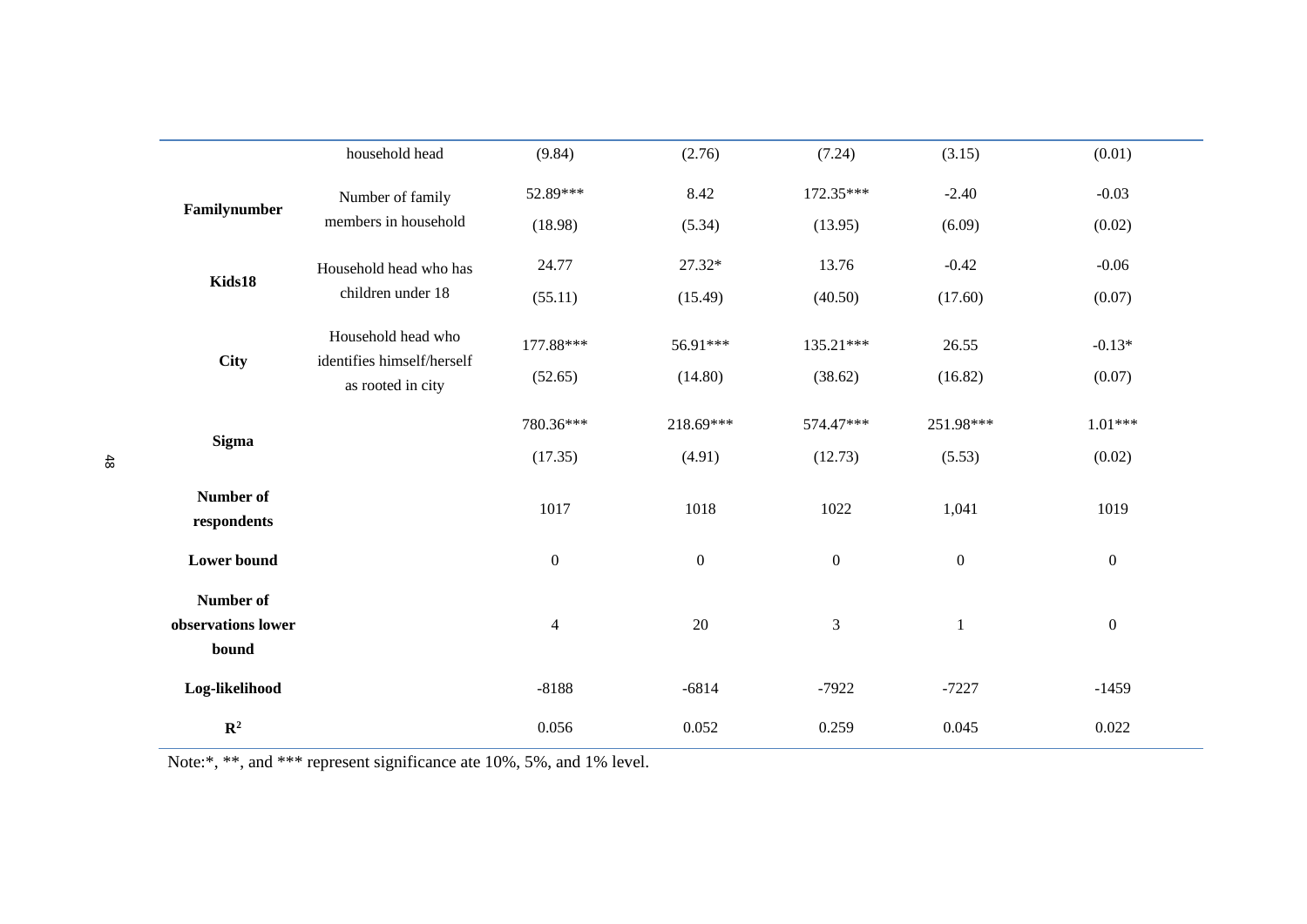|                          | household head                                  | (9.84)           | (2.76)           | (7.24)           | (3.15)           | (0.01)           |
|--------------------------|-------------------------------------------------|------------------|------------------|------------------|------------------|------------------|
|                          |                                                 |                  |                  |                  |                  |                  |
| Familynumber             | Number of family                                | 52.89***         | 8.42             | 172.35***        | $-2.40$          | $-0.03$          |
|                          | members in household                            | (18.98)          | (5.34)           | (13.95)          | (6.09)           | (0.02)           |
| Kids18                   | Household head who has                          | 24.77            | 27.32*           | 13.76            | $-0.42$          | $-0.06$          |
|                          | children under 18                               | (55.11)          | (15.49)          | (40.50)          | (17.60)          | (0.07)           |
| City                     | Household head who                              | 177.88***        | 56.91***         | 135.21***        | 26.55            | $-0.13*$         |
|                          | identifies himself/herself<br>as rooted in city | (52.65)          | (14.80)          | (38.62)          | (16.82)          | (0.07)           |
|                          |                                                 | 780.36***        | 218.69***        | 574.47***        | 251.98***        | $1.01***$        |
| <b>Sigma</b>             |                                                 | (17.35)          | (4.91)           | (12.73)          | (5.53)           | (0.02)           |
| Number of<br>respondents |                                                 | 1017             | 1018             | 1022             | 1,041            | 1019             |
| <b>Lower bound</b>       |                                                 | $\boldsymbol{0}$ | $\boldsymbol{0}$ | $\boldsymbol{0}$ | $\boldsymbol{0}$ | $\boldsymbol{0}$ |
| Number of                |                                                 |                  |                  |                  |                  |                  |
| observations lower       |                                                 | $\overline{4}$   | $20\,$           | $\mathfrak{Z}$   | $\,1\,$          | $\boldsymbol{0}$ |
| bound                    |                                                 |                  |                  |                  |                  |                  |
| Log-likelihood           |                                                 | $-8188$          | $-6814$          | $-7922$          | $-7227$          | $-1459$          |
| $\mathbb{R}^2$           |                                                 | 0.056            | 0.052            | 0.259            | 0.045            | 0.022            |

Note:\*, \*\*, and \*\*\* represent significance ate 10%, 5%, and 1% level.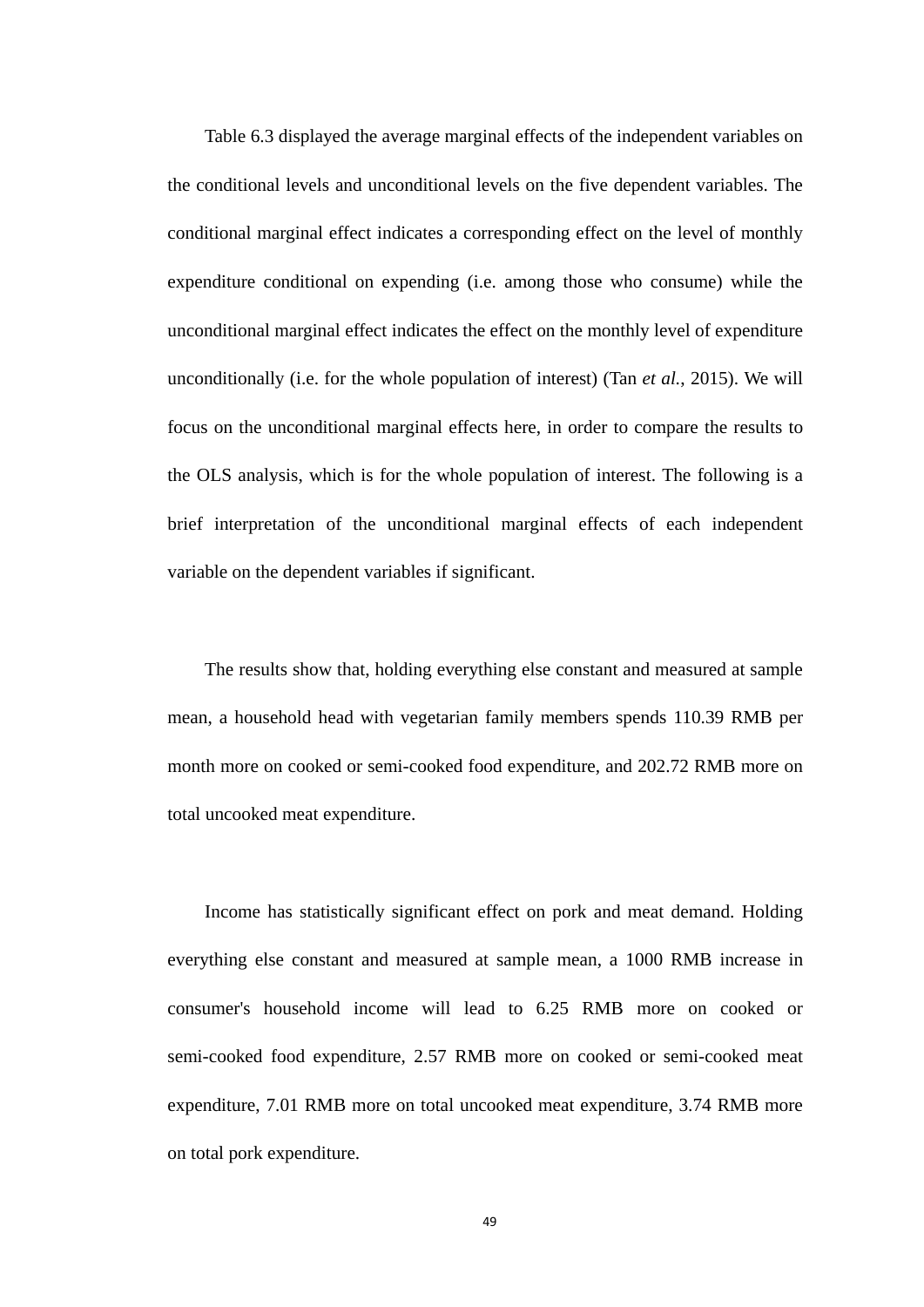Table 6.3 displayed the average marginal effects of the independent variables on the conditional levels and unconditional levels on the five dependent variables. The conditional marginal effect indicates a corresponding effect on the level of monthly expenditure conditional on expending (i.e. among those who consume) while the unconditional marginal effect indicates the effect on the monthly level of expenditure unconditionally (i.e. for the whole population of interest) (Tan *et al.*, 2015). We will focus on the unconditional marginal effects here, in order to compare the results to the OLS analysis, which is for the whole population of interest. The following is a brief interpretation of the unconditional marginal effects of each independent variable on the dependent variables if significant.

The results show that, holding everything else constant and measured at sample mean, a household head with vegetarian family members spends 110.39 RMB per month more on cooked or semi-cooked food expenditure, and 202.72 RMB more on total uncooked meat expenditure.

Income has statistically significant effect on pork and meat demand. Holding everything else constant and measured at sample mean, a 1000 RMB increase in consumer's household income will lead to 6.25 RMB more on cooked or semi-cooked food expenditure, 2.57 RMB more on cooked or semi-cooked meat expenditure, 7.01 RMB more on total uncooked meat expenditure, 3.74 RMB more on total pork expenditure.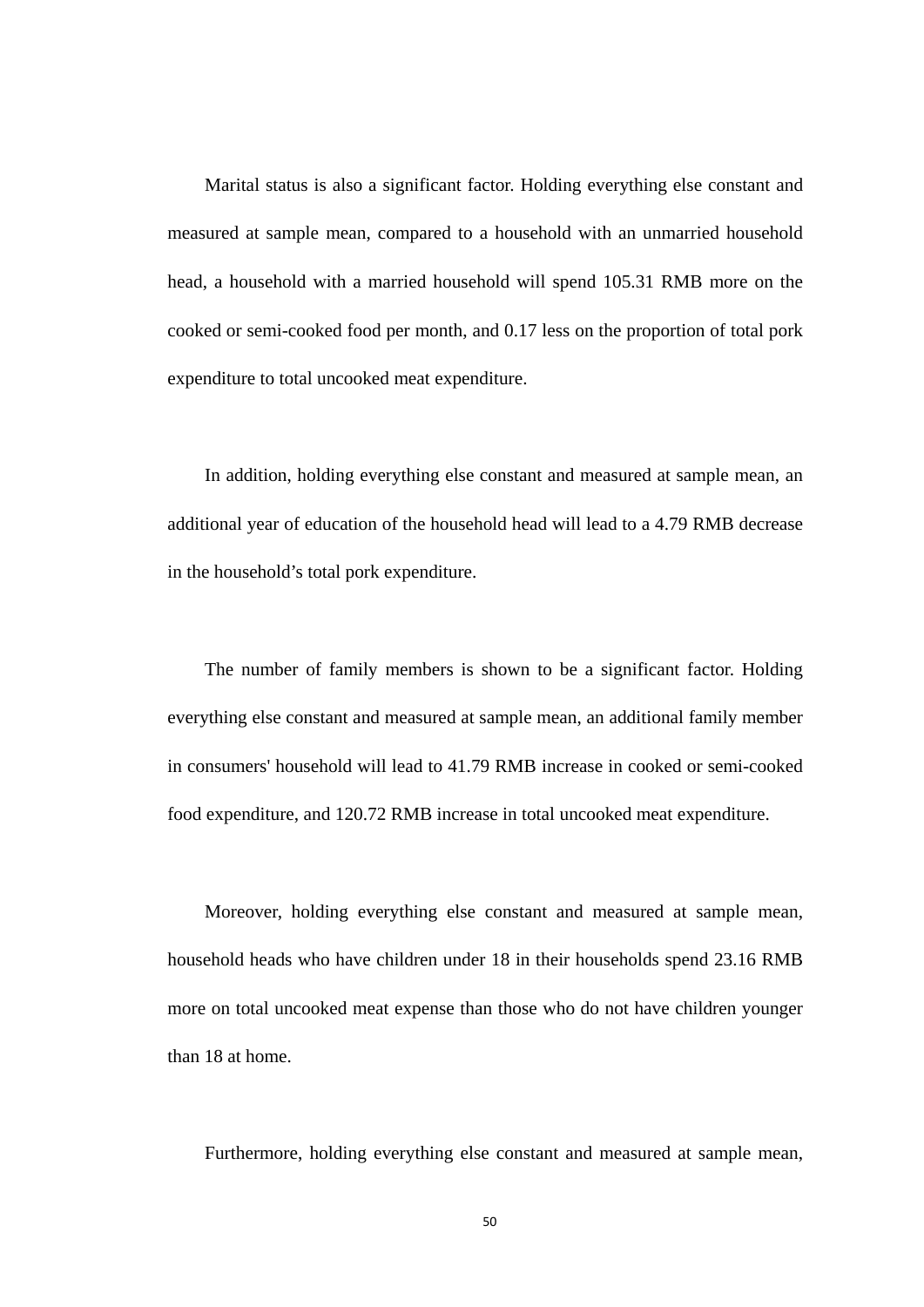Marital status is also a significant factor. Holding everything else constant and measured at sample mean, compared to a household with an unmarried household head, a household with a married household will spend 105.31 RMB more on the cooked or semi-cooked food per month, and 0.17 less on the proportion of total pork expenditure to total uncooked meat expenditure.

In addition, holding everything else constant and measured at sample mean, an additional year of education of the household head will lead to a 4.79 RMB decrease in the household's total pork expenditure.

The number of family members is shown to be a significant factor. Holding everything else constant and measured at sample mean, an additional family member in consumers' household will lead to 41.79 RMB increase in cooked or semi-cooked food expenditure, and 120.72 RMB increase in total uncooked meat expenditure.

Moreover, holding everything else constant and measured at sample mean, household heads who have children under 18 in their households spend 23.16 RMB more on total uncooked meat expense than those who do not have children younger than 18 at home.

Furthermore, holding everything else constant and measured at sample mean,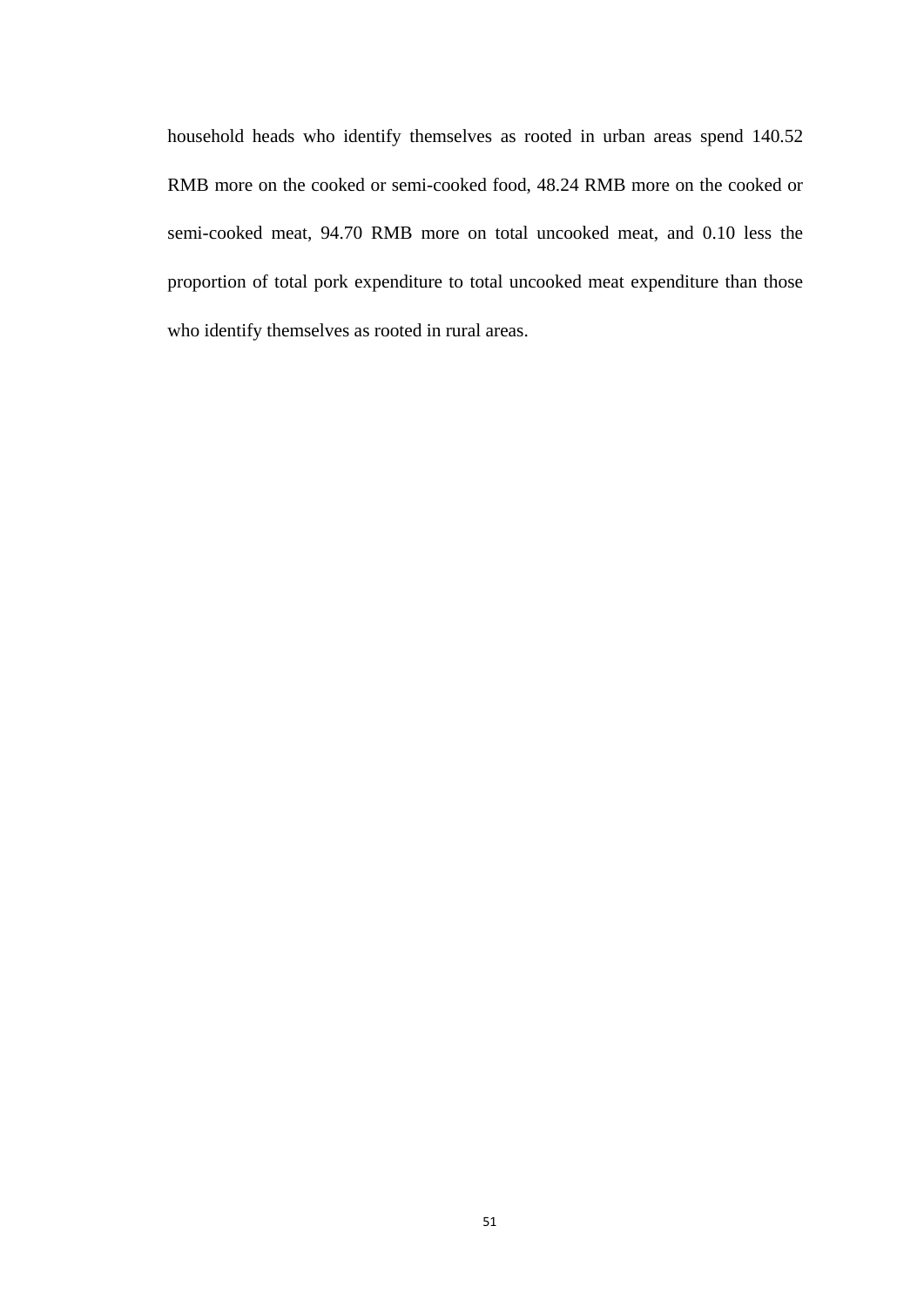household heads who identify themselves as rooted in urban areas spend 140.52 RMB more on the cooked or semi-cooked food, 48.24 RMB more on the cooked or semi-cooked meat, 94.70 RMB more on total uncooked meat, and 0.10 less the proportion of total pork expenditure to total uncooked meat expenditure than those who identify themselves as rooted in rural areas.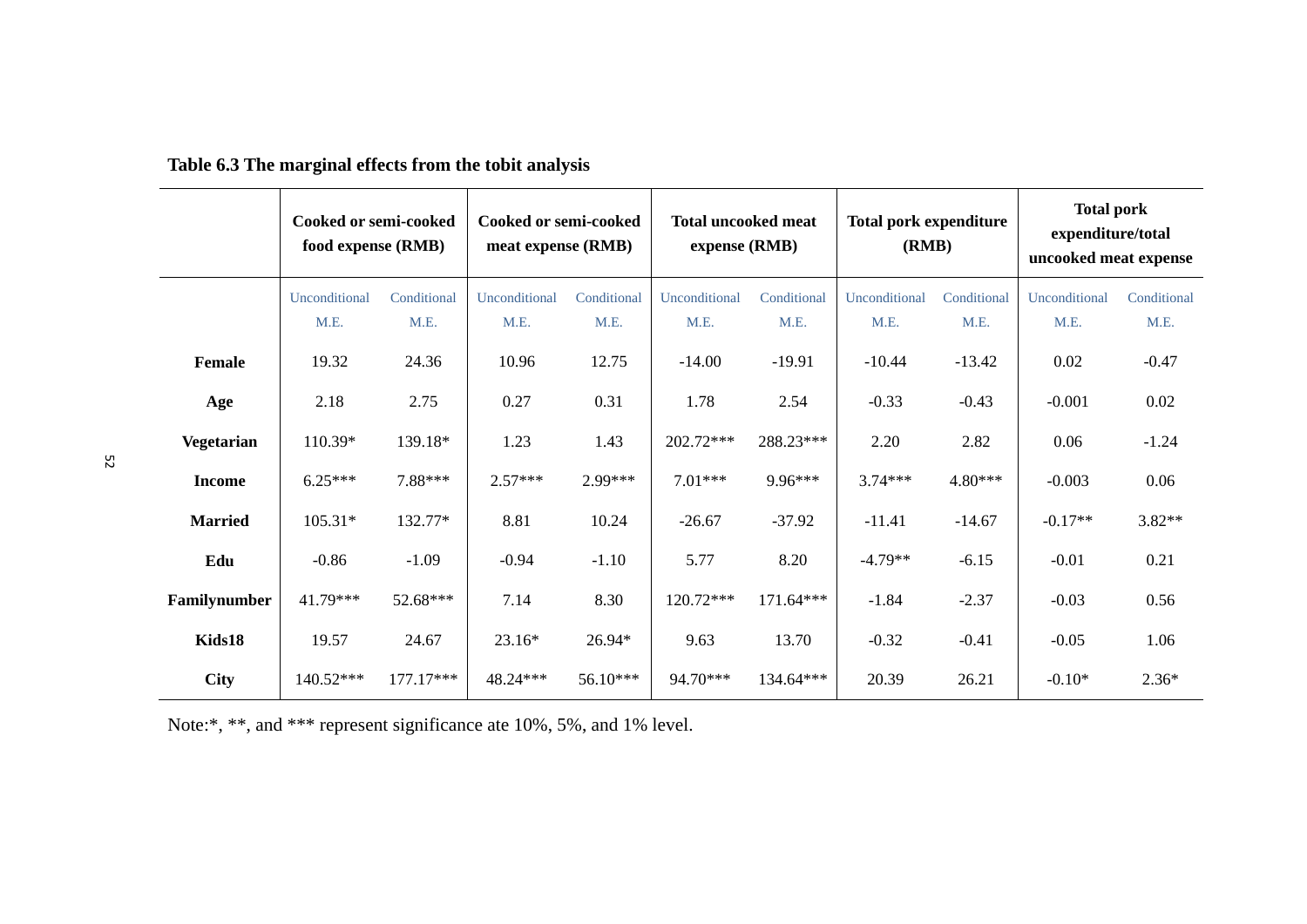|                | Cooked or semi-cooked<br>food expense (RMB) |             | Cooked or semi-cooked<br>meat expense (RMB) |             | <b>Total uncooked meat</b><br>expense (RMB) |             | <b>Total pork expenditure</b><br>(RMB) |             | <b>Total pork</b><br>expenditure/total<br>uncooked meat expense |             |
|----------------|---------------------------------------------|-------------|---------------------------------------------|-------------|---------------------------------------------|-------------|----------------------------------------|-------------|-----------------------------------------------------------------|-------------|
|                | Unconditional                               | Conditional | Unconditional                               | Conditional | Unconditional                               | Conditional | Unconditional                          | Conditional | Unconditional                                                   | Conditional |
|                | M.E.                                        | M.E.        | M.E.                                        | M.E.        | M.E.                                        | M.E.        | M.E.                                   | M.E.        | M.E.                                                            | M.E.        |
| Female         | 19.32                                       | 24.36       | 10.96                                       | 12.75       | $-14.00$                                    | $-19.91$    | $-10.44$                               | $-13.42$    | 0.02                                                            | $-0.47$     |
| Age            | 2.18                                        | 2.75        | 0.27                                        | 0.31        | 1.78                                        | 2.54        | $-0.33$                                | $-0.43$     | $-0.001$                                                        | 0.02        |
| Vegetarian     | 110.39*                                     | 139.18*     | 1.23                                        | 1.43        | 202.72***                                   | 288.23***   | 2.20                                   | 2.82        | 0.06                                                            | $-1.24$     |
| <b>Income</b>  | $6.25***$                                   | 7.88***     | $2.57***$                                   | 2.99***     | $7.01***$                                   | 9.96***     | $3.74***$                              | $4.80***$   | $-0.003$                                                        | 0.06        |
| <b>Married</b> | $105.31*$                                   | 132.77*     | 8.81                                        | 10.24       | $-26.67$                                    | $-37.92$    | $-11.41$                               | $-14.67$    | $-0.17**$                                                       | $3.82**$    |
| Edu            | $-0.86$                                     | $-1.09$     | $-0.94$                                     | $-1.10$     | 5.77                                        | 8.20        | $-4.79**$                              | $-6.15$     | $-0.01$                                                         | 0.21        |
| Familynumber   | 41.79***                                    | 52.68***    | 7.14                                        | 8.30        | 120.72***                                   | $171.64***$ | $-1.84$                                | $-2.37$     | $-0.03$                                                         | 0.56        |
| Kids18         | 19.57                                       | 24.67       | 23.16*                                      | 26.94*      | 9.63                                        | 13.70       | $-0.32$                                | $-0.41$     | $-0.05$                                                         | 1.06        |
| <b>City</b>    | 140.52***                                   | $177.17***$ | 48.24***                                    | $56.10***$  | 94.70***                                    | 134.64***   | 20.39                                  | 26.21       | $-0.10*$                                                        | $2.36*$     |

# **Table 6.3 The marginal effects from the tobit analysis**

<span id="page-59-0"></span>Note:\*, \*\*, and \*\*\* represent significance ate 10%, 5%, and 1% level.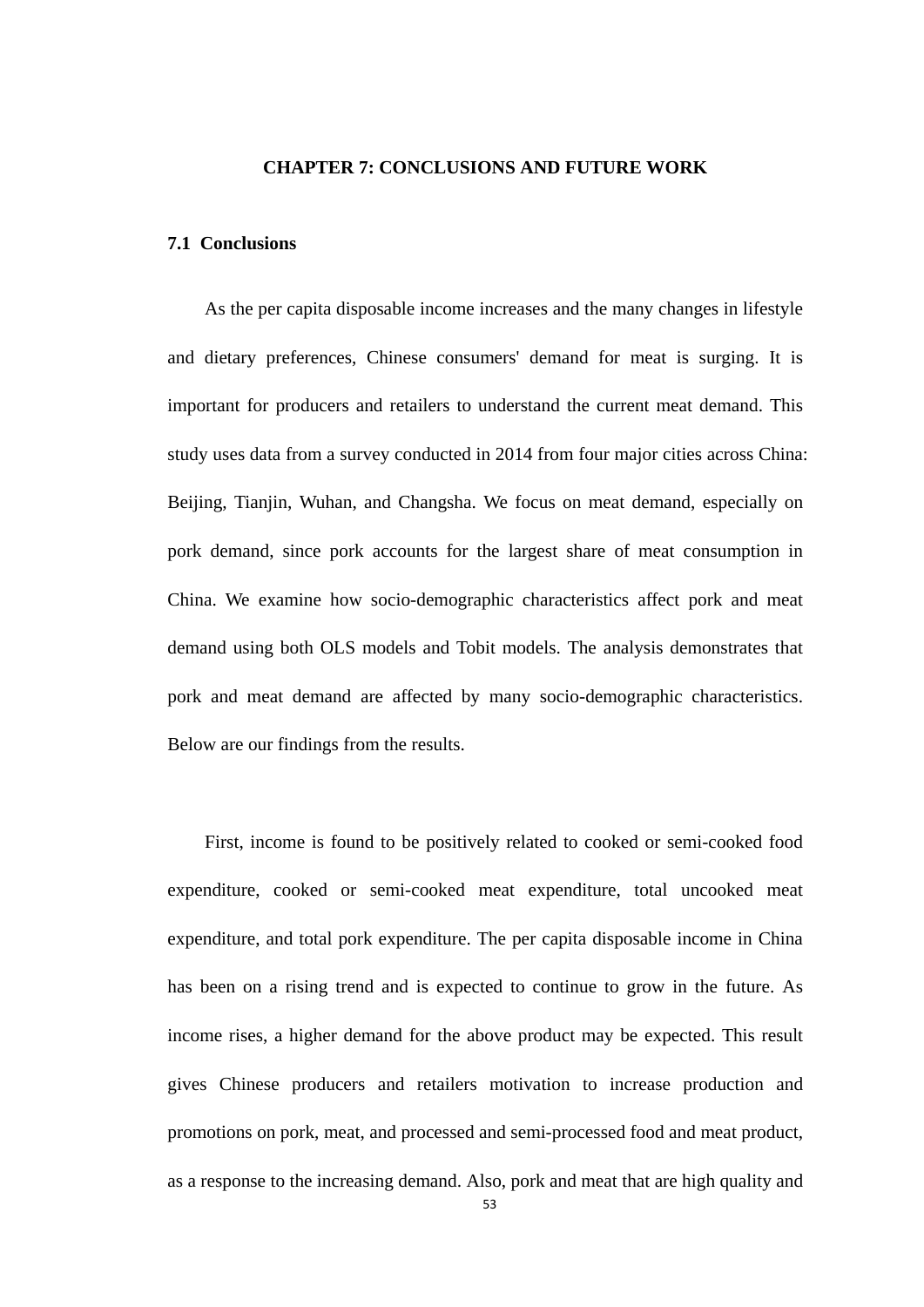#### <span id="page-60-0"></span>**CHAPTER 7: CONCLUSIONS AND FUTURE WORK**

#### <span id="page-60-1"></span>**7.1 Conclusions**

As the per capita disposable income increases and the many changes in lifestyle and dietary preferences, Chinese consumers' demand for meat is surging. It is important for producers and retailers to understand the current meat demand. This study uses data from a survey conducted in 2014 from four major cities across China: Beijing, Tianjin, Wuhan, and Changsha. We focus on meat demand, especially on pork demand, since pork accounts for the largest share of meat consumption in China. We examine how socio-demographic characteristics affect pork and meat demand using both OLS models and Tobit models. The analysis demonstrates that pork and meat demand are affected by many socio-demographic characteristics. Below are our findings from the results.

First, income is found to be positively related to cooked or semi-cooked food expenditure, cooked or semi-cooked meat expenditure, total uncooked meat expenditure, and total pork expenditure. The per capita disposable income in China has been on a rising trend and is expected to continue to grow in the future. As income rises, a higher demand for the above product may be expected. This result gives Chinese producers and retailers motivation to increase production and promotions on pork, meat, and processed and semi-processed food and meat product, as a response to the increasing demand. Also, pork and meat that are high quality and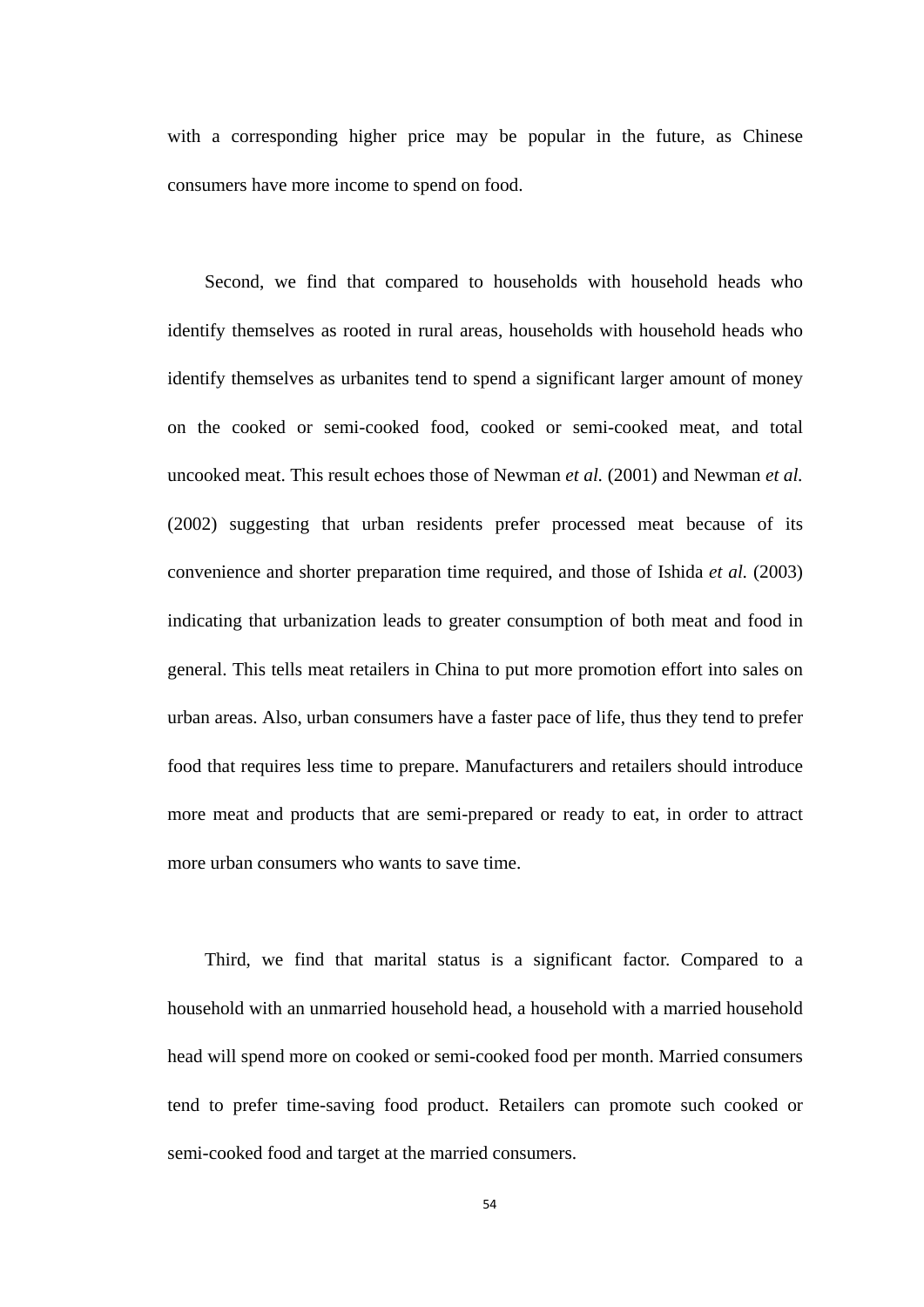with a corresponding higher price may be popular in the future, as Chinese consumers have more income to spend on food.

Second, we find that compared to households with household heads who identify themselves as rooted in rural areas, households with household heads who identify themselves as urbanites tend to spend a significant larger amount of money on the cooked or semi-cooked food, cooked or semi-cooked meat, and total uncooked meat. This result echoes those of Newman *et al.* (2001) and Newman *et al.* (2002) suggesting that urban residents prefer processed meat because of its convenience and shorter preparation time required, and those of Ishida *et al.* (2003) indicating that urbanization leads to greater consumption of both meat and food in general. This tells meat retailers in China to put more promotion effort into sales on urban areas. Also, urban consumers have a faster pace of life, thus they tend to prefer food that requires less time to prepare. Manufacturers and retailers should introduce more meat and products that are semi-prepared or ready to eat, in order to attract more urban consumers who wants to save time.

Third, we find that marital status is a significant factor. Compared to a household with an unmarried household head, a household with a married household head will spend more on cooked or semi-cooked food per month. Married consumers tend to prefer time-saving food product. Retailers can promote such cooked or semi-cooked food and target at the married consumers.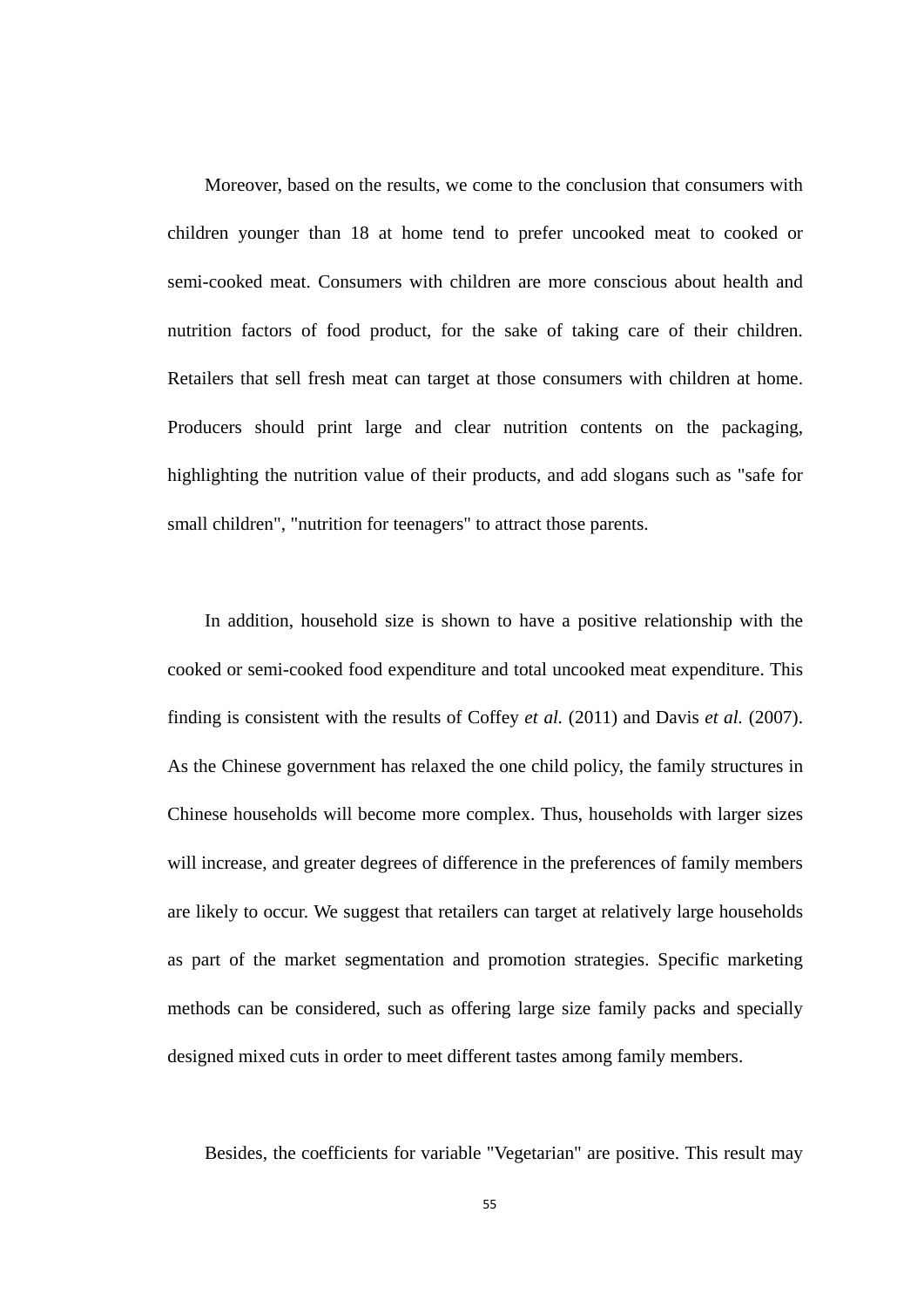Moreover, based on the results, we come to the conclusion that consumers with children younger than 18 at home tend to prefer uncooked meat to cooked or semi-cooked meat. Consumers with children are more conscious about health and nutrition factors of food product, for the sake of taking care of their children. Retailers that sell fresh meat can target at those consumers with children at home. Producers should print large and clear nutrition contents on the packaging, highlighting the nutrition value of their products, and add slogans such as "safe for small children", "nutrition for teenagers" to attract those parents.

In addition, household size is shown to have a positive relationship with the cooked or semi-cooked food expenditure and total uncooked meat expenditure. This finding is consistent with the results of Coffey *et al.* (2011) and Davis *et al.* (2007). As the Chinese government has relaxed the one child policy, the family structures in Chinese households will become more complex. Thus, households with larger sizes will increase, and greater degrees of difference in the preferences of family members are likely to occur. We suggest that retailers can target at relatively large households as part of the market segmentation and promotion strategies. Specific marketing methods can be considered, such as offering large size family packs and specially designed mixed cuts in order to meet different tastes among family members.

Besides, the coefficients for variable "Vegetarian" are positive. This result may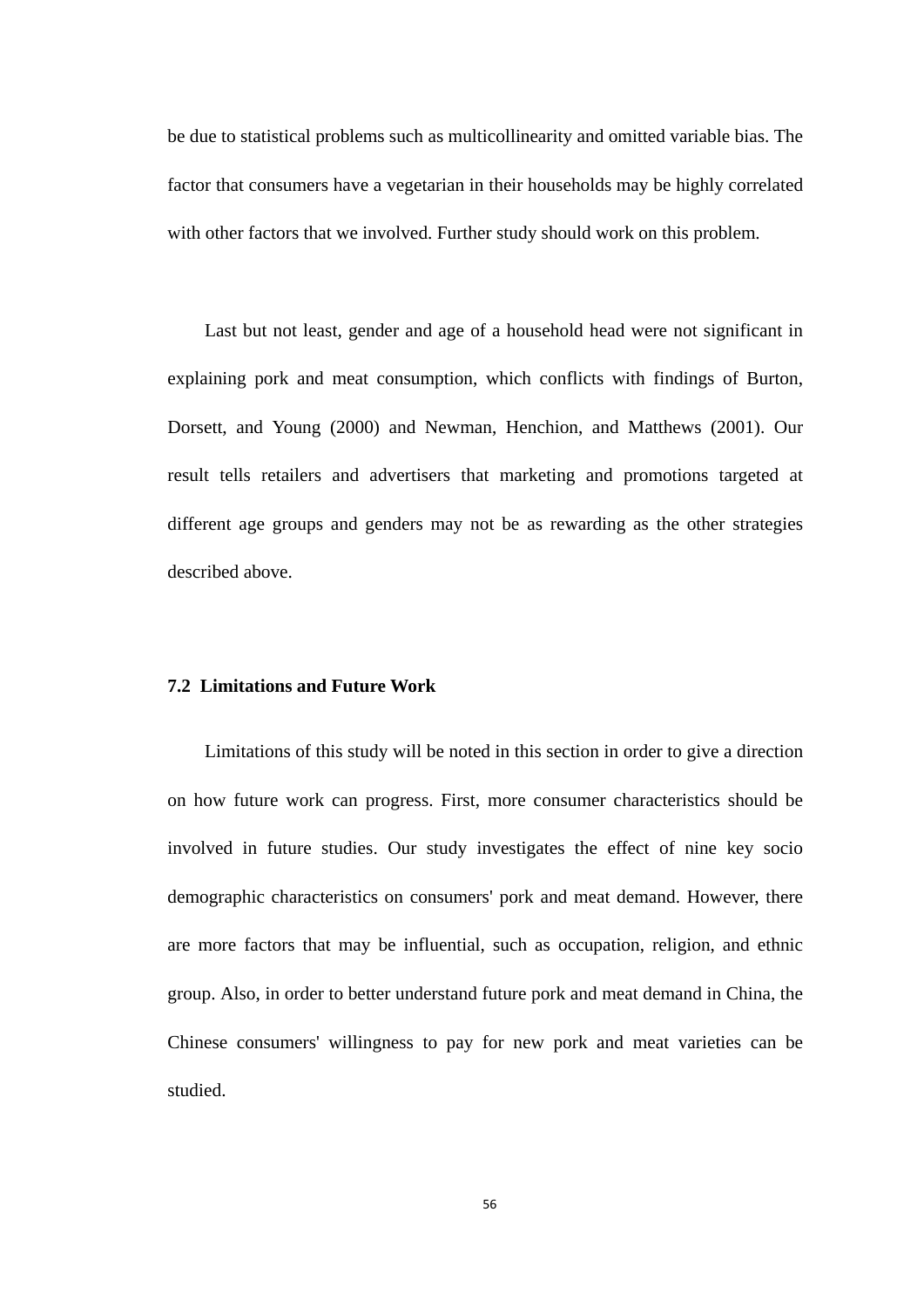be due to statistical problems such as multicollinearity and omitted variable bias. The factor that consumers have a vegetarian in their households may be highly correlated with other factors that we involved. Further study should work on this problem.

Last but not least, gender and age of a household head were not significant in explaining pork and meat consumption, which conflicts with findings of Burton, Dorsett, and Young (2000) and Newman, Henchion, and Matthews (2001). Our result tells retailers and advertisers that marketing and promotions targeted at different age groups and genders may not be as rewarding as the other strategies described above.

#### <span id="page-63-0"></span>**7.2 Limitations and Future Work**

Limitations of this study will be noted in this section in order to give a direction on how future work can progress. First, more consumer characteristics should be involved in future studies. Our study investigates the effect of nine key socio demographic characteristics on consumers' pork and meat demand. However, there are more factors that may be influential, such as occupation, religion, and ethnic group. Also, in order to better understand future pork and meat demand in China, the Chinese consumers' willingness to pay for new pork and meat varieties can be studied.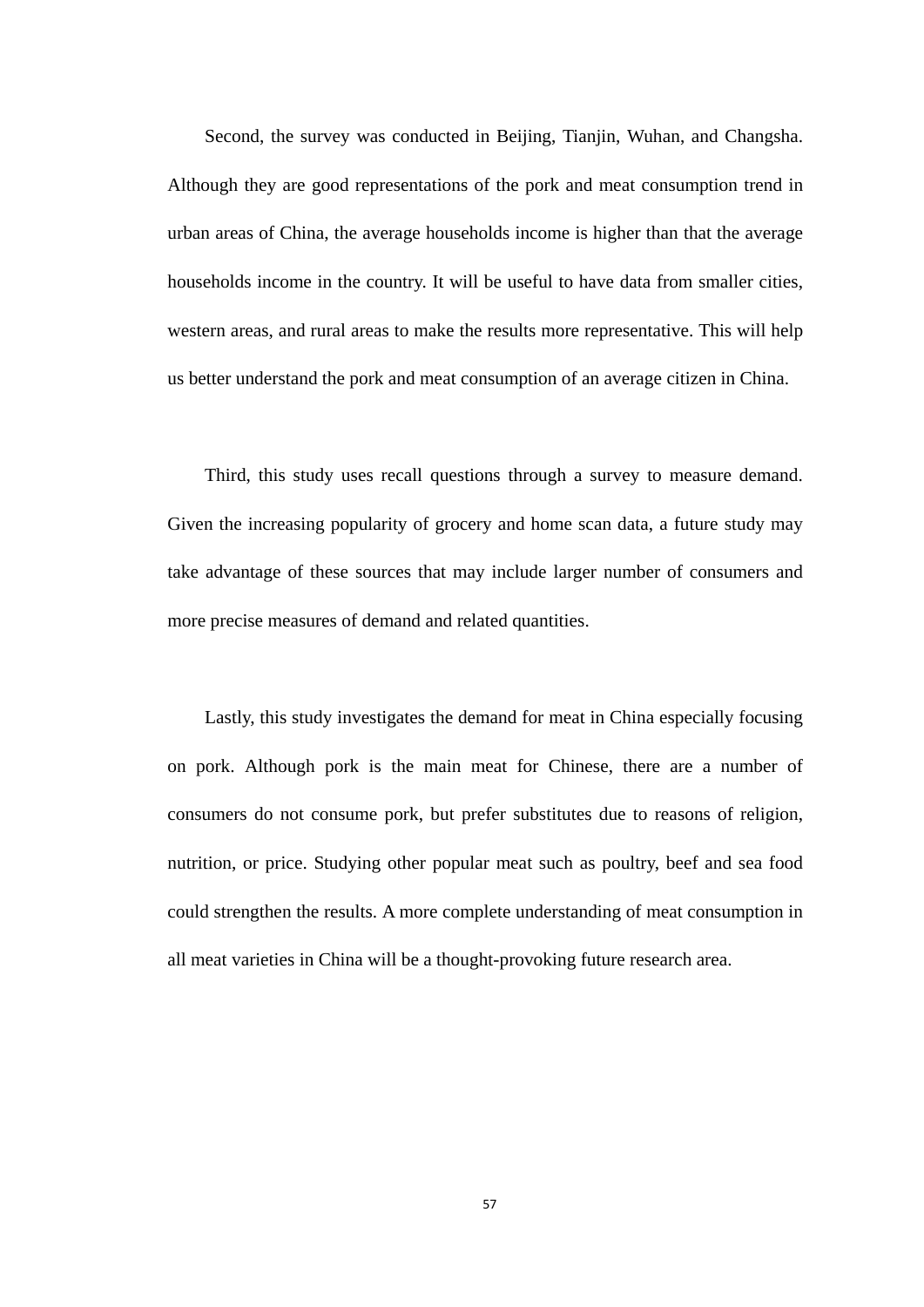Second, the survey was conducted in Beijing, Tianjin, Wuhan, and Changsha. Although they are good representations of the pork and meat consumption trend in urban areas of China, the average households income is higher than that the average households income in the country. It will be useful to have data from smaller cities, western areas, and rural areas to make the results more representative. This will help us better understand the pork and meat consumption of an average citizen in China.

Third, this study uses recall questions through a survey to measure demand. Given the increasing popularity of grocery and home scan data, a future study may take advantage of these sources that may include larger number of consumers and more precise measures of demand and related quantities.

Lastly, this study investigates the demand for meat in China especially focusing on pork. Although pork is the main meat for Chinese, there are a number of consumers do not consume pork, but prefer substitutes due to reasons of religion, nutrition, or price. Studying other popular meat such as poultry, beef and sea food could strengthen the results. A more complete understanding of meat consumption in all meat varieties in China will be a thought-provoking future research area.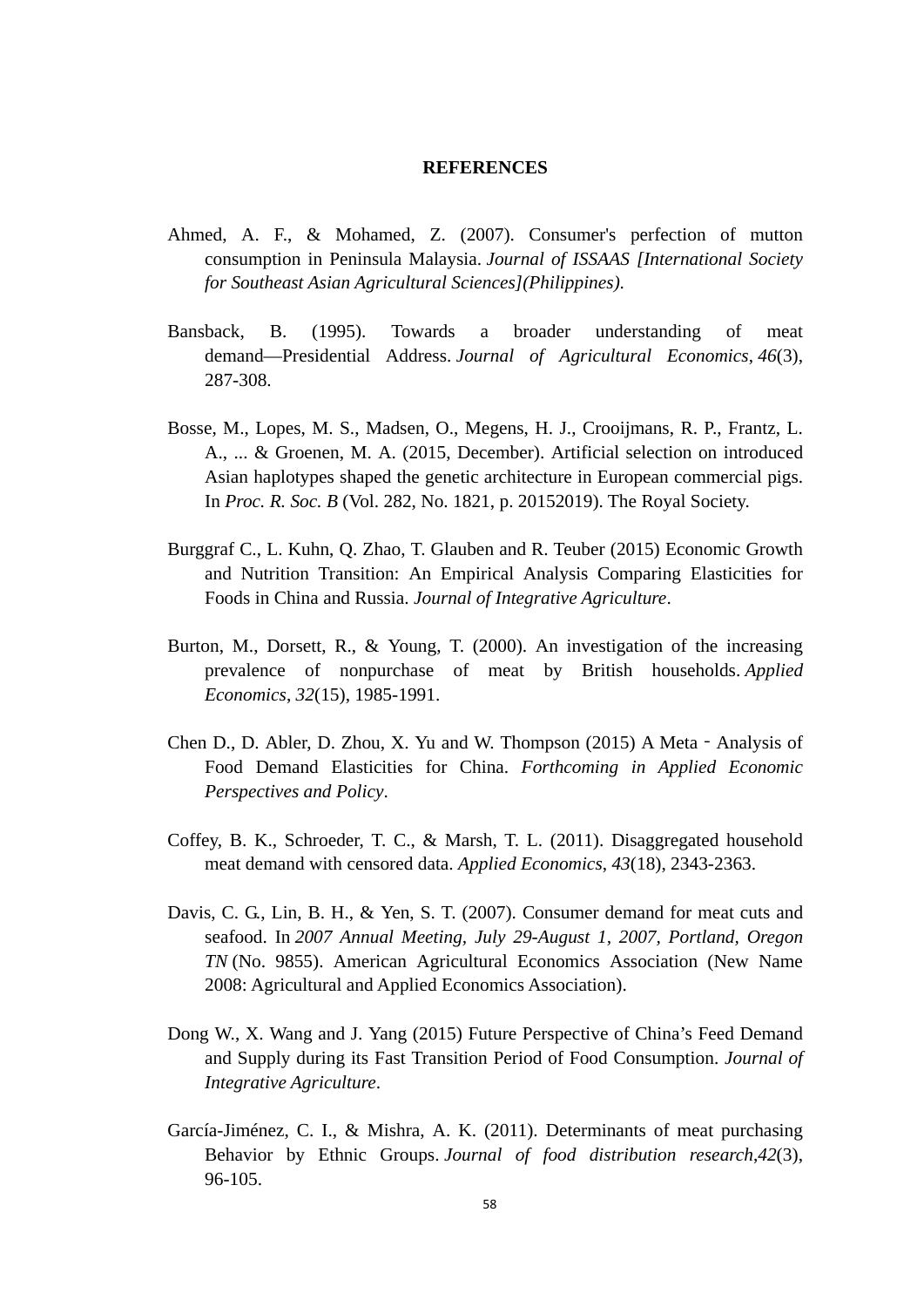#### **REFERENCES**

- <span id="page-65-0"></span>Ahmed, A. F., & Mohamed, Z. (2007). Consumer's perfection of mutton consumption in Peninsula Malaysia. *Journal of ISSAAS [International Society for Southeast Asian Agricultural Sciences](Philippines)*.
- Bansback, B. (1995). Towards a broader understanding of meat demand—Presidential Address. *Journal of Agricultural Economics*, *46*(3), 287-308.
- Bosse, M., Lopes, M. S., Madsen, O., Megens, H. J., Crooijmans, R. P., Frantz, L. A., ... & Groenen, M. A. (2015, December). Artificial selection on introduced Asian haplotypes shaped the genetic architecture in European commercial pigs. In *Proc. R. Soc. B* (Vol. 282, No. 1821, p. 20152019). The Royal Society.
- Burggraf C., L. Kuhn, Q. Zhao, T. Glauben and R. Teuber (2015) Economic Growth and Nutrition Transition: An Empirical Analysis Comparing Elasticities for Foods in China and Russia. *Journal of Integrative Agriculture*.
- Burton, M., Dorsett, R., & Young, T. (2000). An investigation of the increasing prevalence of nonpurchase of meat by British households. *Applied Economics*, *32*(15), 1985-1991.
- Chen D., D. Abler, D. Zhou, X. Yu and W. Thompson (2015) A Meta Analysis of Food Demand Elasticities for China. *Forthcoming in Applied Economic Perspectives and Policy*.
- Coffey, B. K., Schroeder, T. C., & Marsh, T. L. (2011). Disaggregated household meat demand with censored data. *Applied Economics*, *43*(18), 2343-2363.
- Davis, C. G., Lin, B. H., & Yen, S. T. (2007). Consumer demand for meat cuts and seafood. In *2007 Annual Meeting, July 29-August 1, 2007, Portland, Oregon TN* (No. 9855). American Agricultural Economics Association (New Name 2008: Agricultural and Applied Economics Association).
- Dong W., X. Wang and J. Yang (2015) Future Perspective of China's Feed Demand and Supply during its Fast Transition Period of Food Consumption. *Journal of Integrative Agriculture*.
- García-Jiménez, C. I., & Mishra, A. K. (2011). Determinants of meat purchasing Behavior by Ethnic Groups. *Journal of food distribution research*,*42*(3), 96-105.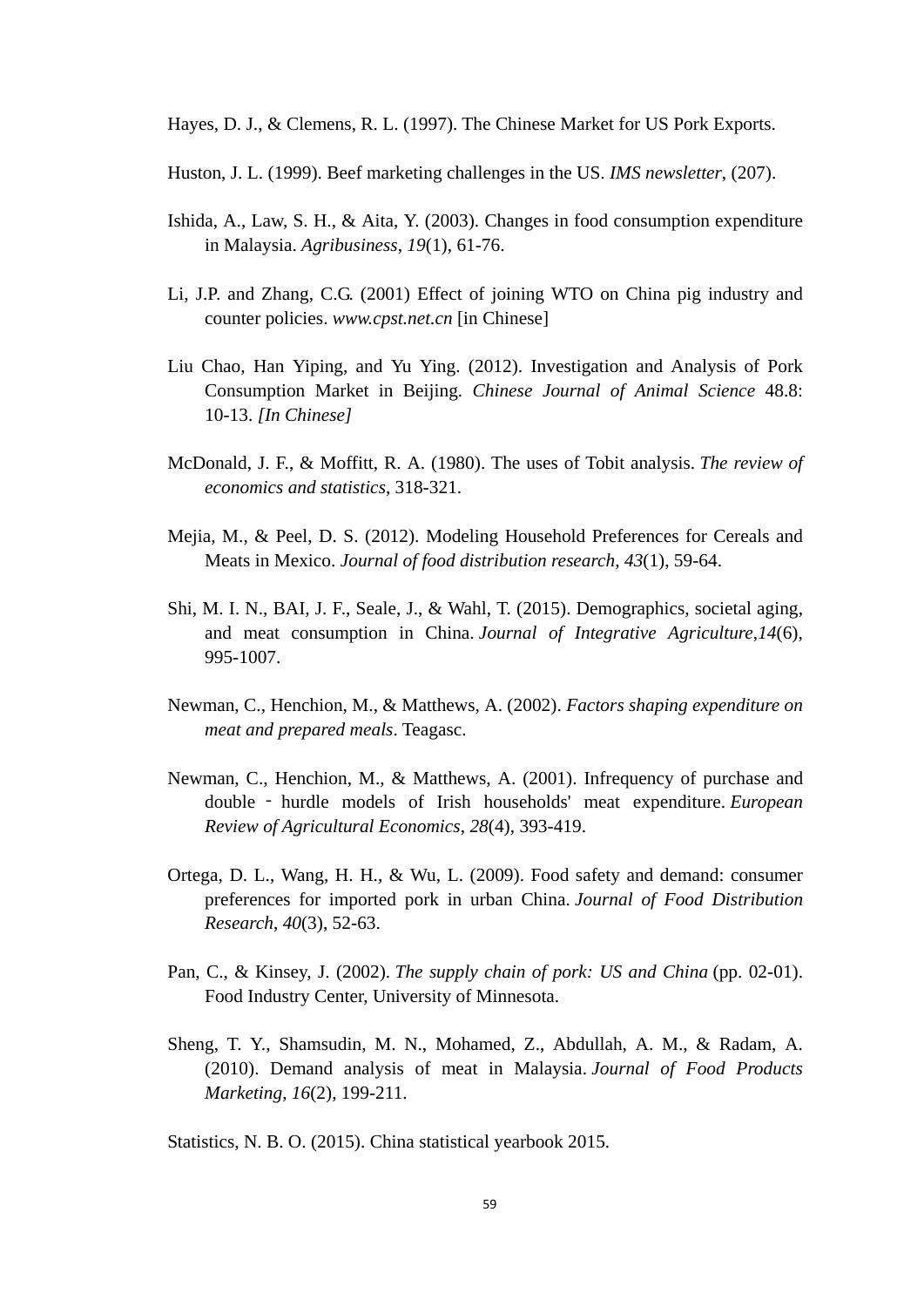Hayes, D. J., & Clemens, R. L. (1997). The Chinese Market for US Pork Exports.

- Huston, J. L. (1999). Beef marketing challenges in the US. *IMS newsletter*, (207).
- Ishida, A., Law, S. H., & Aita, Y. (2003). Changes in food consumption expenditure in Malaysia. *Agribusiness*, *19*(1), 61-76.
- Li, J.P. and Zhang, C.G. (2001) Effect of joining WTO on China pig industry and counter policies. *www.cpst.net.cn* [in Chinese]
- Liu Chao, Han Yiping, and Yu Ying. (2012). Investigation and Analysis of Pork Consumption Market in Beijing. *Chinese Journal of Animal Science* 48.8: 10-13. *[In Chinese]*
- McDonald, J. F., & Moffitt, R. A. (1980). The uses of Tobit analysis. *The review of economics and statistics*, 318-321.
- Mejia, M., & Peel, D. S. (2012). Modeling Household Preferences for Cereals and Meats in Mexico. *Journal of food distribution research*, *43*(1), 59-64.
- Shi, M. I. N., BAI, J. F., Seale, J., & Wahl, T. (2015). Demographics, societal aging, and meat consumption in China. *Journal of Integrative Agriculture*,*14*(6), 995-1007.
- Newman, C., Henchion, M., & Matthews, A. (2002). *Factors shaping expenditure on meat and prepared meals*. Teagasc.
- Newman, C., Henchion, M., & Matthews, A. (2001). Infrequency of purchase and double ‐ hurdle models of Irish households' meat expenditure. *European Review of Agricultural Economics*, *28*(4), 393-419.
- Ortega, D. L., Wang, H. H., & Wu, L. (2009). Food safety and demand: consumer preferences for imported pork in urban China. *Journal of Food Distribution Research*, *40*(3), 52-63.
- Pan, C., & Kinsey, J. (2002). *The supply chain of pork: US and China* (pp. 02-01). Food Industry Center, University of Minnesota.
- Sheng, T. Y., Shamsudin, M. N., Mohamed, Z., Abdullah, A. M., & Radam, A. (2010). Demand analysis of meat in Malaysia. *Journal of Food Products Marketing*, *16*(2), 199-211.

Statistics, N. B. O. (2015). China statistical yearbook 2015.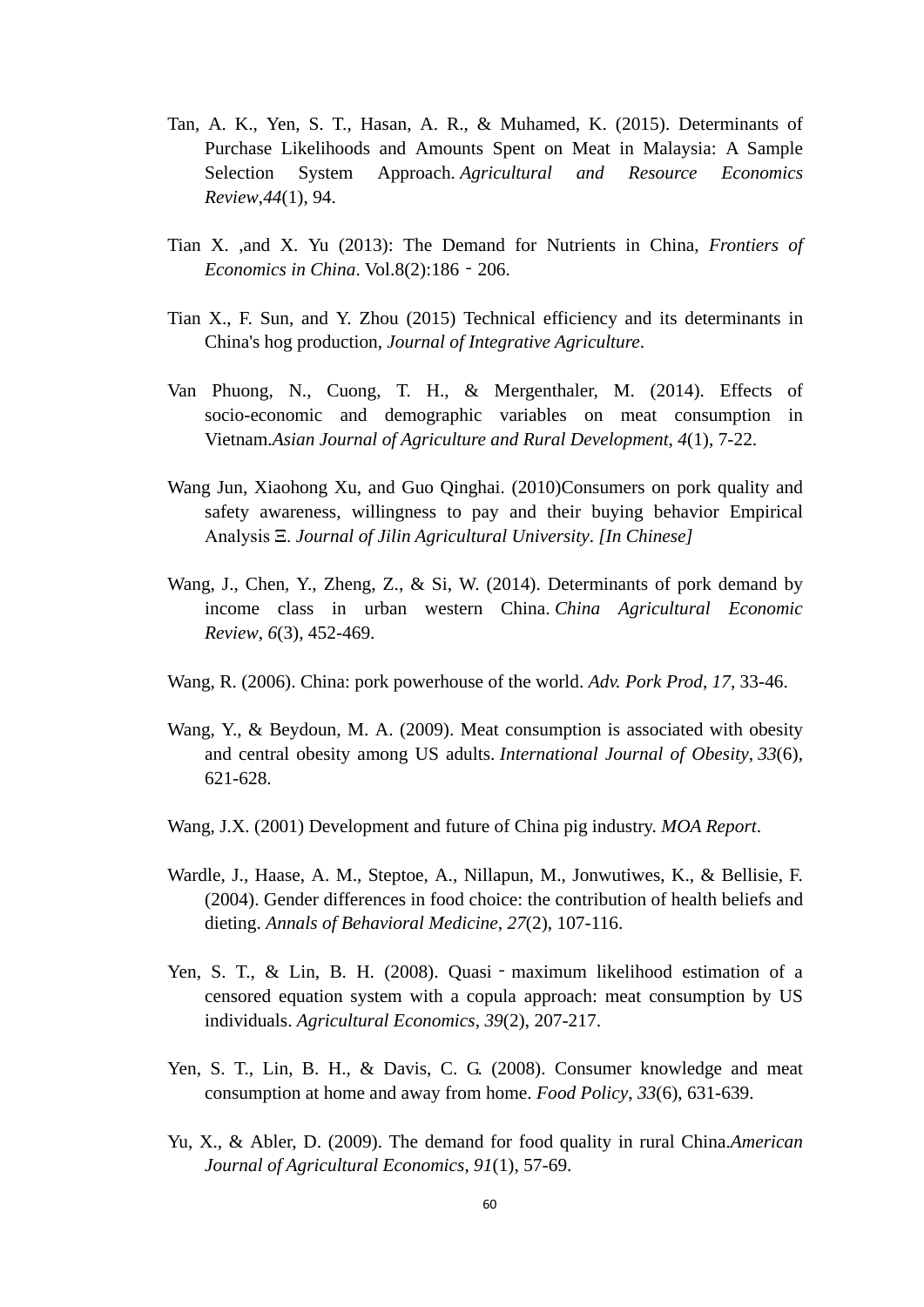- Tan, A. K., Yen, S. T., Hasan, A. R., & Muhamed, K. (2015). Determinants of Purchase Likelihoods and Amounts Spent on Meat in Malaysia: A Sample Selection System Approach. *Agricultural and Resource Economics Review*,*44*(1), 94.
- Tian X. ,and X. Yu (2013): The Demand for Nutrients in China, *Frontiers of Economics in China*. Vol.8(2):186‐206.
- Tian X., F. Sun, and Y. Zhou (2015) Technical efficiency and its determinants in China's hog production, *Journal of Integrative Agriculture*.
- Van Phuong, N., Cuong, T. H., & Mergenthaler, M. (2014). Effects of socio-economic and demographic variables on meat consumption in Vietnam.*Asian Journal of Agriculture and Rural Development*, *4*(1), 7-22.
- Wang Jun, Xiaohong Xu, and Guo Qinghai. (2010)Consumers on pork quality and safety awareness, willingness to pay and their buying behavior Empirical Analysis Ξ. *Journal of Jilin Agricultural University*. *[In Chinese]*
- Wang, J., Chen, Y., Zheng, Z., & Si, W. (2014). Determinants of pork demand by income class in urban western China. *China Agricultural Economic Review*, *6*(3), 452-469.
- Wang, R. (2006). China: pork powerhouse of the world. *Adv. Pork Prod*, *17*, 33-46.
- Wang, Y., & Beydoun, M. A. (2009). Meat consumption is associated with obesity and central obesity among US adults. *International Journal of Obesity*, *33*(6), 621-628.
- Wang, J.X. (2001) Development and future of China pig industry. *MOA Report*.
- Wardle, J., Haase, A. M., Steptoe, A., Nillapun, M., Jonwutiwes, K., & Bellisie, F. (2004). Gender differences in food choice: the contribution of health beliefs and dieting. *Annals of Behavioral Medicine*, *27*(2), 107-116.
- Yen, S. T., & Lin, B. H. (2008). Quasi maximum likelihood estimation of a censored equation system with a copula approach: meat consumption by US individuals. *Agricultural Economics*, *39*(2), 207-217.
- Yen, S. T., Lin, B. H., & Davis, C. G. (2008). Consumer knowledge and meat consumption at home and away from home. *Food Policy*, *33*(6), 631-639.
- Yu, X., & Abler, D. (2009). The demand for food quality in rural China.*American Journal of Agricultural Economics*, *91*(1), 57-69.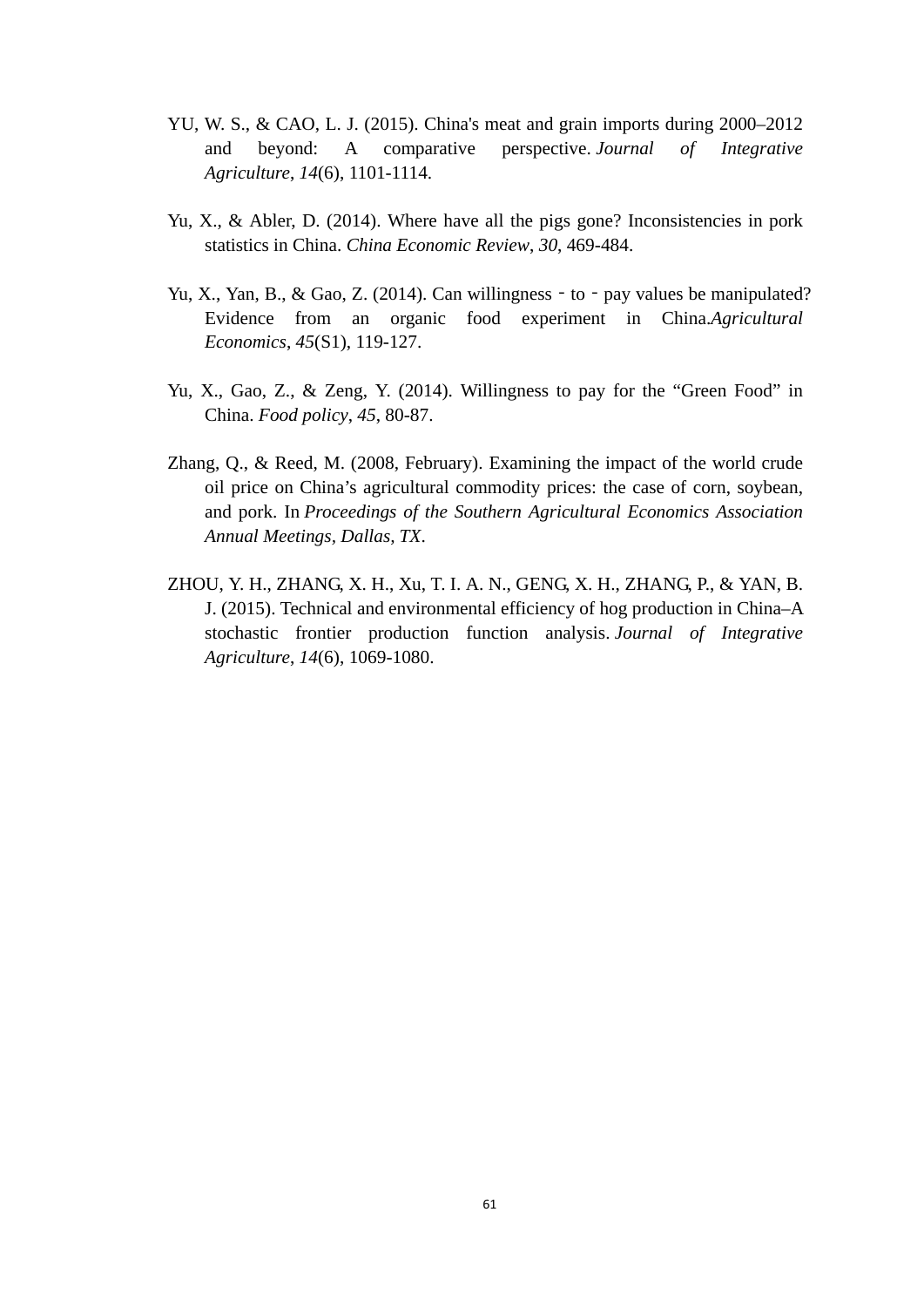- YU, W. S., & CAO, L. J. (2015). China's meat and grain imports during 2000–2012 and beyond: A comparative perspective. *Journal of Integrative Agriculture*, *14*(6), 1101-1114.
- Yu, X., & Abler, D. (2014). Where have all the pigs gone? Inconsistencies in pork statistics in China. *China Economic Review*, *30*, 469-484.
- Yu, X., Yan, B., & Gao, Z. (2014). Can willingness to pay values be manipulated? Evidence from an organic food experiment in China.*Agricultural Economics*, *45*(S1), 119-127.
- Yu, X., Gao, Z., & Zeng, Y. (2014). Willingness to pay for the "Green Food" in China. *Food policy*, *45*, 80-87.
- Zhang, Q., & Reed, M. (2008, February). Examining the impact of the world crude oil price on China's agricultural commodity prices: the case of corn, soybean, and pork. In *Proceedings of the Southern Agricultural Economics Association Annual Meetings, Dallas, TX*.
- ZHOU, Y. H., ZHANG, X. H., Xu, T. I. A. N., GENG, X. H., ZHANG, P., & YAN, B. J. (2015). Technical and environmental efficiency of hog production in China–A stochastic frontier production function analysis. *Journal of Integrative Agriculture*, *14*(6), 1069-1080.